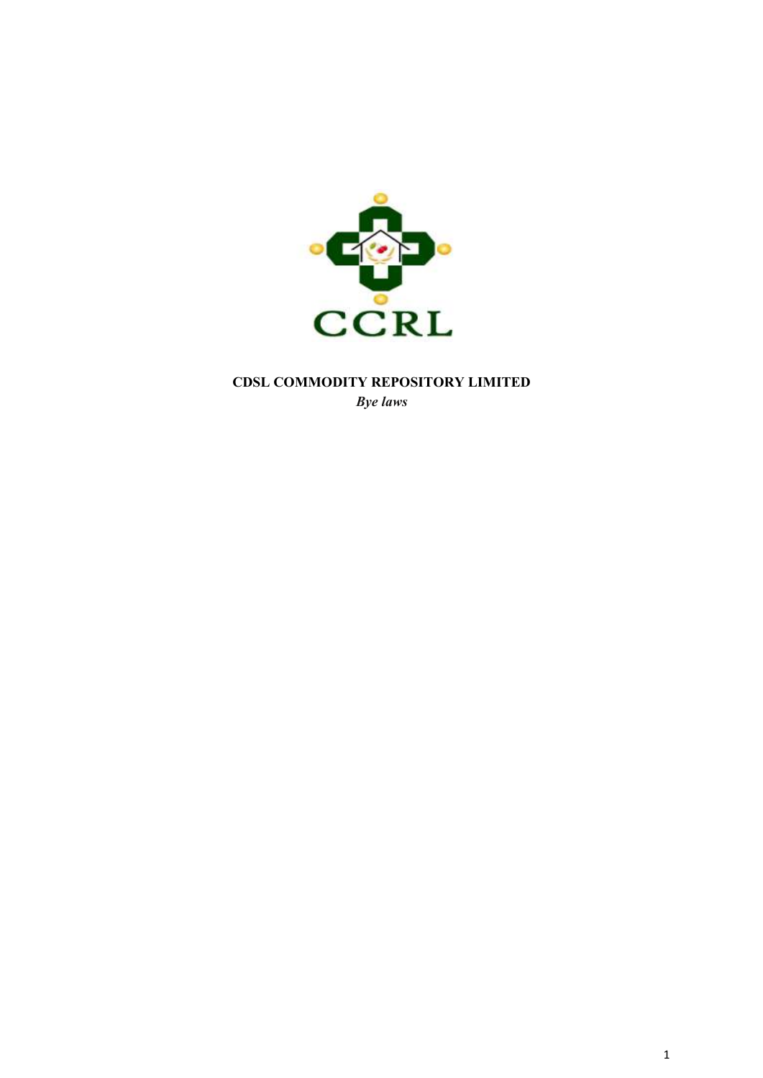

CDSL COMMODITY REPOSITORY LIMITED Bye laws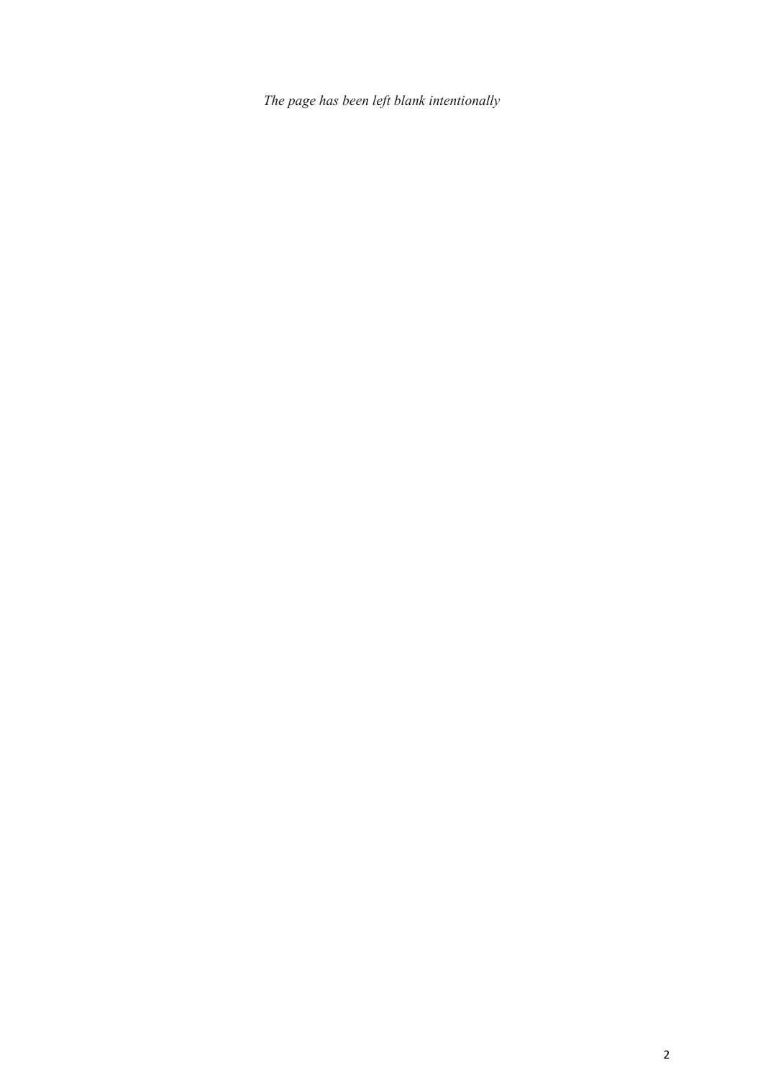The page has been left blank intentionally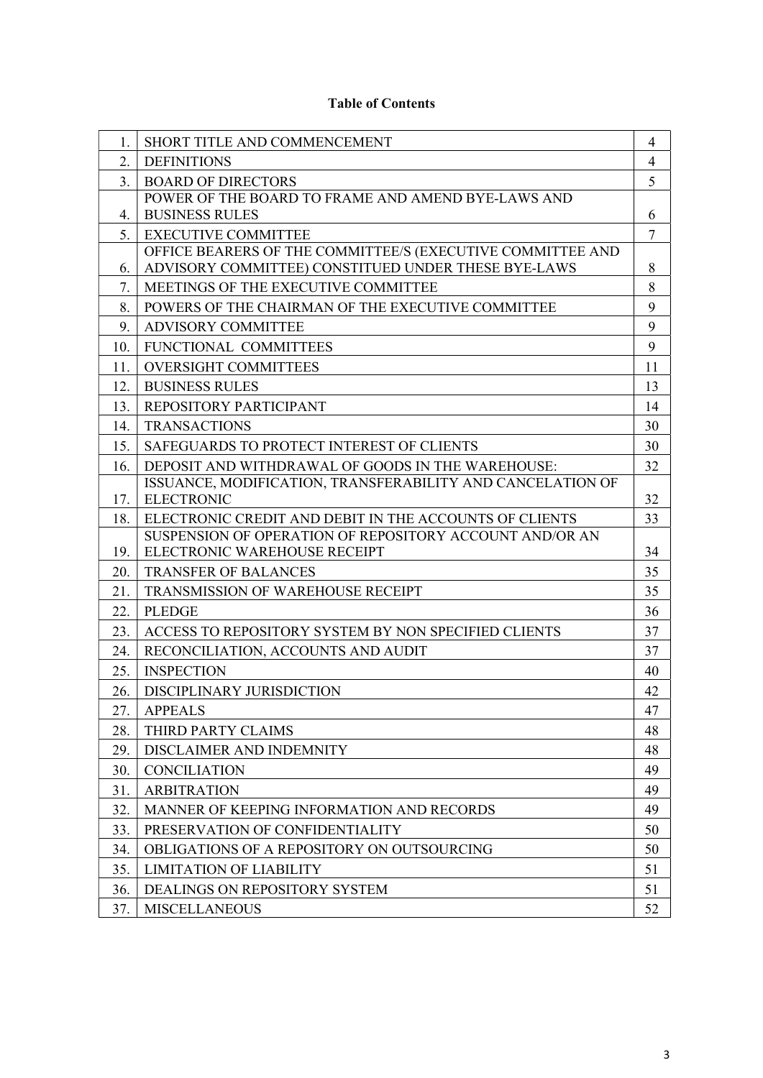### Table of Contents

| 1.       | SHORT TITLE AND COMMENCEMENT                                                                                      | 4                |
|----------|-------------------------------------------------------------------------------------------------------------------|------------------|
| 2.       | <b>DEFINITIONS</b>                                                                                                | $\overline{4}$   |
| 3.       | <b>BOARD OF DIRECTORS</b>                                                                                         | 5                |
|          | POWER OF THE BOARD TO FRAME AND AMEND BYE-LAWS AND                                                                |                  |
| 4.       | <b>BUSINESS RULES</b>                                                                                             | 6                |
| 5.       | <b>EXECUTIVE COMMITTEE</b>                                                                                        | 7                |
|          | OFFICE BEARERS OF THE COMMITTEE/S (EXECUTIVE COMMITTEE AND<br>ADVISORY COMMITTEE) CONSTITUED UNDER THESE BYE-LAWS | 8                |
| 6.<br>7. | MEETINGS OF THE EXECUTIVE COMMITTEE                                                                               | 8                |
| 8.       | POWERS OF THE CHAIRMAN OF THE EXECUTIVE COMMITTEE                                                                 | 9                |
| 9.       | ADVISORY COMMITTEE                                                                                                | $\boldsymbol{9}$ |
| 10.      | FUNCTIONAL COMMITTEES                                                                                             | 9                |
| 11.      | <b>OVERSIGHT COMMITTEES</b>                                                                                       | 11               |
| 12.      | <b>BUSINESS RULES</b>                                                                                             | 13               |
| 13.      | REPOSITORY PARTICIPANT                                                                                            | 14               |
| 14.      | <b>TRANSACTIONS</b>                                                                                               | 30               |
| 15.      | SAFEGUARDS TO PROTECT INTEREST OF CLIENTS                                                                         | 30               |
| 16.      | DEPOSIT AND WITHDRAWAL OF GOODS IN THE WAREHOUSE:                                                                 | 32               |
|          | ISSUANCE, MODIFICATION, TRANSFERABILITY AND CANCELATION OF                                                        |                  |
| 17.      | <b>ELECTRONIC</b>                                                                                                 | 32               |
| 18.      | ELECTRONIC CREDIT AND DEBIT IN THE ACCOUNTS OF CLIENTS                                                            | 33               |
|          | SUSPENSION OF OPERATION OF REPOSITORY ACCOUNT AND/OR AN                                                           |                  |
| 19.      | ELECTRONIC WAREHOUSE RECEIPT                                                                                      | 34               |
| 20.      | <b>TRANSFER OF BALANCES</b>                                                                                       | 35               |
| 21.      | <b>TRANSMISSION OF WAREHOUSE RECEIPT</b>                                                                          | 35               |
| 22.      | <b>PLEDGE</b>                                                                                                     | 36               |
| 23.      | ACCESS TO REPOSITORY SYSTEM BY NON SPECIFIED CLIENTS                                                              | 37               |
| 24.      | RECONCILIATION, ACCOUNTS AND AUDIT                                                                                | 37               |
| 25.      | <b>INSPECTION</b>                                                                                                 | 40               |
| 26.      | DISCIPLINARY JURISDICTION                                                                                         | 42               |
| 27.      | <b>APPEALS</b>                                                                                                    | 47               |
| 28.      | THIRD PARTY CLAIMS                                                                                                | 48               |
| 29.      | DISCLAIMER AND INDEMNITY                                                                                          | 48               |
| 30.      | <b>CONCILIATION</b>                                                                                               | 49               |
| 31.      | <b>ARBITRATION</b>                                                                                                | 49               |
| 32.      | MANNER OF KEEPING INFORMATION AND RECORDS                                                                         | 49               |
| 33.      | PRESERVATION OF CONFIDENTIALITY                                                                                   | 50               |
| 34.      | OBLIGATIONS OF A REPOSITORY ON OUTSOURCING                                                                        | 50               |
| 35.      | <b>LIMITATION OF LIABILITY</b>                                                                                    | 51               |
| 36.      | DEALINGS ON REPOSITORY SYSTEM                                                                                     | 51               |
| 37.      | <b>MISCELLANEOUS</b>                                                                                              | 52               |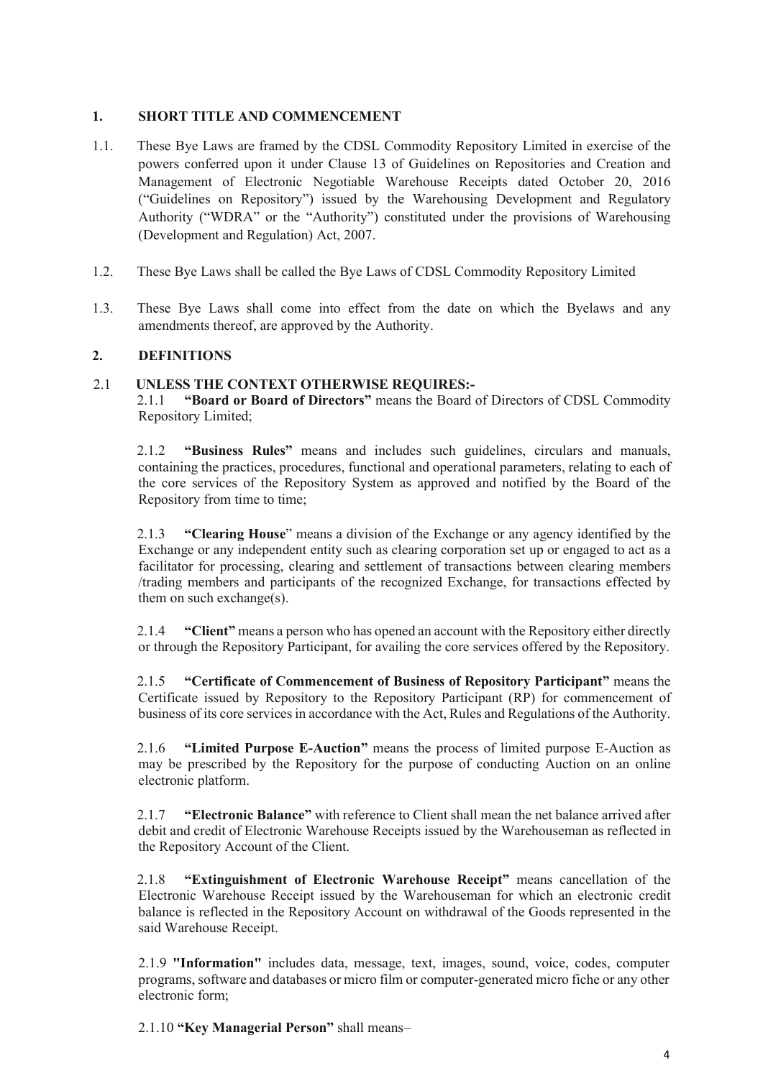## 1. SHORT TITLE AND COMMENCEMENT

- 1.1. These Bye Laws are framed by the CDSL Commodity Repository Limited in exercise of the powers conferred upon it under Clause 13 of Guidelines on Repositories and Creation and Management of Electronic Negotiable Warehouse Receipts dated October 20, 2016 ("Guidelines on Repository") issued by the Warehousing Development and Regulatory Authority ("WDRA" or the "Authority") constituted under the provisions of Warehousing (Development and Regulation) Act, 2007.
- 1.2. These Bye Laws shall be called the Bye Laws of CDSL Commodity Repository Limited
- 1.3. These Bye Laws shall come into effect from the date on which the Byelaws and any amendments thereof, are approved by the Authority.

# 2. DEFINITIONS

## 2.1 UNLESS THE CONTEXT OTHERWISE REQUIRES:-

 2.1.1 "Board or Board of Directors" means the Board of Directors of CDSL Commodity Repository Limited;

 2.1.2 "Business Rules" means and includes such guidelines, circulars and manuals, containing the practices, procedures, functional and operational parameters, relating to each of the core services of the Repository System as approved and notified by the Board of the Repository from time to time;

2.1.3 "Clearing House" means a division of the Exchange or any agency identified by the Exchange or any independent entity such as clearing corporation set up or engaged to act as a facilitator for processing, clearing and settlement of transactions between clearing members /trading members and participants of the recognized Exchange, for transactions effected by them on such exchange(s).

2.1.4 "Client" means a person who has opened an account with the Repository either directly or through the Repository Participant, for availing the core services offered by the Repository.

 2.1.5 "Certificate of Commencement of Business of Repository Participant" means the Certificate issued by Repository to the Repository Participant (RP) for commencement of business of its core services in accordance with the Act, Rules and Regulations of the Authority.

 2.1.6 "Limited Purpose E-Auction" means the process of limited purpose E-Auction as may be prescribed by the Repository for the purpose of conducting Auction on an online electronic platform.

2.1.7 "**Electronic Balance**" with reference to Client shall mean the net balance arrived after debit and credit of Electronic Warehouse Receipts issued by the Warehouseman as reflected in the Repository Account of the Client.

 2.1.8 "Extinguishment of Electronic Warehouse Receipt" means cancellation of the Electronic Warehouse Receipt issued by the Warehouseman for which an electronic credit balance is reflected in the Repository Account on withdrawal of the Goods represented in the said Warehouse Receipt.

2.1.9 "Information" includes data, message, text, images, sound, voice, codes, computer programs, software and databases or micro film or computer-generated micro fiche or any other electronic form;

2.1.10 "Key Managerial Person" shall means–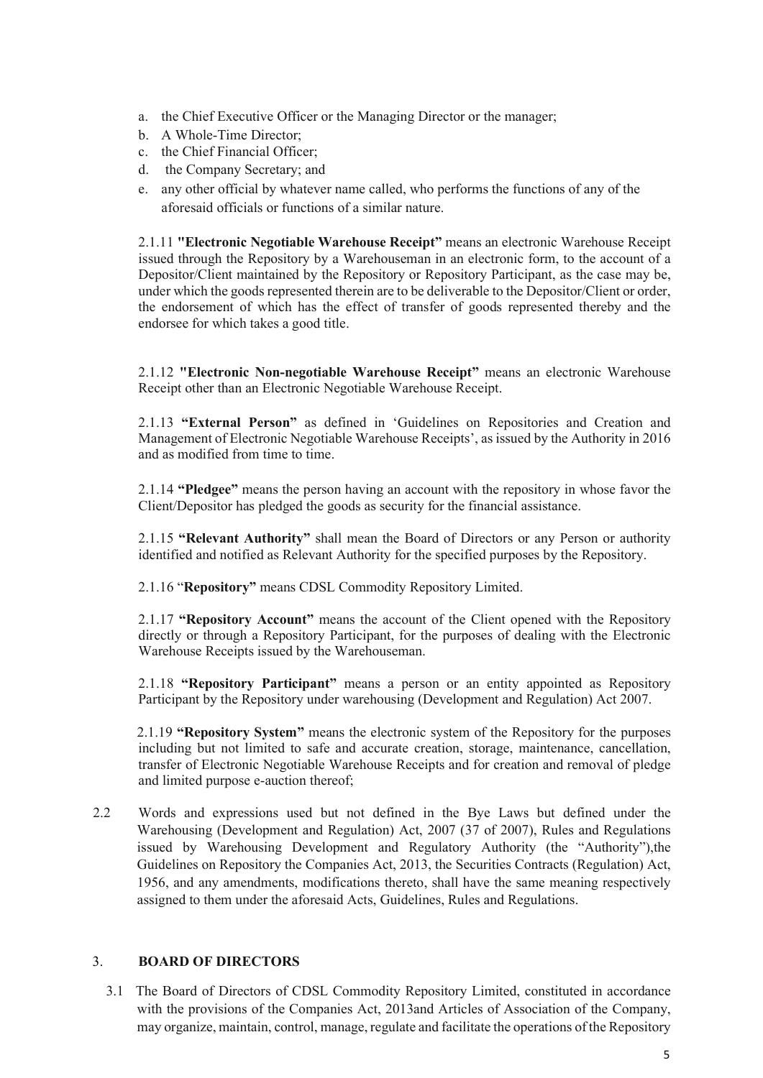- a. the Chief Executive Officer or the Managing Director or the manager;
- b. A Whole-Time Director;
- c. the Chief Financial Officer;
- d. the Company Secretary; and
- e. any other official by whatever name called, who performs the functions of any of the aforesaid officials or functions of a similar nature.

2.1.11 "Electronic Negotiable Warehouse Receipt" means an electronic Warehouse Receipt issued through the Repository by a Warehouseman in an electronic form, to the account of a Depositor/Client maintained by the Repository or Repository Participant, as the case may be, under which the goods represented therein are to be deliverable to the Depositor/Client or order, the endorsement of which has the effect of transfer of goods represented thereby and the endorsee for which takes a good title.

2.1.12 "Electronic Non-negotiable Warehouse Receipt" means an electronic Warehouse Receipt other than an Electronic Negotiable Warehouse Receipt.

2.1.13 "External Person" as defined in 'Guidelines on Repositories and Creation and Management of Electronic Negotiable Warehouse Receipts', as issued by the Authority in 2016 and as modified from time to time.

2.1.14 "Pledgee" means the person having an account with the repository in whose favor the Client/Depositor has pledged the goods as security for the financial assistance.

2.1.15 "Relevant Authority" shall mean the Board of Directors or any Person or authority identified and notified as Relevant Authority for the specified purposes by the Repository.

2.1.16 "Repository" means CDSL Commodity Repository Limited.

2.1.17 "Repository Account" means the account of the Client opened with the Repository directly or through a Repository Participant, for the purposes of dealing with the Electronic Warehouse Receipts issued by the Warehouseman.

2.1.18 "Repository Participant" means a person or an entity appointed as Repository Participant by the Repository under warehousing (Development and Regulation) Act 2007.

2.1.19 "Repository System" means the electronic system of the Repository for the purposes including but not limited to safe and accurate creation, storage, maintenance, cancellation, transfer of Electronic Negotiable Warehouse Receipts and for creation and removal of pledge and limited purpose e-auction thereof;

2.2 Words and expressions used but not defined in the Bye Laws but defined under the Warehousing (Development and Regulation) Act, 2007 (37 of 2007), Rules and Regulations issued by Warehousing Development and Regulatory Authority (the "Authority"),the Guidelines on Repository the Companies Act, 2013, the Securities Contracts (Regulation) Act, 1956, and any amendments, modifications thereto, shall have the same meaning respectively assigned to them under the aforesaid Acts, Guidelines, Rules and Regulations.

#### 3. BOARD OF DIRECTORS

3.1 The Board of Directors of CDSL Commodity Repository Limited, constituted in accordance with the provisions of the Companies Act, 2013and Articles of Association of the Company, may organize, maintain, control, manage, regulate and facilitate the operations of the Repository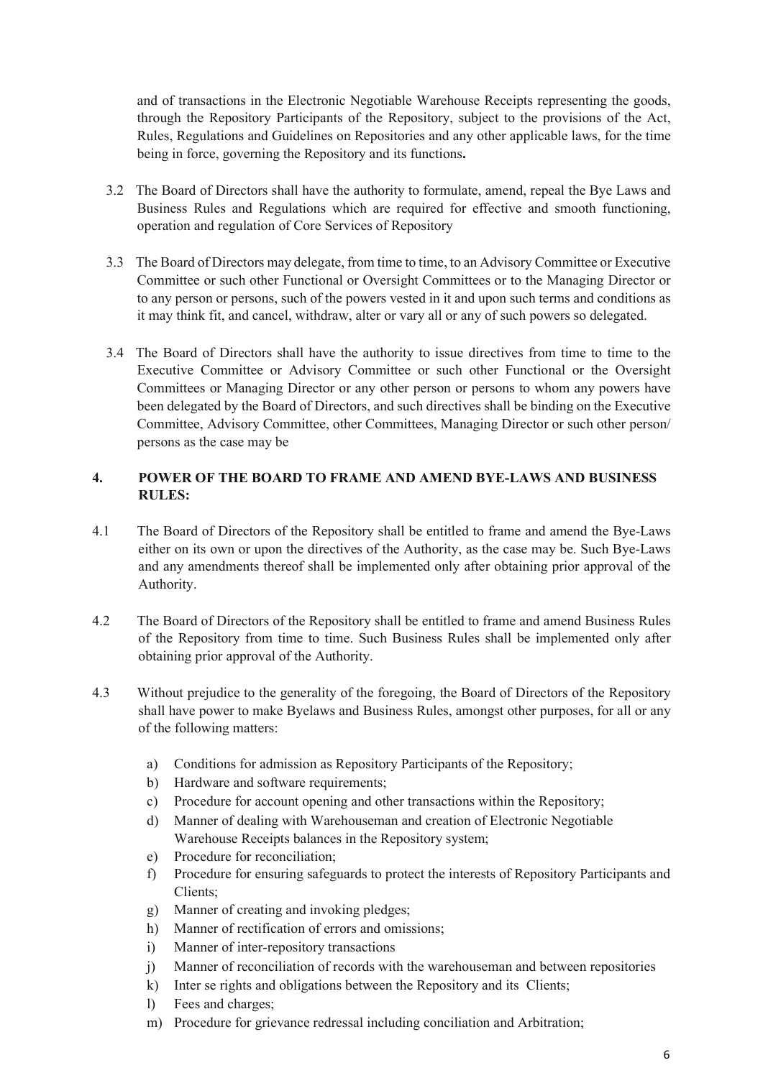and of transactions in the Electronic Negotiable Warehouse Receipts representing the goods, through the Repository Participants of the Repository, subject to the provisions of the Act, Rules, Regulations and Guidelines on Repositories and any other applicable laws, for the time being in force, governing the Repository and its functions.

- 3.2 The Board of Directors shall have the authority to formulate, amend, repeal the Bye Laws and Business Rules and Regulations which are required for effective and smooth functioning, operation and regulation of Core Services of Repository
- 3.3 The Board of Directors may delegate, from time to time, to an Advisory Committee or Executive Committee or such other Functional or Oversight Committees or to the Managing Director or to any person or persons, such of the powers vested in it and upon such terms and conditions as it may think fit, and cancel, withdraw, alter or vary all or any of such powers so delegated.
- 3.4 The Board of Directors shall have the authority to issue directives from time to time to the Executive Committee or Advisory Committee or such other Functional or the Oversight Committees or Managing Director or any other person or persons to whom any powers have been delegated by the Board of Directors, and such directives shall be binding on the Executive Committee, Advisory Committee, other Committees, Managing Director or such other person/ persons as the case may be

# 4. POWER OF THE BOARD TO FRAME AND AMEND BYE-LAWS AND BUSINESS RULES:

- 4.1 The Board of Directors of the Repository shall be entitled to frame and amend the Bye-Laws either on its own or upon the directives of the Authority, as the case may be. Such Bye-Laws and any amendments thereof shall be implemented only after obtaining prior approval of the Authority.
- 4.2 The Board of Directors of the Repository shall be entitled to frame and amend Business Rules of the Repository from time to time. Such Business Rules shall be implemented only after obtaining prior approval of the Authority.
- 4.3 Without prejudice to the generality of the foregoing, the Board of Directors of the Repository shall have power to make Byelaws and Business Rules, amongst other purposes, for all or any of the following matters:
	- a) Conditions for admission as Repository Participants of the Repository;
	- b) Hardware and software requirements;
	- c) Procedure for account opening and other transactions within the Repository;
	- d) Manner of dealing with Warehouseman and creation of Electronic Negotiable Warehouse Receipts balances in the Repository system;
	- e) Procedure for reconciliation;
	- f) Procedure for ensuring safeguards to protect the interests of Repository Participants and Clients;
	- g) Manner of creating and invoking pledges;
	- h) Manner of rectification of errors and omissions;
	- i) Manner of inter-repository transactions
	- j) Manner of reconciliation of records with the warehouseman and between repositories
	- k) Inter se rights and obligations between the Repository and its Clients;
	- l) Fees and charges;
	- m) Procedure for grievance redressal including conciliation and Arbitration;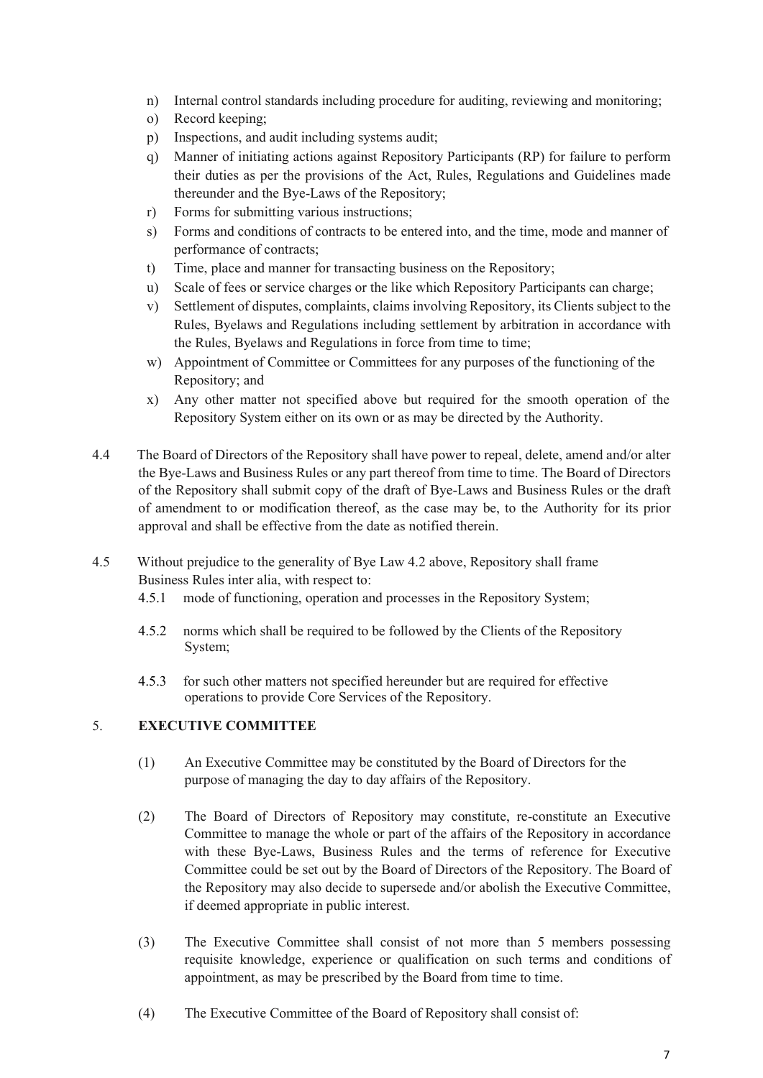- n) Internal control standards including procedure for auditing, reviewing and monitoring;
- o) Record keeping;
- p) Inspections, and audit including systems audit;
- q) Manner of initiating actions against Repository Participants (RP) for failure to perform their duties as per the provisions of the Act, Rules, Regulations and Guidelines made thereunder and the Bye-Laws of the Repository;
- r) Forms for submitting various instructions;
- s) Forms and conditions of contracts to be entered into, and the time, mode and manner of performance of contracts;
- t) Time, place and manner for transacting business on the Repository;
- u) Scale of fees or service charges or the like which Repository Participants can charge;
- v) Settlement of disputes, complaints, claims involving Repository, its Clients subject to the Rules, Byelaws and Regulations including settlement by arbitration in accordance with the Rules, Byelaws and Regulations in force from time to time;
- w) Appointment of Committee or Committees for any purposes of the functioning of the Repository; and
- x) Any other matter not specified above but required for the smooth operation of the Repository System either on its own or as may be directed by the Authority.
- 4.4 The Board of Directors of the Repository shall have power to repeal, delete, amend and/or alter the Bye-Laws and Business Rules or any part thereof from time to time. The Board of Directors of the Repository shall submit copy of the draft of Bye-Laws and Business Rules or the draft of amendment to or modification thereof, as the case may be, to the Authority for its prior approval and shall be effective from the date as notified therein.
- 4.5 Without prejudice to the generality of Bye Law 4.2 above, Repository shall frame Business Rules inter alia, with respect to:
	- 4.5.1 mode of functioning, operation and processes in the Repository System;
	- 4.5.2 norms which shall be required to be followed by the Clients of the Repository System;
	- 4.5.3 for such other matters not specified hereunder but are required for effective operations to provide Core Services of the Repository.

# 5. EXECUTIVE COMMITTEE

- (1) An Executive Committee may be constituted by the Board of Directors for the purpose of managing the day to day affairs of the Repository.
- (2) The Board of Directors of Repository may constitute, re-constitute an Executive Committee to manage the whole or part of the affairs of the Repository in accordance with these Bye-Laws, Business Rules and the terms of reference for Executive Committee could be set out by the Board of Directors of the Repository. The Board of the Repository may also decide to supersede and/or abolish the Executive Committee, if deemed appropriate in public interest.
- (3) The Executive Committee shall consist of not more than 5 members possessing requisite knowledge, experience or qualification on such terms and conditions of appointment, as may be prescribed by the Board from time to time.
- (4) The Executive Committee of the Board of Repository shall consist of: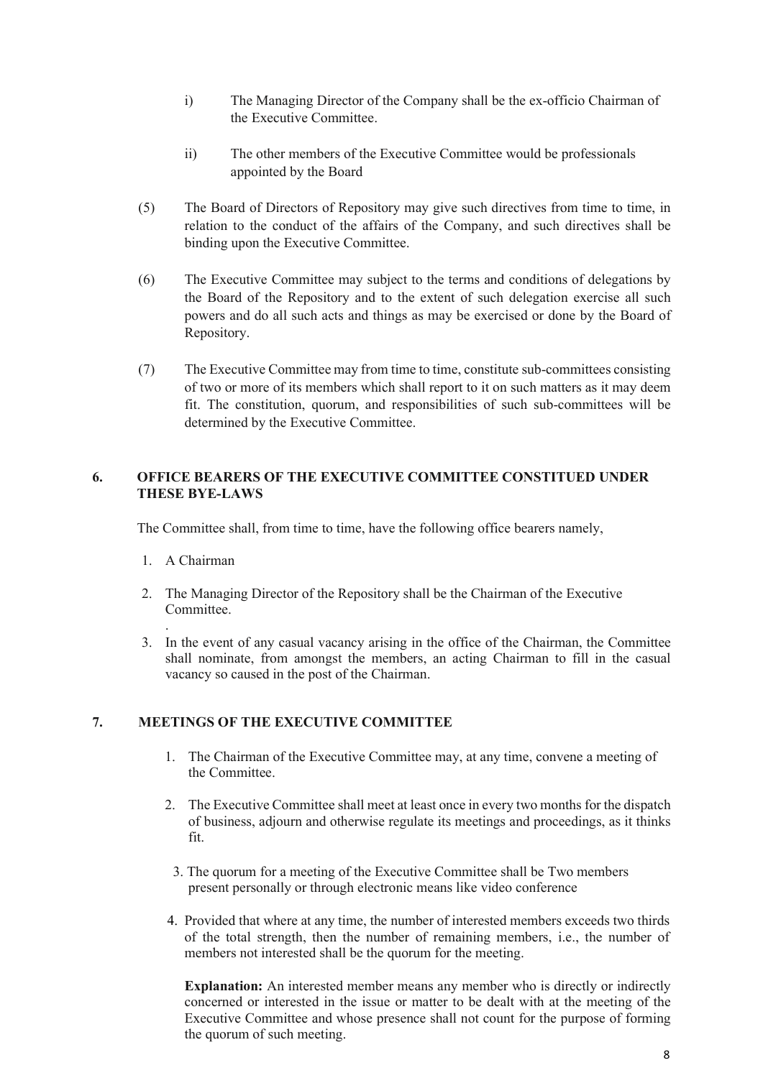- i) The Managing Director of the Company shall be the ex-officio Chairman of the Executive Committee.
- ii) The other members of the Executive Committee would be professionals appointed by the Board
- (5) The Board of Directors of Repository may give such directives from time to time, in relation to the conduct of the affairs of the Company, and such directives shall be binding upon the Executive Committee.
- (6) The Executive Committee may subject to the terms and conditions of delegations by the Board of the Repository and to the extent of such delegation exercise all such powers and do all such acts and things as may be exercised or done by the Board of Repository.
- (7) The Executive Committee may from time to time, constitute sub-committees consisting of two or more of its members which shall report to it on such matters as it may deem fit. The constitution, quorum, and responsibilities of such sub-committees will be determined by the Executive Committee.

## 6. OFFICE BEARERS OF THE EXECUTIVE COMMITTEE CONSTITUED UNDER THESE BYE-LAWS

The Committee shall, from time to time, have the following office bearers namely,

1. A Chairman

.

- 2. The Managing Director of the Repository shall be the Chairman of the Executive Committee.
- 3. In the event of any casual vacancy arising in the office of the Chairman, the Committee shall nominate, from amongst the members, an acting Chairman to fill in the casual vacancy so caused in the post of the Chairman.

# 7. MEETINGS OF THE EXECUTIVE COMMITTEE

- 1. The Chairman of the Executive Committee may, at any time, convene a meeting of the Committee.
- 2. The Executive Committee shall meet at least once in every two months for the dispatch of business, adjourn and otherwise regulate its meetings and proceedings, as it thinks fit.
- 3. The quorum for a meeting of the Executive Committee shall be Two members present personally or through electronic means like video conference
- 4. Provided that where at any time, the number of interested members exceeds two thirds of the total strength, then the number of remaining members, i.e., the number of members not interested shall be the quorum for the meeting.

Explanation: An interested member means any member who is directly or indirectly concerned or interested in the issue or matter to be dealt with at the meeting of the Executive Committee and whose presence shall not count for the purpose of forming the quorum of such meeting.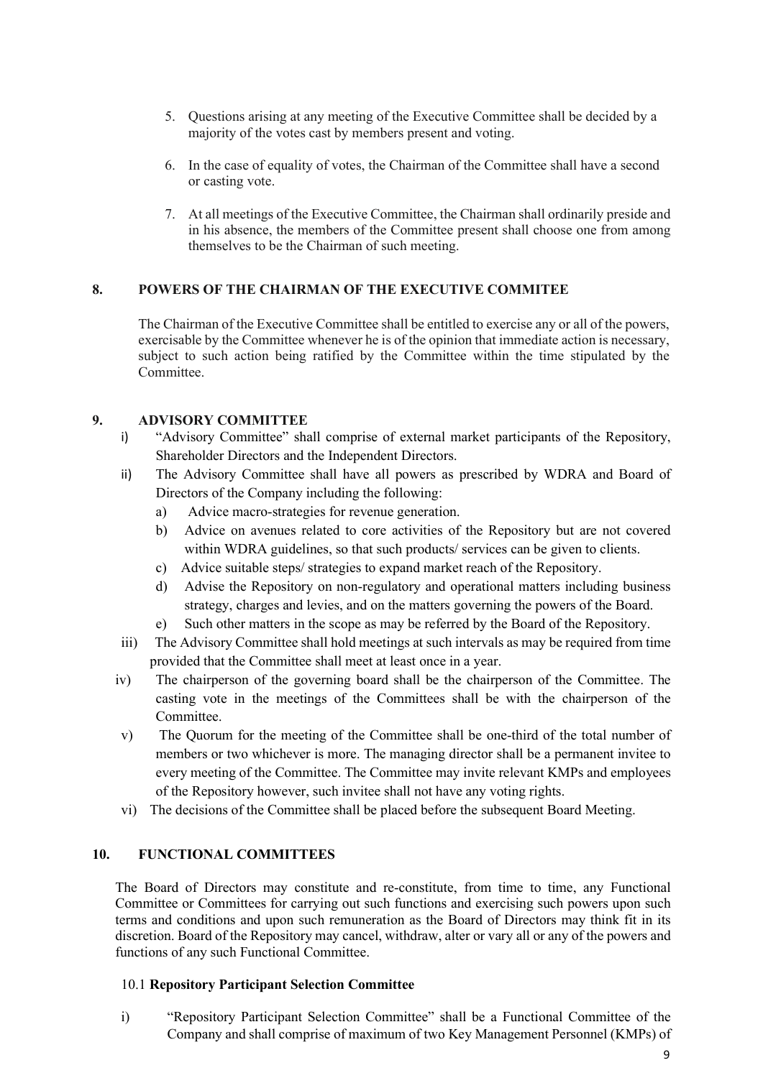- 5. Questions arising at any meeting of the Executive Committee shall be decided by a majority of the votes cast by members present and voting.
- 6. In the case of equality of votes, the Chairman of the Committee shall have a second or casting vote.
- 7. At all meetings of the Executive Committee, the Chairman shall ordinarily preside and in his absence, the members of the Committee present shall choose one from among themselves to be the Chairman of such meeting.

## 8. POWERS OF THE CHAIRMAN OF THE EXECUTIVE COMMITEE

The Chairman of the Executive Committee shall be entitled to exercise any or all of the powers, exercisable by the Committee whenever he is of the opinion that immediate action is necessary, subject to such action being ratified by the Committee within the time stipulated by the Committee.

### 9. ADVISORY COMMITTEE

- i) "Advisory Committee" shall comprise of external market participants of the Repository, Shareholder Directors and the Independent Directors.
- ii) The Advisory Committee shall have all powers as prescribed by WDRA and Board of Directors of the Company including the following:
	- a) Advice macro-strategies for revenue generation.
	- b) Advice on avenues related to core activities of the Repository but are not covered within WDRA guidelines, so that such products/ services can be given to clients.
	- c) Advice suitable steps/ strategies to expand market reach of the Repository.
	- d) Advise the Repository on non-regulatory and operational matters including business strategy, charges and levies, and on the matters governing the powers of the Board.
	- e) Such other matters in the scope as may be referred by the Board of the Repository.
- iii) The Advisory Committee shall hold meetings at such intervals as may be required from time provided that the Committee shall meet at least once in a year.
- iv) The chairperson of the governing board shall be the chairperson of the Committee. The casting vote in the meetings of the Committees shall be with the chairperson of the Committee.
- v) The Quorum for the meeting of the Committee shall be one-third of the total number of members or two whichever is more. The managing director shall be a permanent invitee to every meeting of the Committee. The Committee may invite relevant KMPs and employees of the Repository however, such invitee shall not have any voting rights.
- vi) The decisions of the Committee shall be placed before the subsequent Board Meeting.

### 10. FUNCTIONAL COMMITTEES

The Board of Directors may constitute and re-constitute, from time to time, any Functional Committee or Committees for carrying out such functions and exercising such powers upon such terms and conditions and upon such remuneration as the Board of Directors may think fit in its discretion. Board of the Repository may cancel, withdraw, alter or vary all or any of the powers and functions of any such Functional Committee.

#### 10.1 Repository Participant Selection Committee

i) "Repository Participant Selection Committee" shall be a Functional Committee of the Company and shall comprise of maximum of two Key Management Personnel (KMPs) of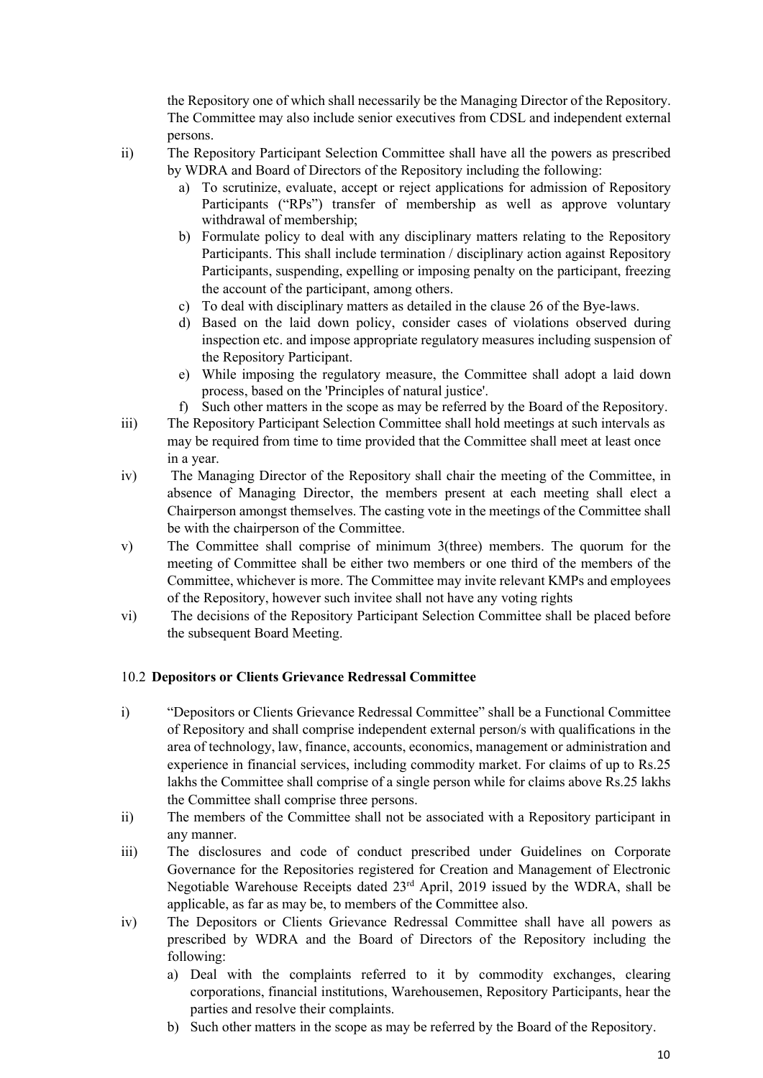the Repository one of which shall necessarily be the Managing Director of the Repository. The Committee may also include senior executives from CDSL and independent external persons.

- ii) The Repository Participant Selection Committee shall have all the powers as prescribed by WDRA and Board of Directors of the Repository including the following:
	- a) To scrutinize, evaluate, accept or reject applications for admission of Repository Participants ("RPs") transfer of membership as well as approve voluntary withdrawal of membership;
	- b) Formulate policy to deal with any disciplinary matters relating to the Repository Participants. This shall include termination / disciplinary action against Repository Participants, suspending, expelling or imposing penalty on the participant, freezing the account of the participant, among others.
	- c) To deal with disciplinary matters as detailed in the clause 26 of the Bye-laws.
	- d) Based on the laid down policy, consider cases of violations observed during inspection etc. and impose appropriate regulatory measures including suspension of the Repository Participant.
	- e) While imposing the regulatory measure, the Committee shall adopt a laid down process, based on the 'Principles of natural justice'.
	- f) Such other matters in the scope as may be referred by the Board of the Repository.
- iii) The Repository Participant Selection Committee shall hold meetings at such intervals as may be required from time to time provided that the Committee shall meet at least once in a year.
- iv) The Managing Director of the Repository shall chair the meeting of the Committee, in absence of Managing Director, the members present at each meeting shall elect a Chairperson amongst themselves. The casting vote in the meetings of the Committee shall be with the chairperson of the Committee.
- v) The Committee shall comprise of minimum 3(three) members. The quorum for the meeting of Committee shall be either two members or one third of the members of the Committee, whichever is more. The Committee may invite relevant KMPs and employees of the Repository, however such invitee shall not have any voting rights
- vi) The decisions of the Repository Participant Selection Committee shall be placed before the subsequent Board Meeting.

## 10.2 Depositors or Clients Grievance Redressal Committee

- i) "Depositors or Clients Grievance Redressal Committee" shall be a Functional Committee of Repository and shall comprise independent external person/s with qualifications in the area of technology, law, finance, accounts, economics, management or administration and experience in financial services, including commodity market. For claims of up to Rs.25 lakhs the Committee shall comprise of a single person while for claims above Rs.25 lakhs the Committee shall comprise three persons.
- ii) The members of the Committee shall not be associated with a Repository participant in any manner.
- iii) The disclosures and code of conduct prescribed under Guidelines on Corporate Governance for the Repositories registered for Creation and Management of Electronic Negotiable Warehouse Receipts dated 23rd April, 2019 issued by the WDRA, shall be applicable, as far as may be, to members of the Committee also.
- iv) The Depositors or Clients Grievance Redressal Committee shall have all powers as prescribed by WDRA and the Board of Directors of the Repository including the following:
	- a) Deal with the complaints referred to it by commodity exchanges, clearing corporations, financial institutions, Warehousemen, Repository Participants, hear the parties and resolve their complaints.
	- b) Such other matters in the scope as may be referred by the Board of the Repository.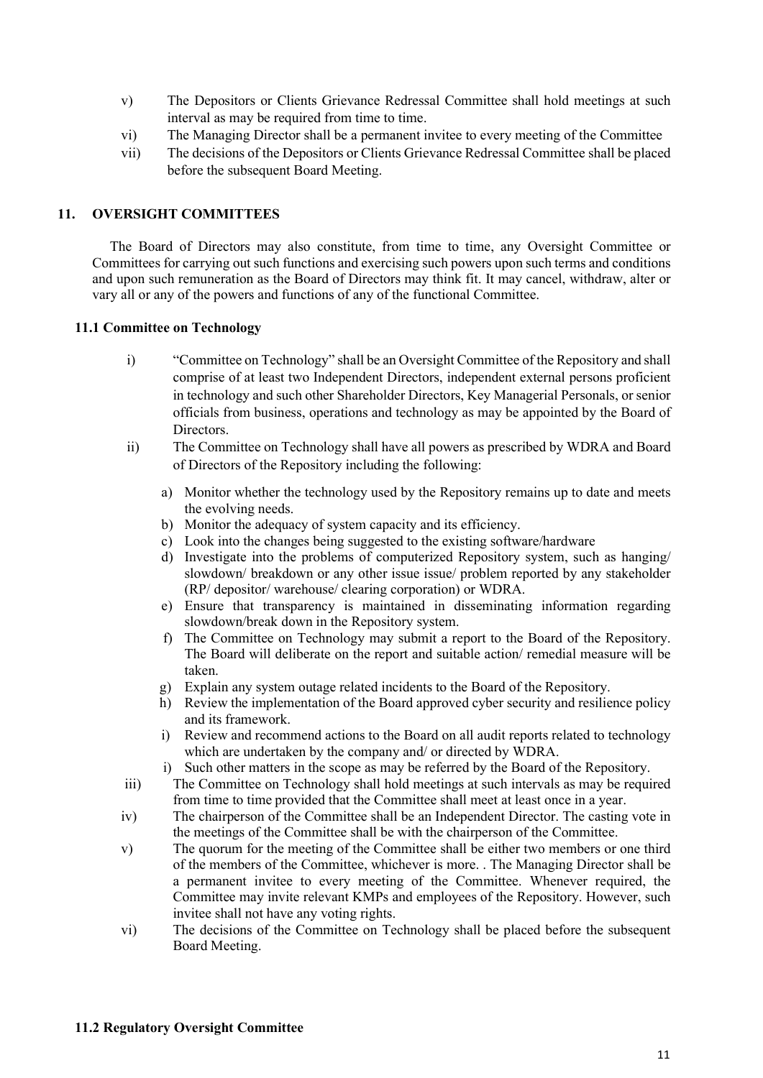- v) The Depositors or Clients Grievance Redressal Committee shall hold meetings at such interval as may be required from time to time.
- vi) The Managing Director shall be a permanent invitee to every meeting of the Committee
- vii) The decisions of the Depositors or Clients Grievance Redressal Committee shall be placed before the subsequent Board Meeting.

## 11. OVERSIGHT COMMITTEES

 The Board of Directors may also constitute, from time to time, any Oversight Committee or Committees for carrying out such functions and exercising such powers upon such terms and conditions and upon such remuneration as the Board of Directors may think fit. It may cancel, withdraw, alter or vary all or any of the powers and functions of any of the functional Committee.

#### 11.1 Committee on Technology

- i) "Committee on Technology" shall be an Oversight Committee of the Repository and shall comprise of at least two Independent Directors, independent external persons proficient in technology and such other Shareholder Directors, Key Managerial Personals, or senior officials from business, operations and technology as may be appointed by the Board of Directors.
- ii) The Committee on Technology shall have all powers as prescribed by WDRA and Board of Directors of the Repository including the following:
	- a) Monitor whether the technology used by the Repository remains up to date and meets the evolving needs.
	- b) Monitor the adequacy of system capacity and its efficiency.
	- c) Look into the changes being suggested to the existing software/hardware
	- d) Investigate into the problems of computerized Repository system, such as hanging/ slowdown/ breakdown or any other issue issue/ problem reported by any stakeholder (RP/ depositor/ warehouse/ clearing corporation) or WDRA.
	- e) Ensure that transparency is maintained in disseminating information regarding slowdown/break down in the Repository system.
	- f) The Committee on Technology may submit a report to the Board of the Repository. The Board will deliberate on the report and suitable action/ remedial measure will be taken.
	- g) Explain any system outage related incidents to the Board of the Repository.
	- h) Review the implementation of the Board approved cyber security and resilience policy and its framework.
	- i) Review and recommend actions to the Board on all audit reports related to technology which are undertaken by the company and/ or directed by WDRA.
	- i) Such other matters in the scope as may be referred by the Board of the Repository.
- iii) The Committee on Technology shall hold meetings at such intervals as may be required from time to time provided that the Committee shall meet at least once in a year.
- iv) The chairperson of the Committee shall be an Independent Director. The casting vote in the meetings of the Committee shall be with the chairperson of the Committee.
- v) The quorum for the meeting of the Committee shall be either two members or one third of the members of the Committee, whichever is more. . The Managing Director shall be a permanent invitee to every meeting of the Committee. Whenever required, the Committee may invite relevant KMPs and employees of the Repository. However, such invitee shall not have any voting rights.
- vi) The decisions of the Committee on Technology shall be placed before the subsequent Board Meeting.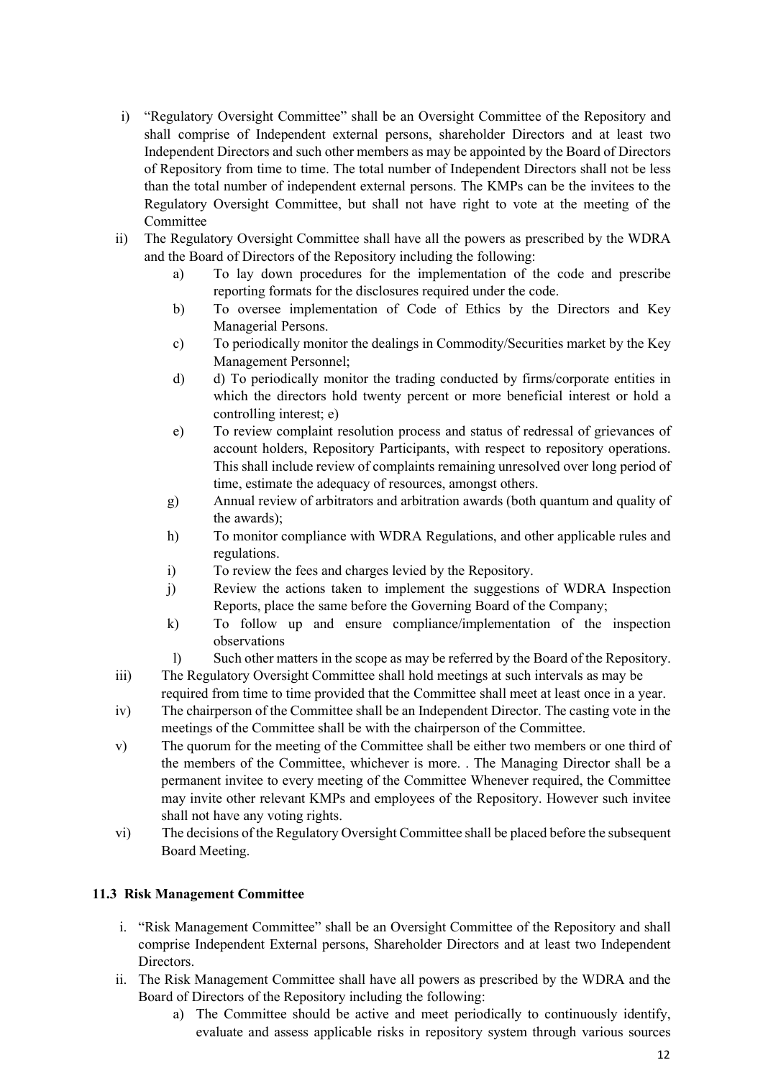- i) "Regulatory Oversight Committee" shall be an Oversight Committee of the Repository and shall comprise of Independent external persons, shareholder Directors and at least two Independent Directors and such other members as may be appointed by the Board of Directors of Repository from time to time. The total number of Independent Directors shall not be less than the total number of independent external persons. The KMPs can be the invitees to the Regulatory Oversight Committee, but shall not have right to vote at the meeting of the Committee
- ii) The Regulatory Oversight Committee shall have all the powers as prescribed by the WDRA and the Board of Directors of the Repository including the following:
	- a) To lay down procedures for the implementation of the code and prescribe reporting formats for the disclosures required under the code.
	- b) To oversee implementation of Code of Ethics by the Directors and Key Managerial Persons.
	- c) To periodically monitor the dealings in Commodity/Securities market by the Key Management Personnel;
	- d) d) To periodically monitor the trading conducted by firms/corporate entities in which the directors hold twenty percent or more beneficial interest or hold a controlling interest; e)
	- e) To review complaint resolution process and status of redressal of grievances of account holders, Repository Participants, with respect to repository operations. This shall include review of complaints remaining unresolved over long period of time, estimate the adequacy of resources, amongst others.
	- g) Annual review of arbitrators and arbitration awards (both quantum and quality of the awards);
	- h) To monitor compliance with WDRA Regulations, and other applicable rules and regulations.
	- i) To review the fees and charges levied by the Repository.
	- j) Review the actions taken to implement the suggestions of WDRA Inspection Reports, place the same before the Governing Board of the Company;
	- k) To follow up and ensure compliance/implementation of the inspection observations
	- l) Such other matters in the scope as may be referred by the Board of the Repository.
- iii) The Regulatory Oversight Committee shall hold meetings at such intervals as may be required from time to time provided that the Committee shall meet at least once in a year.
- iv) The chairperson of the Committee shall be an Independent Director. The casting vote in the meetings of the Committee shall be with the chairperson of the Committee.
- v) The quorum for the meeting of the Committee shall be either two members or one third of the members of the Committee, whichever is more. . The Managing Director shall be a permanent invitee to every meeting of the Committee Whenever required, the Committee may invite other relevant KMPs and employees of the Repository. However such invitee shall not have any voting rights.
- vi) The decisions of the Regulatory Oversight Committee shall be placed before the subsequent Board Meeting.

## 11.3 Risk Management Committee

- i. "Risk Management Committee" shall be an Oversight Committee of the Repository and shall comprise Independent External persons, Shareholder Directors and at least two Independent Directors.
- ii. The Risk Management Committee shall have all powers as prescribed by the WDRA and the Board of Directors of the Repository including the following:
	- a) The Committee should be active and meet periodically to continuously identify, evaluate and assess applicable risks in repository system through various sources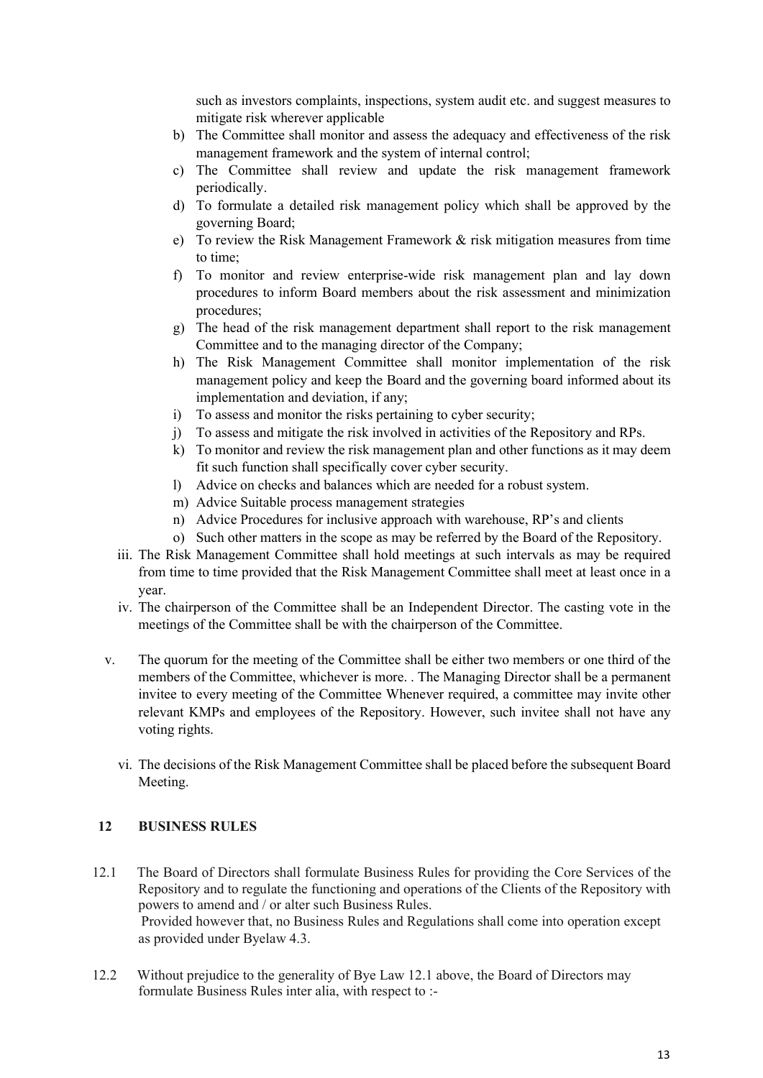such as investors complaints, inspections, system audit etc. and suggest measures to mitigate risk wherever applicable

- b) The Committee shall monitor and assess the adequacy and effectiveness of the risk management framework and the system of internal control;
- c) The Committee shall review and update the risk management framework periodically.
- d) To formulate a detailed risk management policy which shall be approved by the governing Board;
- e) To review the Risk Management Framework & risk mitigation measures from time to time;
- f) To monitor and review enterprise-wide risk management plan and lay down procedures to inform Board members about the risk assessment and minimization procedures;
- g) The head of the risk management department shall report to the risk management Committee and to the managing director of the Company;
- h) The Risk Management Committee shall monitor implementation of the risk management policy and keep the Board and the governing board informed about its implementation and deviation, if any;
- i) To assess and monitor the risks pertaining to cyber security;
- j) To assess and mitigate the risk involved in activities of the Repository and RPs.
- k) To monitor and review the risk management plan and other functions as it may deem fit such function shall specifically cover cyber security.
- l) Advice on checks and balances which are needed for a robust system.
- m) Advice Suitable process management strategies
- n) Advice Procedures for inclusive approach with warehouse, RP's and clients
- o) Such other matters in the scope as may be referred by the Board of the Repository.
- iii. The Risk Management Committee shall hold meetings at such intervals as may be required from time to time provided that the Risk Management Committee shall meet at least once in a year.
- iv. The chairperson of the Committee shall be an Independent Director. The casting vote in the meetings of the Committee shall be with the chairperson of the Committee.
- v. The quorum for the meeting of the Committee shall be either two members or one third of the members of the Committee, whichever is more. . The Managing Director shall be a permanent invitee to every meeting of the Committee Whenever required, a committee may invite other relevant KMPs and employees of the Repository. However, such invitee shall not have any voting rights.
	- vi. The decisions of the Risk Management Committee shall be placed before the subsequent Board Meeting.

## 12 BUSINESS RULES

- 12.1 The Board of Directors shall formulate Business Rules for providing the Core Services of the Repository and to regulate the functioning and operations of the Clients of the Repository with powers to amend and / or alter such Business Rules. Provided however that, no Business Rules and Regulations shall come into operation except as provided under Byelaw 4.3.
- 12.2 Without prejudice to the generality of Bye Law 12.1 above, the Board of Directors may formulate Business Rules inter alia, with respect to :-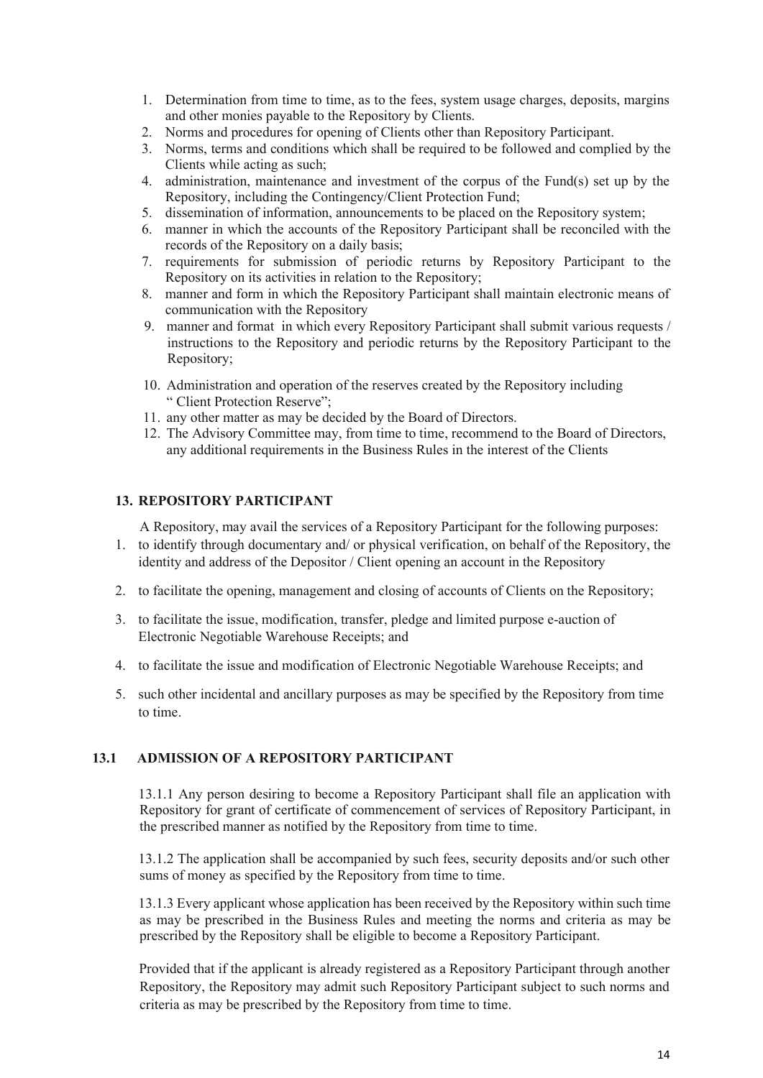- 1. Determination from time to time, as to the fees, system usage charges, deposits, margins and other monies payable to the Repository by Clients.
- 2. Norms and procedures for opening of Clients other than Repository Participant.
- 3. Norms, terms and conditions which shall be required to be followed and complied by the Clients while acting as such;
- 4. administration, maintenance and investment of the corpus of the Fund(s) set up by the Repository, including the Contingency/Client Protection Fund;
- 5. dissemination of information, announcements to be placed on the Repository system;
- 6. manner in which the accounts of the Repository Participant shall be reconciled with the records of the Repository on a daily basis;
- 7. requirements for submission of periodic returns by Repository Participant to the Repository on its activities in relation to the Repository;
- 8. manner and form in which the Repository Participant shall maintain electronic means of communication with the Repository
- 9. manner and format in which every Repository Participant shall submit various requests / instructions to the Repository and periodic returns by the Repository Participant to the Repository;
- 10. Administration and operation of the reserves created by the Repository including " Client Protection Reserve";
- 11. any other matter as may be decided by the Board of Directors.
- 12. The Advisory Committee may, from time to time, recommend to the Board of Directors, any additional requirements in the Business Rules in the interest of the Clients

### 13. REPOSITORY PARTICIPANT

A Repository, may avail the services of a Repository Participant for the following purposes:

- 1. to identify through documentary and/ or physical verification, on behalf of the Repository, the identity and address of the Depositor / Client opening an account in the Repository
- 2. to facilitate the opening, management and closing of accounts of Clients on the Repository;
- 3. to facilitate the issue, modification, transfer, pledge and limited purpose e-auction of Electronic Negotiable Warehouse Receipts; and
- 4. to facilitate the issue and modification of Electronic Negotiable Warehouse Receipts; and
- 5. such other incidental and ancillary purposes as may be specified by the Repository from time to time.

#### 13.1 ADMISSION OF A REPOSITORY PARTICIPANT

13.1.1 Any person desiring to become a Repository Participant shall file an application with Repository for grant of certificate of commencement of services of Repository Participant, in the prescribed manner as notified by the Repository from time to time.

13.1.2 The application shall be accompanied by such fees, security deposits and/or such other sums of money as specified by the Repository from time to time.

13.1.3 Every applicant whose application has been received by the Repository within such time as may be prescribed in the Business Rules and meeting the norms and criteria as may be prescribed by the Repository shall be eligible to become a Repository Participant.

Provided that if the applicant is already registered as a Repository Participant through another Repository, the Repository may admit such Repository Participant subject to such norms and criteria as may be prescribed by the Repository from time to time.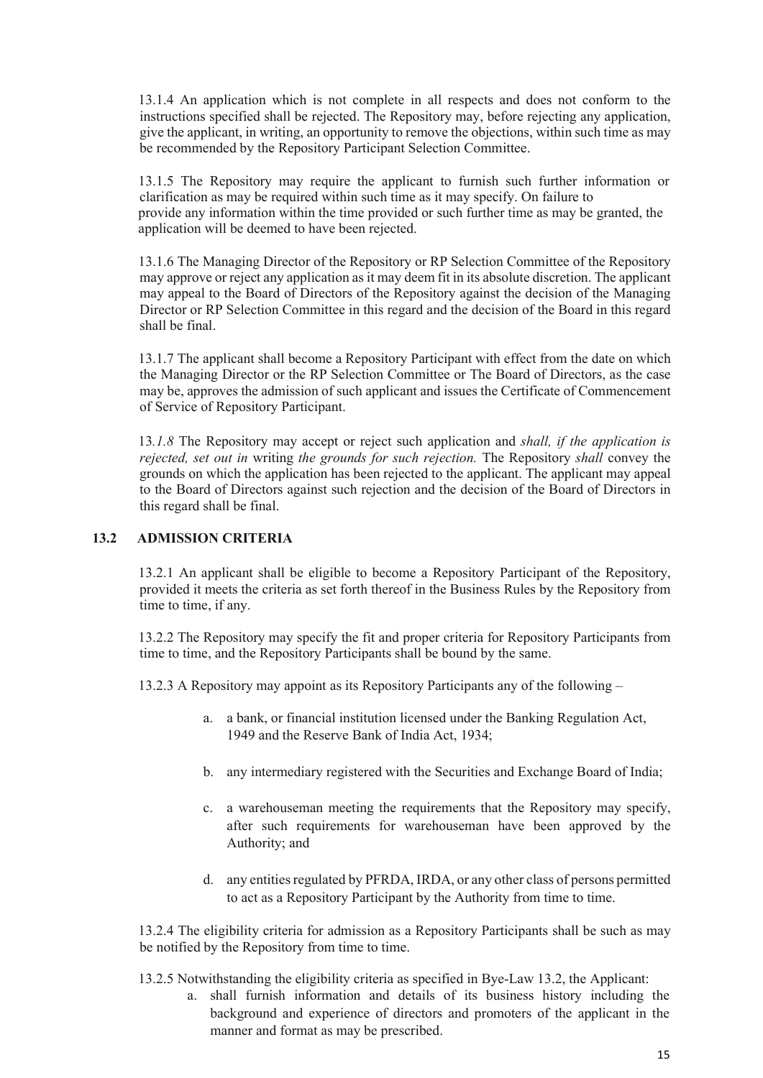13.1.4 An application which is not complete in all respects and does not conform to the instructions specified shall be rejected. The Repository may, before rejecting any application, give the applicant, in writing, an opportunity to remove the objections, within such time as may be recommended by the Repository Participant Selection Committee.

13.1.5 The Repository may require the applicant to furnish such further information or clarification as may be required within such time as it may specify. On failure to provide any information within the time provided or such further time as may be granted, the application will be deemed to have been rejected.

13.1.6 The Managing Director of the Repository or RP Selection Committee of the Repository may approve or reject any application as it may deem fit in its absolute discretion. The applicant may appeal to the Board of Directors of the Repository against the decision of the Managing Director or RP Selection Committee in this regard and the decision of the Board in this regard shall be final.

13.1.7 The applicant shall become a Repository Participant with effect from the date on which the Managing Director or the RP Selection Committee or The Board of Directors, as the case may be, approves the admission of such applicant and issues the Certificate of Commencement of Service of Repository Participant.

 $13.1.8$  The Repository may accept or reject such application and shall, if the application is rejected, set out in writing the grounds for such rejection. The Repository shall convey the grounds on which the application has been rejected to the applicant. The applicant may appeal to the Board of Directors against such rejection and the decision of the Board of Directors in this regard shall be final.

## 13.2 ADMISSION CRITERIA

13.2.1 An applicant shall be eligible to become a Repository Participant of the Repository, provided it meets the criteria as set forth thereof in the Business Rules by the Repository from time to time, if any.

13.2.2 The Repository may specify the fit and proper criteria for Repository Participants from time to time, and the Repository Participants shall be bound by the same.

13.2.3 A Repository may appoint as its Repository Participants any of the following –

- a. a bank, or financial institution licensed under the Banking Regulation Act, 1949 and the Reserve Bank of India Act, 1934;
- b. any intermediary registered with the Securities and Exchange Board of India;
- c. a warehouseman meeting the requirements that the Repository may specify, after such requirements for warehouseman have been approved by the Authority; and
- d. any entities regulated by PFRDA, IRDA, or any other class of persons permitted to act as a Repository Participant by the Authority from time to time.

13.2.4 The eligibility criteria for admission as a Repository Participants shall be such as may be notified by the Repository from time to time.

13.2.5 Notwithstanding the eligibility criteria as specified in Bye-Law 13.2, the Applicant:

a. shall furnish information and details of its business history including the background and experience of directors and promoters of the applicant in the manner and format as may be prescribed.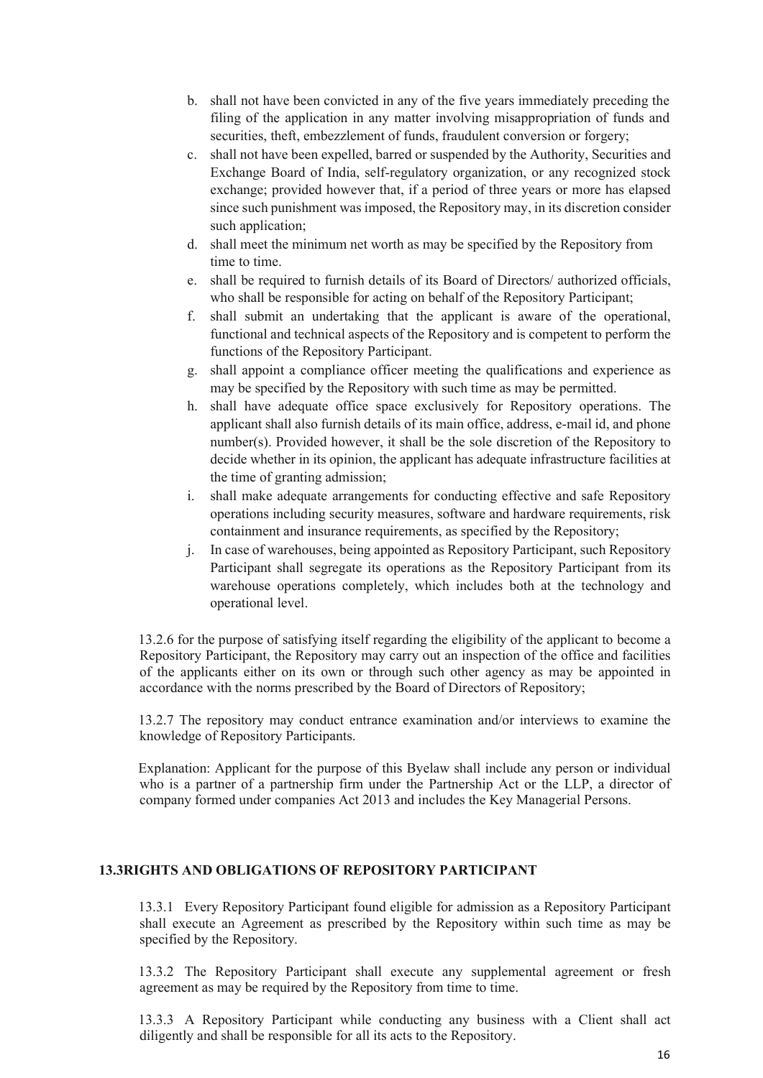- b. shall not have been convicted in any of the five years immediately preceding the filing of the application in any matter involving misappropriation of funds and securities, theft, embezzlement of funds, fraudulent conversion or forgery;
- c. shall not have been expelled, barred or suspended by the Authority, Securities and Exchange Board of India, self-regulatory organization, or any recognized stock exchange; provided however that, if a period of three years or more has elapsed since such punishment was imposed, the Repository may, in its discretion consider such application;
- d. shall meet the minimum net worth as may be specified by the Repository from time to time.
- e. shall be required to furnish details of its Board of Directors/ authorized officials, who shall be responsible for acting on behalf of the Repository Participant;
- f. shall submit an undertaking that the applicant is aware of the operational, functional and technical aspects of the Repository and is competent to perform the functions of the Repository Participant.
- g. shall appoint a compliance officer meeting the qualifications and experience as may be specified by the Repository with such time as may be permitted.
- h. shall have adequate office space exclusively for Repository operations. The applicant shall also furnish details of its main office, address, e-mail id, and phone number(s). Provided however, it shall be the sole discretion of the Repository to decide whether in its opinion, the applicant has adequate infrastructure facilities at the time of granting admission;
- i. shall make adequate arrangements for conducting effective and safe Repository operations including security measures, software and hardware requirements, risk containment and insurance requirements, as specified by the Repository;
- j. In case of warehouses, being appointed as Repository Participant, such Repository Participant shall segregate its operations as the Repository Participant from its warehouse operations completely, which includes both at the technology and operational level.

13.2.6 for the purpose of satisfying itself regarding the eligibility of the applicant to become a Repository Participant, the Repository may carry out an inspection of the office and facilities of the applicants either on its own or through such other agency as may be appointed in accordance with the norms prescribed by the Board of Directors of Repository;

13.2.7 The repository may conduct entrance examination and/or interviews to examine the knowledge of Repository Participants.

Explanation: Applicant for the purpose of this Byelaw shall include any person or individual who is a partner of a partnership firm under the Partnership Act or the LLP, a director of company formed under companies Act 2013 and includes the Key Managerial Persons.

#### 13.3RIGHTS AND OBLIGATIONS OF REPOSITORY PARTICIPANT

13.3.1 Every Repository Participant found eligible for admission as a Repository Participant shall execute an Agreement as prescribed by the Repository within such time as may be specified by the Repository.

13.3.2 The Repository Participant shall execute any supplemental agreement or fresh agreement as may be required by the Repository from time to time.

13.3.3 A Repository Participant while conducting any business with a Client shall act diligently and shall be responsible for all its acts to the Repository.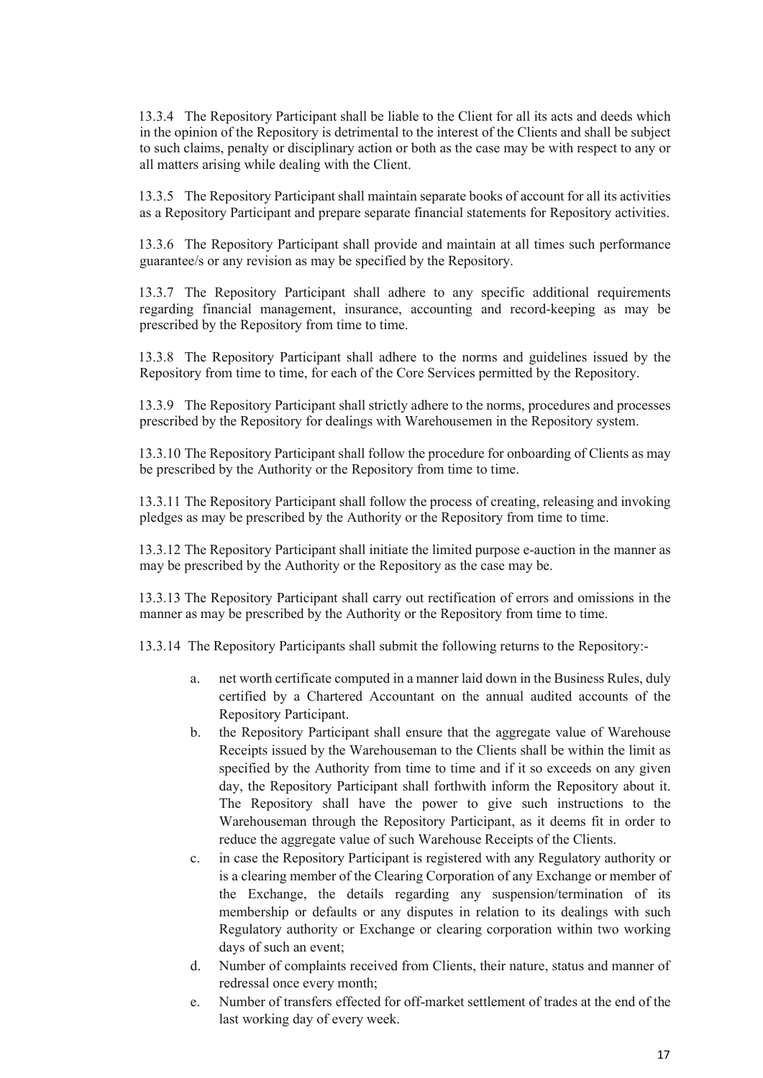13.3.4 The Repository Participant shall be liable to the Client for all its acts and deeds which in the opinion of the Repository is detrimental to the interest of the Clients and shall be subject to such claims, penalty or disciplinary action or both as the case may be with respect to any or all matters arising while dealing with the Client.

13.3.5 The Repository Participant shall maintain separate books of account for all its activities as a Repository Participant and prepare separate financial statements for Repository activities.

13.3.6 The Repository Participant shall provide and maintain at all times such performance guarantee/s or any revision as may be specified by the Repository.

13.3.7 The Repository Participant shall adhere to any specific additional requirements regarding financial management, insurance, accounting and record-keeping as may be prescribed by the Repository from time to time.

13.3.8 The Repository Participant shall adhere to the norms and guidelines issued by the Repository from time to time, for each of the Core Services permitted by the Repository.

13.3.9 The Repository Participant shall strictly adhere to the norms, procedures and processes prescribed by the Repository for dealings with Warehousemen in the Repository system.

13.3.10 The Repository Participant shall follow the procedure for onboarding of Clients as may be prescribed by the Authority or the Repository from time to time.

13.3.11 The Repository Participant shall follow the process of creating, releasing and invoking pledges as may be prescribed by the Authority or the Repository from time to time.

13.3.12 The Repository Participant shall initiate the limited purpose e-auction in the manner as may be prescribed by the Authority or the Repository as the case may be.

13.3.13 The Repository Participant shall carry out rectification of errors and omissions in the manner as may be prescribed by the Authority or the Repository from time to time.

13.3.14 The Repository Participants shall submit the following returns to the Repository:-

- a. net worth certificate computed in a manner laid down in the Business Rules, duly certified by a Chartered Accountant on the annual audited accounts of the Repository Participant.
- b. the Repository Participant shall ensure that the aggregate value of Warehouse Receipts issued by the Warehouseman to the Clients shall be within the limit as specified by the Authority from time to time and if it so exceeds on any given day, the Repository Participant shall forthwith inform the Repository about it. The Repository shall have the power to give such instructions to the Warehouseman through the Repository Participant, as it deems fit in order to reduce the aggregate value of such Warehouse Receipts of the Clients.
- c. in case the Repository Participant is registered with any Regulatory authority or is a clearing member of the Clearing Corporation of any Exchange or member of the Exchange, the details regarding any suspension/termination of its membership or defaults or any disputes in relation to its dealings with such Regulatory authority or Exchange or clearing corporation within two working days of such an event;
- d. Number of complaints received from Clients, their nature, status and manner of redressal once every month;
- e. Number of transfers effected for off-market settlement of trades at the end of the last working day of every week.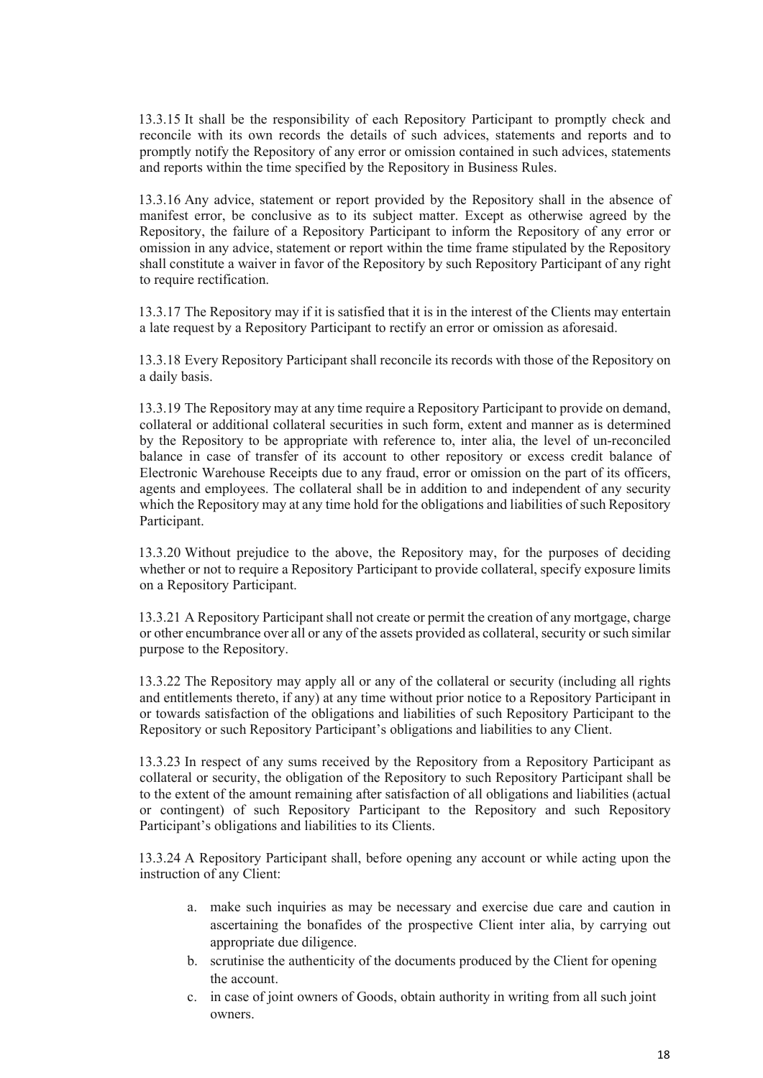13.3.15 It shall be the responsibility of each Repository Participant to promptly check and reconcile with its own records the details of such advices, statements and reports and to promptly notify the Repository of any error or omission contained in such advices, statements and reports within the time specified by the Repository in Business Rules.

13.3.16 Any advice, statement or report provided by the Repository shall in the absence of manifest error, be conclusive as to its subject matter. Except as otherwise agreed by the Repository, the failure of a Repository Participant to inform the Repository of any error or omission in any advice, statement or report within the time frame stipulated by the Repository shall constitute a waiver in favor of the Repository by such Repository Participant of any right to require rectification.

13.3.17 The Repository may if it is satisfied that it is in the interest of the Clients may entertain a late request by a Repository Participant to rectify an error or omission as aforesaid.

13.3.18 Every Repository Participant shall reconcile its records with those of the Repository on a daily basis.

13.3.19 The Repository may at any time require a Repository Participant to provide on demand, collateral or additional collateral securities in such form, extent and manner as is determined by the Repository to be appropriate with reference to, inter alia, the level of un-reconciled balance in case of transfer of its account to other repository or excess credit balance of Electronic Warehouse Receipts due to any fraud, error or omission on the part of its officers, agents and employees. The collateral shall be in addition to and independent of any security which the Repository may at any time hold for the obligations and liabilities of such Repository Participant.

13.3.20 Without prejudice to the above, the Repository may, for the purposes of deciding whether or not to require a Repository Participant to provide collateral, specify exposure limits on a Repository Participant.

13.3.21 A Repository Participant shall not create or permit the creation of any mortgage, charge or other encumbrance over all or any of the assets provided as collateral, security or such similar purpose to the Repository.

13.3.22 The Repository may apply all or any of the collateral or security (including all rights and entitlements thereto, if any) at any time without prior notice to a Repository Participant in or towards satisfaction of the obligations and liabilities of such Repository Participant to the Repository or such Repository Participant's obligations and liabilities to any Client.

13.3.23 In respect of any sums received by the Repository from a Repository Participant as collateral or security, the obligation of the Repository to such Repository Participant shall be to the extent of the amount remaining after satisfaction of all obligations and liabilities (actual or contingent) of such Repository Participant to the Repository and such Repository Participant's obligations and liabilities to its Clients.

13.3.24 A Repository Participant shall, before opening any account or while acting upon the instruction of any Client:

- a. make such inquiries as may be necessary and exercise due care and caution in ascertaining the bonafides of the prospective Client inter alia, by carrying out appropriate due diligence.
- b. scrutinise the authenticity of the documents produced by the Client for opening the account.
- c. in case of joint owners of Goods, obtain authority in writing from all such joint owners.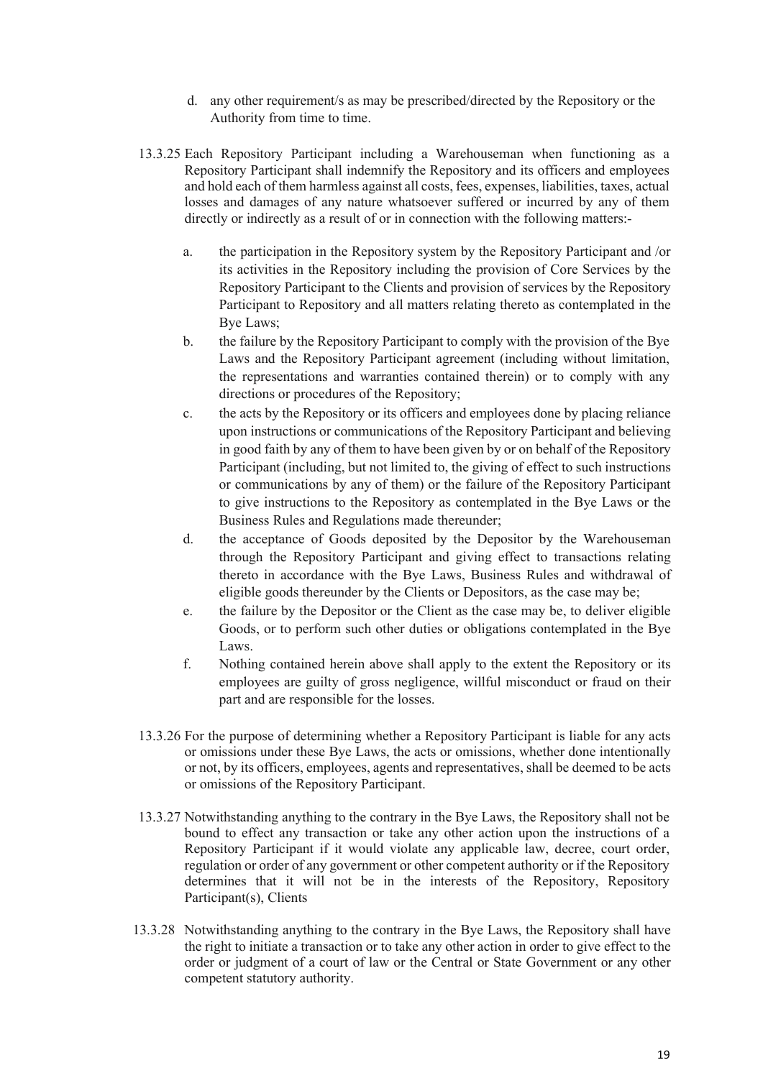- d. any other requirement/s as may be prescribed/directed by the Repository or the Authority from time to time.
- 13.3.25 Each Repository Participant including a Warehouseman when functioning as a Repository Participant shall indemnify the Repository and its officers and employees and hold each of them harmless against all costs, fees, expenses, liabilities, taxes, actual losses and damages of any nature whatsoever suffered or incurred by any of them directly or indirectly as a result of or in connection with the following matters:
	- a. the participation in the Repository system by the Repository Participant and /or its activities in the Repository including the provision of Core Services by the Repository Participant to the Clients and provision of services by the Repository Participant to Repository and all matters relating thereto as contemplated in the Bye Laws;
	- b. the failure by the Repository Participant to comply with the provision of the Bye Laws and the Repository Participant agreement (including without limitation, the representations and warranties contained therein) or to comply with any directions or procedures of the Repository;
	- c. the acts by the Repository or its officers and employees done by placing reliance upon instructions or communications of the Repository Participant and believing in good faith by any of them to have been given by or on behalf of the Repository Participant (including, but not limited to, the giving of effect to such instructions or communications by any of them) or the failure of the Repository Participant to give instructions to the Repository as contemplated in the Bye Laws or the Business Rules and Regulations made thereunder;
	- d. the acceptance of Goods deposited by the Depositor by the Warehouseman through the Repository Participant and giving effect to transactions relating thereto in accordance with the Bye Laws, Business Rules and withdrawal of eligible goods thereunder by the Clients or Depositors, as the case may be;
	- e. the failure by the Depositor or the Client as the case may be, to deliver eligible Goods, or to perform such other duties or obligations contemplated in the Bye Laws.
	- f. Nothing contained herein above shall apply to the extent the Repository or its employees are guilty of gross negligence, willful misconduct or fraud on their part and are responsible for the losses.
- 13.3.26 For the purpose of determining whether a Repository Participant is liable for any acts or omissions under these Bye Laws, the acts or omissions, whether done intentionally or not, by its officers, employees, agents and representatives, shall be deemed to be acts or omissions of the Repository Participant.
- 13.3.27 Notwithstanding anything to the contrary in the Bye Laws, the Repository shall not be bound to effect any transaction or take any other action upon the instructions of a Repository Participant if it would violate any applicable law, decree, court order, regulation or order of any government or other competent authority or if the Repository determines that it will not be in the interests of the Repository, Repository Participant(s), Clients
- 13.3.28 Notwithstanding anything to the contrary in the Bye Laws, the Repository shall have the right to initiate a transaction or to take any other action in order to give effect to the order or judgment of a court of law or the Central or State Government or any other competent statutory authority.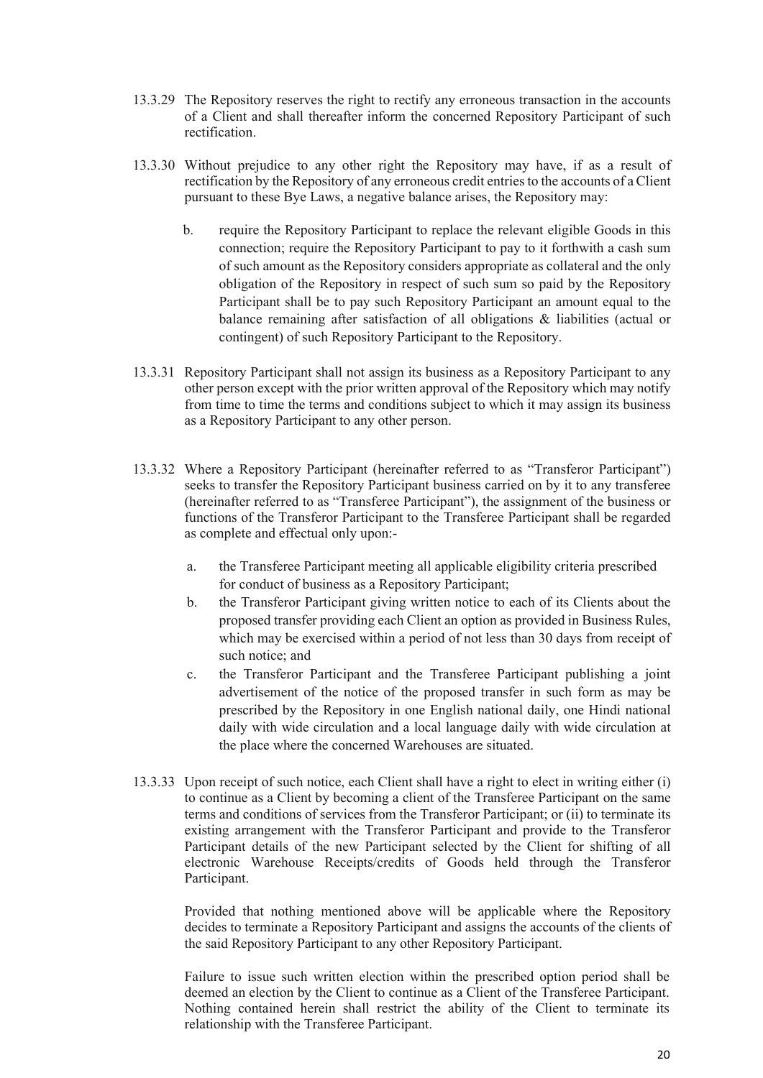- 13.3.29 The Repository reserves the right to rectify any erroneous transaction in the accounts of a Client and shall thereafter inform the concerned Repository Participant of such rectification.
- 13.3.30 Without prejudice to any other right the Repository may have, if as a result of rectification by the Repository of any erroneous credit entries to the accounts of a Client pursuant to these Bye Laws, a negative balance arises, the Repository may:
	- b. require the Repository Participant to replace the relevant eligible Goods in this connection; require the Repository Participant to pay to it forthwith a cash sum of such amount as the Repository considers appropriate as collateral and the only obligation of the Repository in respect of such sum so paid by the Repository Participant shall be to pay such Repository Participant an amount equal to the balance remaining after satisfaction of all obligations & liabilities (actual or contingent) of such Repository Participant to the Repository.
- 13.3.31 Repository Participant shall not assign its business as a Repository Participant to any other person except with the prior written approval of the Repository which may notify from time to time the terms and conditions subject to which it may assign its business as a Repository Participant to any other person.
- 13.3.32 Where a Repository Participant (hereinafter referred to as "Transferor Participant") seeks to transfer the Repository Participant business carried on by it to any transferee (hereinafter referred to as "Transferee Participant"), the assignment of the business or functions of the Transferor Participant to the Transferee Participant shall be regarded as complete and effectual only upon:
	- a. the Transferee Participant meeting all applicable eligibility criteria prescribed for conduct of business as a Repository Participant;
	- b. the Transferor Participant giving written notice to each of its Clients about the proposed transfer providing each Client an option as provided in Business Rules, which may be exercised within a period of not less than 30 days from receipt of such notice; and
	- c. the Transferor Participant and the Transferee Participant publishing a joint advertisement of the notice of the proposed transfer in such form as may be prescribed by the Repository in one English national daily, one Hindi national daily with wide circulation and a local language daily with wide circulation at the place where the concerned Warehouses are situated.
- 13.3.33 Upon receipt of such notice, each Client shall have a right to elect in writing either (i) to continue as a Client by becoming a client of the Transferee Participant on the same terms and conditions of services from the Transferor Participant; or (ii) to terminate its existing arrangement with the Transferor Participant and provide to the Transferor Participant details of the new Participant selected by the Client for shifting of all electronic Warehouse Receipts/credits of Goods held through the Transferor Participant.

Provided that nothing mentioned above will be applicable where the Repository decides to terminate a Repository Participant and assigns the accounts of the clients of the said Repository Participant to any other Repository Participant.

Failure to issue such written election within the prescribed option period shall be deemed an election by the Client to continue as a Client of the Transferee Participant. Nothing contained herein shall restrict the ability of the Client to terminate its relationship with the Transferee Participant.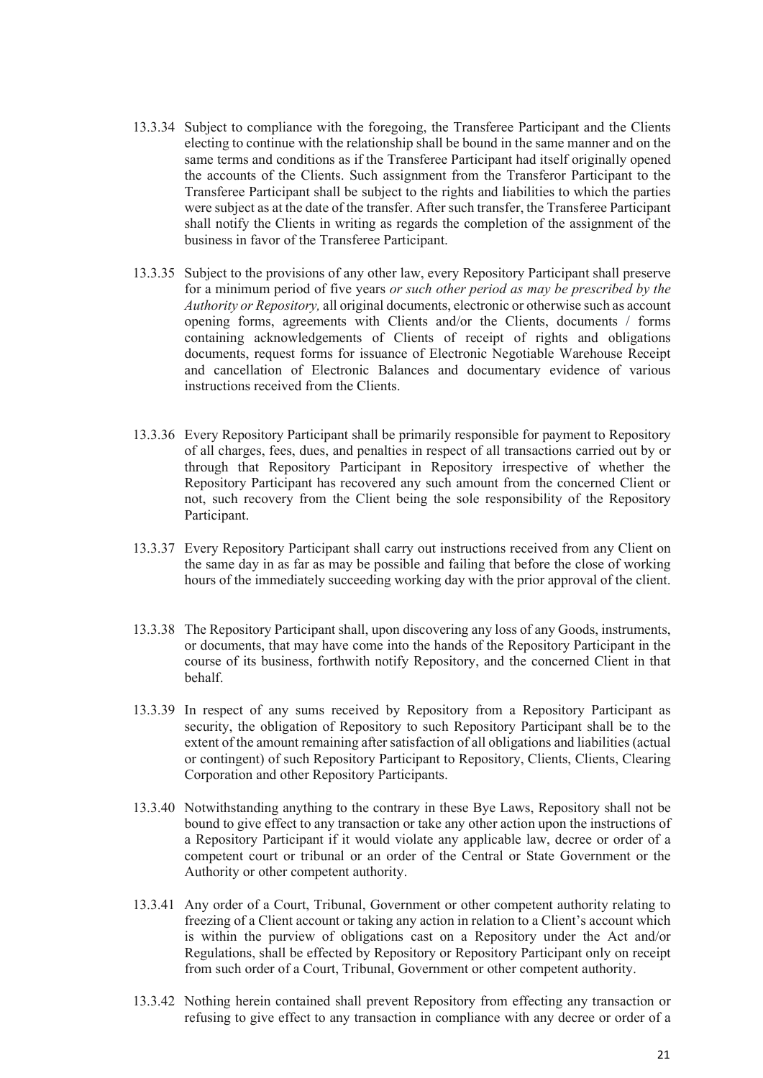- 13.3.34 Subject to compliance with the foregoing, the Transferee Participant and the Clients electing to continue with the relationship shall be bound in the same manner and on the same terms and conditions as if the Transferee Participant had itself originally opened the accounts of the Clients. Such assignment from the Transferor Participant to the Transferee Participant shall be subject to the rights and liabilities to which the parties were subject as at the date of the transfer. After such transfer, the Transferee Participant shall notify the Clients in writing as regards the completion of the assignment of the business in favor of the Transferee Participant.
- 13.3.35 Subject to the provisions of any other law, every Repository Participant shall preserve for a minimum period of five years or such other period as may be prescribed by the Authority or Repository, all original documents, electronic or otherwise such as account opening forms, agreements with Clients and/or the Clients, documents / forms containing acknowledgements of Clients of receipt of rights and obligations documents, request forms for issuance of Electronic Negotiable Warehouse Receipt and cancellation of Electronic Balances and documentary evidence of various instructions received from the Clients.
- 13.3.36 Every Repository Participant shall be primarily responsible for payment to Repository of all charges, fees, dues, and penalties in respect of all transactions carried out by or through that Repository Participant in Repository irrespective of whether the Repository Participant has recovered any such amount from the concerned Client or not, such recovery from the Client being the sole responsibility of the Repository Participant.
- 13.3.37 Every Repository Participant shall carry out instructions received from any Client on the same day in as far as may be possible and failing that before the close of working hours of the immediately succeeding working day with the prior approval of the client.
- 13.3.38 The Repository Participant shall, upon discovering any loss of any Goods, instruments, or documents, that may have come into the hands of the Repository Participant in the course of its business, forthwith notify Repository, and the concerned Client in that behalf.
- 13.3.39 In respect of any sums received by Repository from a Repository Participant as security, the obligation of Repository to such Repository Participant shall be to the extent of the amount remaining after satisfaction of all obligations and liabilities (actual or contingent) of such Repository Participant to Repository, Clients, Clients, Clearing Corporation and other Repository Participants.
- 13.3.40 Notwithstanding anything to the contrary in these Bye Laws, Repository shall not be bound to give effect to any transaction or take any other action upon the instructions of a Repository Participant if it would violate any applicable law, decree or order of a competent court or tribunal or an order of the Central or State Government or the Authority or other competent authority.
- 13.3.41 Any order of a Court, Tribunal, Government or other competent authority relating to freezing of a Client account or taking any action in relation to a Client's account which is within the purview of obligations cast on a Repository under the Act and/or Regulations, shall be effected by Repository or Repository Participant only on receipt from such order of a Court, Tribunal, Government or other competent authority.
- 13.3.42 Nothing herein contained shall prevent Repository from effecting any transaction or refusing to give effect to any transaction in compliance with any decree or order of a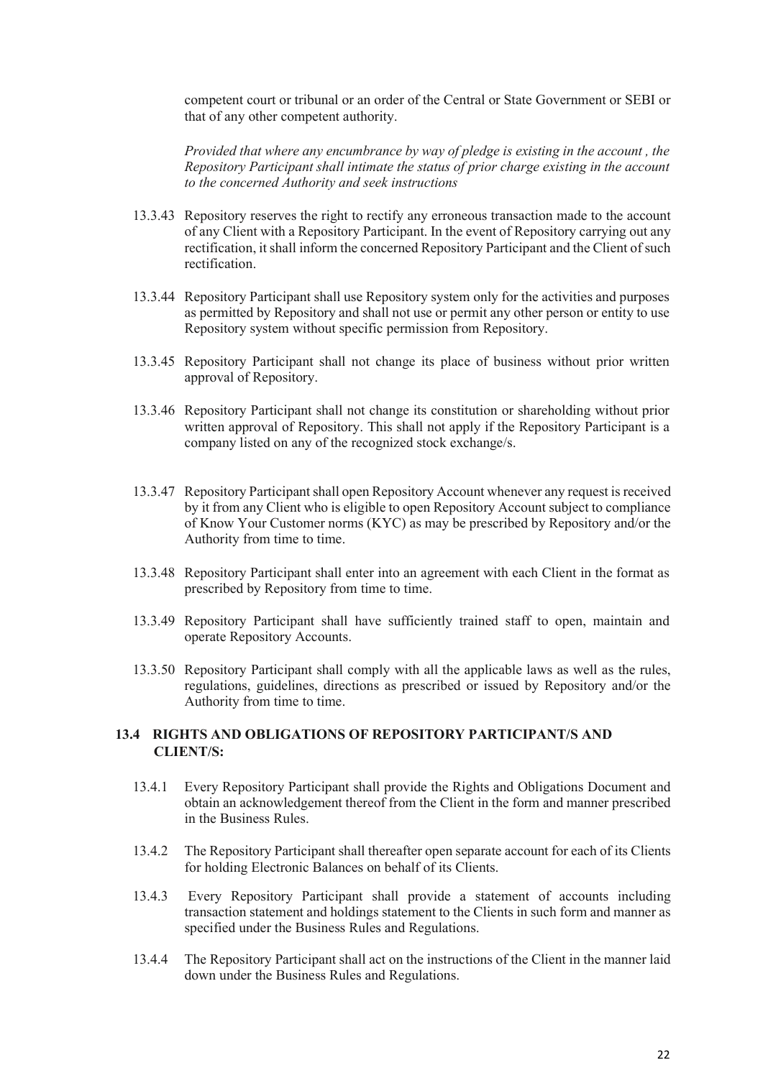competent court or tribunal or an order of the Central or State Government or SEBI or that of any other competent authority.

Provided that where any encumbrance by way of pledge is existing in the account , the Repository Participant shall intimate the status of prior charge existing in the account to the concerned Authority and seek instructions

- 13.3.43 Repository reserves the right to rectify any erroneous transaction made to the account of any Client with a Repository Participant. In the event of Repository carrying out any rectification, it shall inform the concerned Repository Participant and the Client of such rectification.
- 13.3.44 Repository Participant shall use Repository system only for the activities and purposes as permitted by Repository and shall not use or permit any other person or entity to use Repository system without specific permission from Repository.
- 13.3.45 Repository Participant shall not change its place of business without prior written approval of Repository.
- 13.3.46 Repository Participant shall not change its constitution or shareholding without prior written approval of Repository. This shall not apply if the Repository Participant is a company listed on any of the recognized stock exchange/s.
- 13.3.47 Repository Participant shall open Repository Account whenever any request is received by it from any Client who is eligible to open Repository Account subject to compliance of Know Your Customer norms (KYC) as may be prescribed by Repository and/or the Authority from time to time.
- 13.3.48 Repository Participant shall enter into an agreement with each Client in the format as prescribed by Repository from time to time.
- 13.3.49 Repository Participant shall have sufficiently trained staff to open, maintain and operate Repository Accounts.
- 13.3.50 Repository Participant shall comply with all the applicable laws as well as the rules, regulations, guidelines, directions as prescribed or issued by Repository and/or the Authority from time to time.

### 13.4 RIGHTS AND OBLIGATIONS OF REPOSITORY PARTICIPANT/S AND CLIENT/S:

- 13.4.1 Every Repository Participant shall provide the Rights and Obligations Document and obtain an acknowledgement thereof from the Client in the form and manner prescribed in the Business Rules.
- 13.4.2 The Repository Participant shall thereafter open separate account for each of its Clients for holding Electronic Balances on behalf of its Clients.
- 13.4.3 Every Repository Participant shall provide a statement of accounts including transaction statement and holdings statement to the Clients in such form and manner as specified under the Business Rules and Regulations.
- 13.4.4 The Repository Participant shall act on the instructions of the Client in the manner laid down under the Business Rules and Regulations.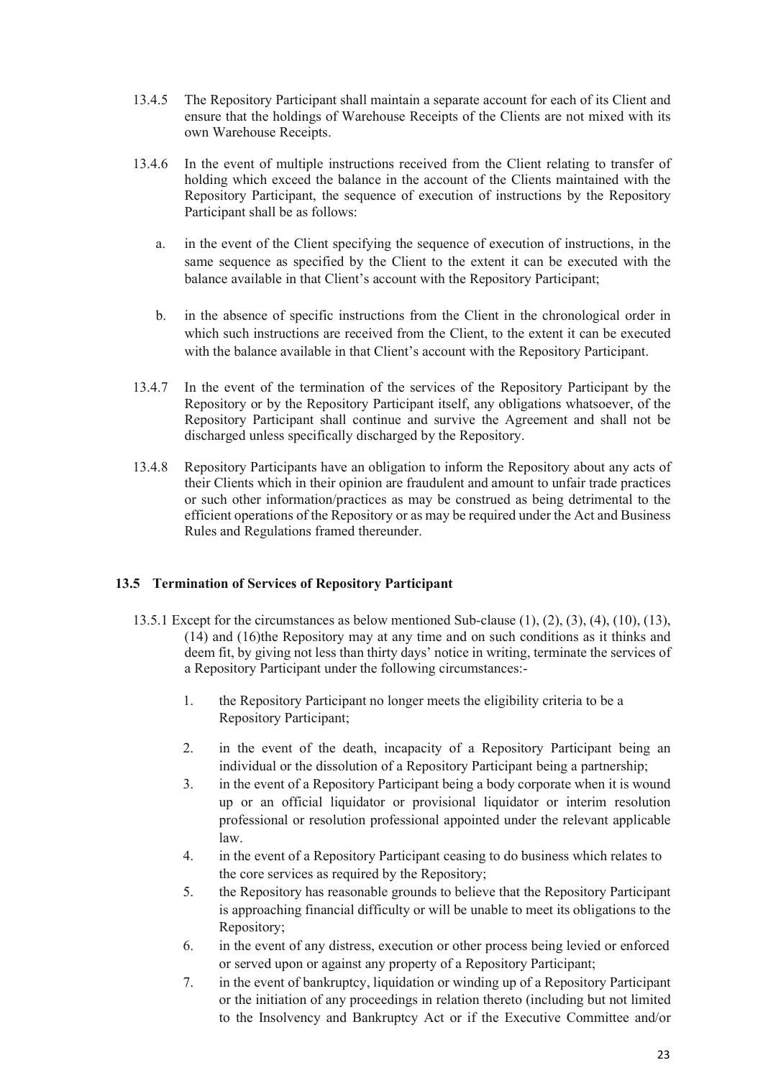- 13.4.5 The Repository Participant shall maintain a separate account for each of its Client and ensure that the holdings of Warehouse Receipts of the Clients are not mixed with its own Warehouse Receipts.
- 13.4.6 In the event of multiple instructions received from the Client relating to transfer of holding which exceed the balance in the account of the Clients maintained with the Repository Participant, the sequence of execution of instructions by the Repository Participant shall be as follows:
	- a. in the event of the Client specifying the sequence of execution of instructions, in the same sequence as specified by the Client to the extent it can be executed with the balance available in that Client's account with the Repository Participant;
	- b. in the absence of specific instructions from the Client in the chronological order in which such instructions are received from the Client, to the extent it can be executed with the balance available in that Client's account with the Repository Participant.
- 13.4.7 In the event of the termination of the services of the Repository Participant by the Repository or by the Repository Participant itself, any obligations whatsoever, of the Repository Participant shall continue and survive the Agreement and shall not be discharged unless specifically discharged by the Repository.
- 13.4.8 Repository Participants have an obligation to inform the Repository about any acts of their Clients which in their opinion are fraudulent and amount to unfair trade practices or such other information/practices as may be construed as being detrimental to the efficient operations of the Repository or as may be required under the Act and Business Rules and Regulations framed thereunder.

## 13.5 Termination of Services of Repository Participant

- 13.5.1 Except for the circumstances as below mentioned Sub-clause (1), (2), (3), (4), (10), (13), (14) and (16)the Repository may at any time and on such conditions as it thinks and deem fit, by giving not less than thirty days' notice in writing, terminate the services of a Repository Participant under the following circumstances:-
	- 1. the Repository Participant no longer meets the eligibility criteria to be a Repository Participant;
	- 2. in the event of the death, incapacity of a Repository Participant being an individual or the dissolution of a Repository Participant being a partnership;
	- 3. in the event of a Repository Participant being a body corporate when it is wound up or an official liquidator or provisional liquidator or interim resolution professional or resolution professional appointed under the relevant applicable law.
	- 4. in the event of a Repository Participant ceasing to do business which relates to the core services as required by the Repository;
	- 5. the Repository has reasonable grounds to believe that the Repository Participant is approaching financial difficulty or will be unable to meet its obligations to the Repository;
	- 6. in the event of any distress, execution or other process being levied or enforced or served upon or against any property of a Repository Participant;
	- 7. in the event of bankruptcy, liquidation or winding up of a Repository Participant or the initiation of any proceedings in relation thereto (including but not limited to the Insolvency and Bankruptcy Act or if the Executive Committee and/or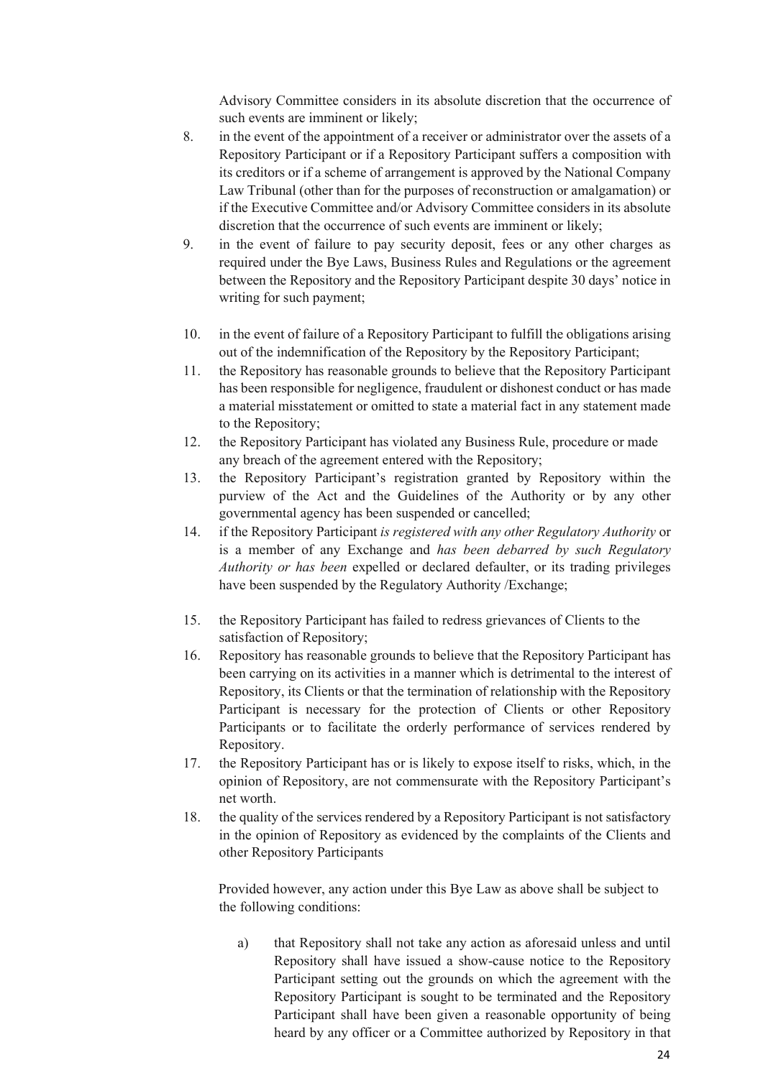Advisory Committee considers in its absolute discretion that the occurrence of such events are imminent or likely;

- 8. in the event of the appointment of a receiver or administrator over the assets of a Repository Participant or if a Repository Participant suffers a composition with its creditors or if a scheme of arrangement is approved by the National Company Law Tribunal (other than for the purposes of reconstruction or amalgamation) or if the Executive Committee and/or Advisory Committee considers in its absolute discretion that the occurrence of such events are imminent or likely;
- 9. in the event of failure to pay security deposit, fees or any other charges as required under the Bye Laws, Business Rules and Regulations or the agreement between the Repository and the Repository Participant despite 30 days' notice in writing for such payment;
- 10. in the event of failure of a Repository Participant to fulfill the obligations arising out of the indemnification of the Repository by the Repository Participant;
- 11. the Repository has reasonable grounds to believe that the Repository Participant has been responsible for negligence, fraudulent or dishonest conduct or has made a material misstatement or omitted to state a material fact in any statement made to the Repository;
- 12. the Repository Participant has violated any Business Rule, procedure or made any breach of the agreement entered with the Repository;
- 13. the Repository Participant's registration granted by Repository within the purview of the Act and the Guidelines of the Authority or by any other governmental agency has been suspended or cancelled;
- 14. if the Repository Participant is registered with any other Regulatory Authority or is a member of any Exchange and has been debarred by such Regulatory Authority or has been expelled or declared defaulter, or its trading privileges have been suspended by the Regulatory Authority /Exchange;
- 15. the Repository Participant has failed to redress grievances of Clients to the satisfaction of Repository;
- 16. Repository has reasonable grounds to believe that the Repository Participant has been carrying on its activities in a manner which is detrimental to the interest of Repository, its Clients or that the termination of relationship with the Repository Participant is necessary for the protection of Clients or other Repository Participants or to facilitate the orderly performance of services rendered by Repository.
- 17. the Repository Participant has or is likely to expose itself to risks, which, in the opinion of Repository, are not commensurate with the Repository Participant's net worth.
- 18. the quality of the services rendered by a Repository Participant is not satisfactory in the opinion of Repository as evidenced by the complaints of the Clients and other Repository Participants

Provided however, any action under this Bye Law as above shall be subject to the following conditions:

a) that Repository shall not take any action as aforesaid unless and until Repository shall have issued a show-cause notice to the Repository Participant setting out the grounds on which the agreement with the Repository Participant is sought to be terminated and the Repository Participant shall have been given a reasonable opportunity of being heard by any officer or a Committee authorized by Repository in that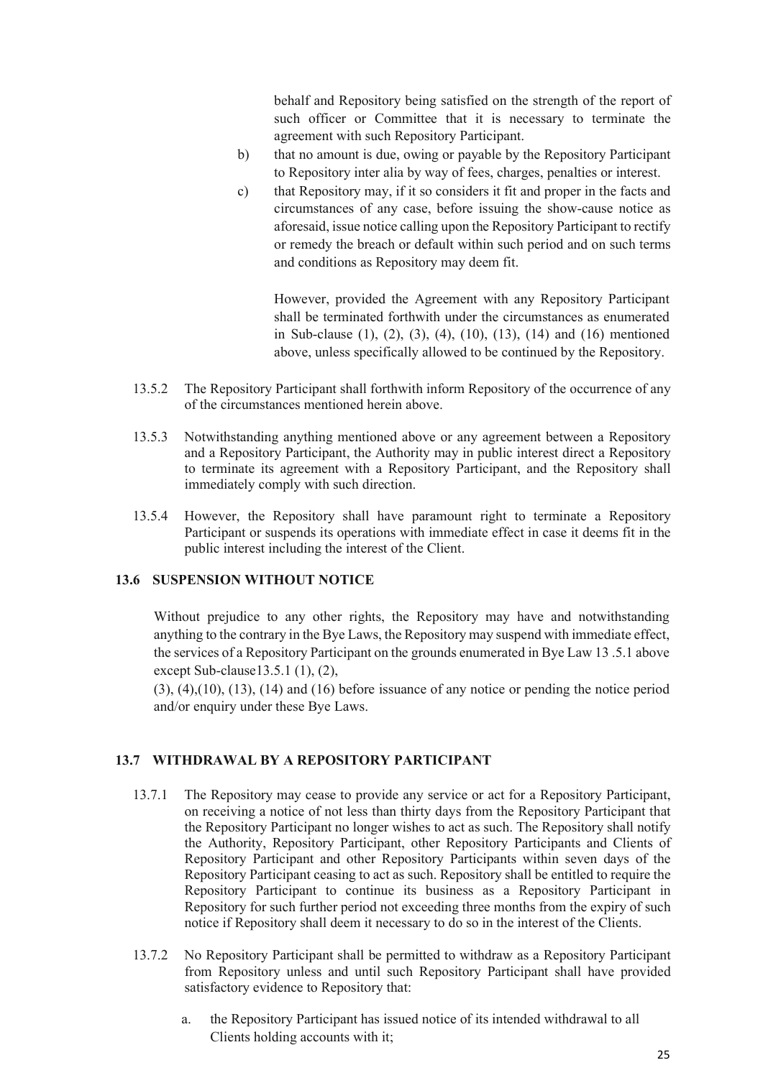behalf and Repository being satisfied on the strength of the report of such officer or Committee that it is necessary to terminate the agreement with such Repository Participant.

- b) that no amount is due, owing or payable by the Repository Participant to Repository inter alia by way of fees, charges, penalties or interest.
- c) that Repository may, if it so considers it fit and proper in the facts and circumstances of any case, before issuing the show-cause notice as aforesaid, issue notice calling upon the Repository Participant to rectify or remedy the breach or default within such period and on such terms and conditions as Repository may deem fit.

However, provided the Agreement with any Repository Participant shall be terminated forthwith under the circumstances as enumerated in Sub-clause (1), (2), (3), (4), (10), (13), (14) and (16) mentioned above, unless specifically allowed to be continued by the Repository.

- 13.5.2 The Repository Participant shall forthwith inform Repository of the occurrence of any of the circumstances mentioned herein above.
- 13.5.3 Notwithstanding anything mentioned above or any agreement between a Repository and a Repository Participant, the Authority may in public interest direct a Repository to terminate its agreement with a Repository Participant, and the Repository shall immediately comply with such direction.
- 13.5.4 However, the Repository shall have paramount right to terminate a Repository Participant or suspends its operations with immediate effect in case it deems fit in the public interest including the interest of the Client.

### 13.6 SUSPENSION WITHOUT NOTICE

Without prejudice to any other rights, the Repository may have and notwithstanding anything to the contrary in the Bye Laws, the Repository may suspend with immediate effect, the services of a Repository Participant on the grounds enumerated in Bye Law 13 .5.1 above except Sub-clause13.5.1 (1), (2),

(3), (4),(10), (13), (14) and (16) before issuance of any notice or pending the notice period and/or enquiry under these Bye Laws.

## 13.7 WITHDRAWAL BY A REPOSITORY PARTICIPANT

- 13.7.1 The Repository may cease to provide any service or act for a Repository Participant, on receiving a notice of not less than thirty days from the Repository Participant that the Repository Participant no longer wishes to act as such. The Repository shall notify the Authority, Repository Participant, other Repository Participants and Clients of Repository Participant and other Repository Participants within seven days of the Repository Participant ceasing to act as such. Repository shall be entitled to require the Repository Participant to continue its business as a Repository Participant in Repository for such further period not exceeding three months from the expiry of such notice if Repository shall deem it necessary to do so in the interest of the Clients.
- 13.7.2 No Repository Participant shall be permitted to withdraw as a Repository Participant from Repository unless and until such Repository Participant shall have provided satisfactory evidence to Repository that:
	- a. the Repository Participant has issued notice of its intended withdrawal to all Clients holding accounts with it;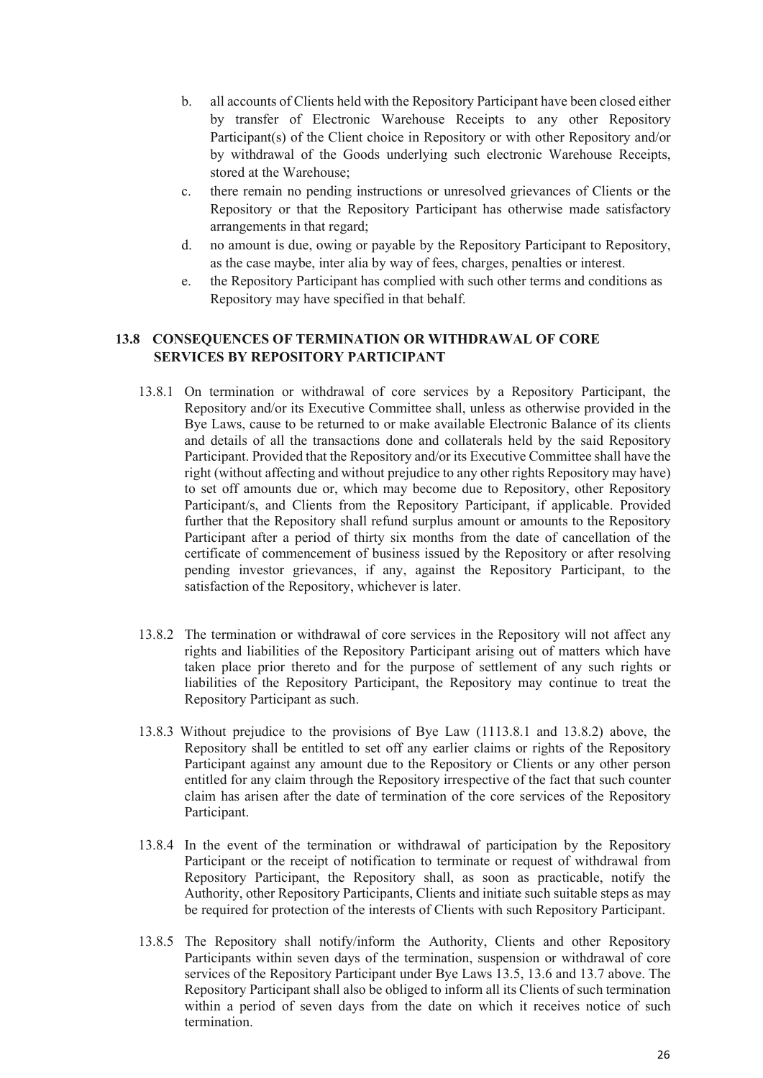- b. all accounts of Clients held with the Repository Participant have been closed either by transfer of Electronic Warehouse Receipts to any other Repository Participant(s) of the Client choice in Repository or with other Repository and/or by withdrawal of the Goods underlying such electronic Warehouse Receipts, stored at the Warehouse;
- c. there remain no pending instructions or unresolved grievances of Clients or the Repository or that the Repository Participant has otherwise made satisfactory arrangements in that regard;
- d. no amount is due, owing or payable by the Repository Participant to Repository, as the case maybe, inter alia by way of fees, charges, penalties or interest.
- e. the Repository Participant has complied with such other terms and conditions as Repository may have specified in that behalf.

## 13.8 CONSEQUENCES OF TERMINATION OR WITHDRAWAL OF CORE SERVICES BY REPOSITORY PARTICIPANT

- 13.8.1 On termination or withdrawal of core services by a Repository Participant, the Repository and/or its Executive Committee shall, unless as otherwise provided in the Bye Laws, cause to be returned to or make available Electronic Balance of its clients and details of all the transactions done and collaterals held by the said Repository Participant. Provided that the Repository and/or its Executive Committee shall have the right (without affecting and without prejudice to any other rights Repository may have) to set off amounts due or, which may become due to Repository, other Repository Participant/s, and Clients from the Repository Participant, if applicable. Provided further that the Repository shall refund surplus amount or amounts to the Repository Participant after a period of thirty six months from the date of cancellation of the certificate of commencement of business issued by the Repository or after resolving pending investor grievances, if any, against the Repository Participant, to the satisfaction of the Repository, whichever is later.
- 13.8.2 The termination or withdrawal of core services in the Repository will not affect any rights and liabilities of the Repository Participant arising out of matters which have taken place prior thereto and for the purpose of settlement of any such rights or liabilities of the Repository Participant, the Repository may continue to treat the Repository Participant as such.
- 13.8.3 Without prejudice to the provisions of Bye Law (1113.8.1 and 13.8.2) above, the Repository shall be entitled to set off any earlier claims or rights of the Repository Participant against any amount due to the Repository or Clients or any other person entitled for any claim through the Repository irrespective of the fact that such counter claim has arisen after the date of termination of the core services of the Repository Participant.
- 13.8.4 In the event of the termination or withdrawal of participation by the Repository Participant or the receipt of notification to terminate or request of withdrawal from Repository Participant, the Repository shall, as soon as practicable, notify the Authority, other Repository Participants, Clients and initiate such suitable steps as may be required for protection of the interests of Clients with such Repository Participant.
- 13.8.5 The Repository shall notify/inform the Authority, Clients and other Repository Participants within seven days of the termination, suspension or withdrawal of core services of the Repository Participant under Bye Laws 13.5, 13.6 and 13.7 above. The Repository Participant shall also be obliged to inform all its Clients of such termination within a period of seven days from the date on which it receives notice of such termination.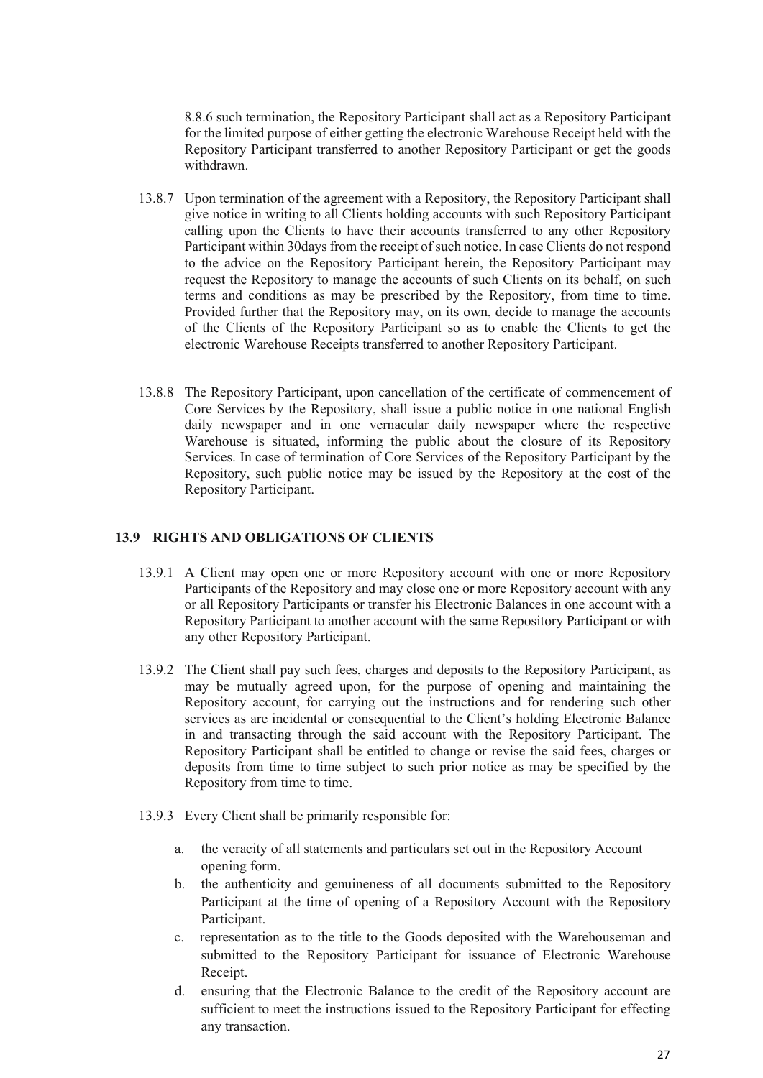8.8.6 such termination, the Repository Participant shall act as a Repository Participant for the limited purpose of either getting the electronic Warehouse Receipt held with the Repository Participant transferred to another Repository Participant or get the goods withdrawn.

- 13.8.7 Upon termination of the agreement with a Repository, the Repository Participant shall give notice in writing to all Clients holding accounts with such Repository Participant calling upon the Clients to have their accounts transferred to any other Repository Participant within 30days from the receipt of such notice. In case Clients do not respond to the advice on the Repository Participant herein, the Repository Participant may request the Repository to manage the accounts of such Clients on its behalf, on such terms and conditions as may be prescribed by the Repository, from time to time. Provided further that the Repository may, on its own, decide to manage the accounts of the Clients of the Repository Participant so as to enable the Clients to get the electronic Warehouse Receipts transferred to another Repository Participant.
- 13.8.8 The Repository Participant, upon cancellation of the certificate of commencement of Core Services by the Repository, shall issue a public notice in one national English daily newspaper and in one vernacular daily newspaper where the respective Warehouse is situated, informing the public about the closure of its Repository Services. In case of termination of Core Services of the Repository Participant by the Repository, such public notice may be issued by the Repository at the cost of the Repository Participant.

## 13.9 RIGHTS AND OBLIGATIONS OF CLIENTS

- 13.9.1 A Client may open one or more Repository account with one or more Repository Participants of the Repository and may close one or more Repository account with any or all Repository Participants or transfer his Electronic Balances in one account with a Repository Participant to another account with the same Repository Participant or with any other Repository Participant.
- 13.9.2 The Client shall pay such fees, charges and deposits to the Repository Participant, as may be mutually agreed upon, for the purpose of opening and maintaining the Repository account, for carrying out the instructions and for rendering such other services as are incidental or consequential to the Client's holding Electronic Balance in and transacting through the said account with the Repository Participant. The Repository Participant shall be entitled to change or revise the said fees, charges or deposits from time to time subject to such prior notice as may be specified by the Repository from time to time.
- 13.9.3 Every Client shall be primarily responsible for:
	- a. the veracity of all statements and particulars set out in the Repository Account opening form.
	- b. the authenticity and genuineness of all documents submitted to the Repository Participant at the time of opening of a Repository Account with the Repository Participant.
	- c. representation as to the title to the Goods deposited with the Warehouseman and submitted to the Repository Participant for issuance of Electronic Warehouse Receipt.
	- d. ensuring that the Electronic Balance to the credit of the Repository account are sufficient to meet the instructions issued to the Repository Participant for effecting any transaction.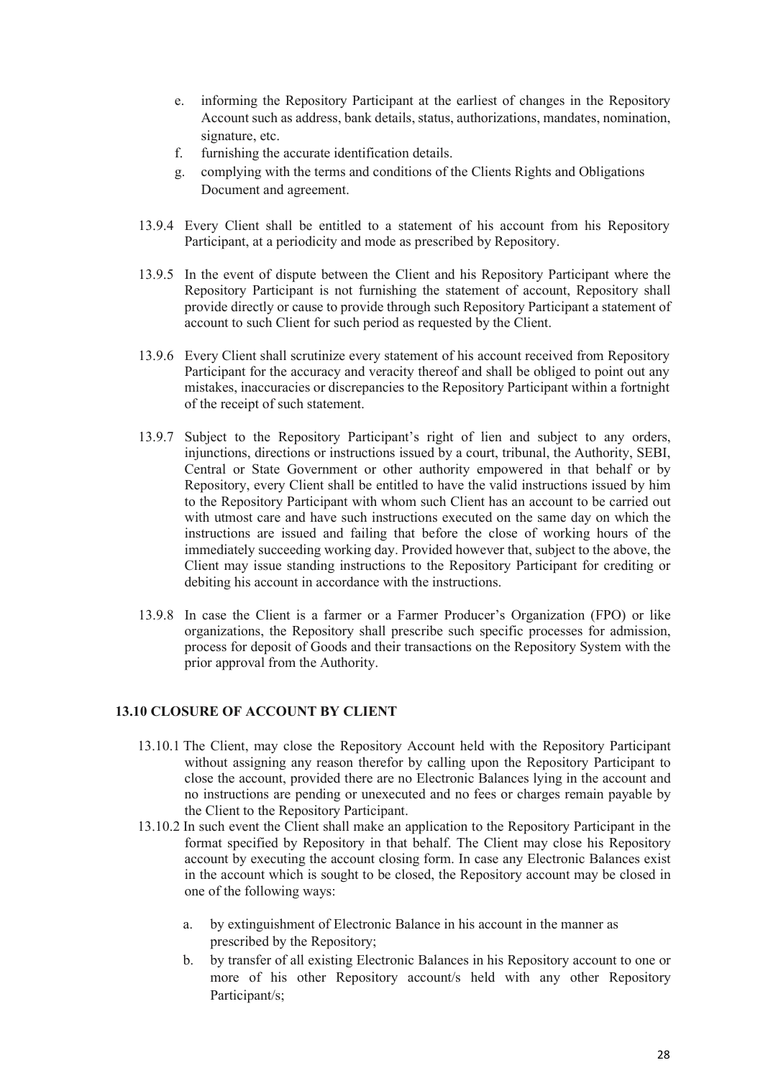- e. informing the Repository Participant at the earliest of changes in the Repository Account such as address, bank details, status, authorizations, mandates, nomination, signature, etc.
- f. furnishing the accurate identification details.
- g. complying with the terms and conditions of the Clients Rights and Obligations Document and agreement.
- 13.9.4 Every Client shall be entitled to a statement of his account from his Repository Participant, at a periodicity and mode as prescribed by Repository.
- 13.9.5 In the event of dispute between the Client and his Repository Participant where the Repository Participant is not furnishing the statement of account, Repository shall provide directly or cause to provide through such Repository Participant a statement of account to such Client for such period as requested by the Client.
- 13.9.6 Every Client shall scrutinize every statement of his account received from Repository Participant for the accuracy and veracity thereof and shall be obliged to point out any mistakes, inaccuracies or discrepancies to the Repository Participant within a fortnight of the receipt of such statement.
- 13.9.7 Subject to the Repository Participant's right of lien and subject to any orders, injunctions, directions or instructions issued by a court, tribunal, the Authority, SEBI, Central or State Government or other authority empowered in that behalf or by Repository, every Client shall be entitled to have the valid instructions issued by him to the Repository Participant with whom such Client has an account to be carried out with utmost care and have such instructions executed on the same day on which the instructions are issued and failing that before the close of working hours of the immediately succeeding working day. Provided however that, subject to the above, the Client may issue standing instructions to the Repository Participant for crediting or debiting his account in accordance with the instructions.
- 13.9.8 In case the Client is a farmer or a Farmer Producer's Organization (FPO) or like organizations, the Repository shall prescribe such specific processes for admission, process for deposit of Goods and their transactions on the Repository System with the prior approval from the Authority.

#### 13.10 CLOSURE OF ACCOUNT BY CLIENT

- 13.10.1 The Client, may close the Repository Account held with the Repository Participant without assigning any reason therefor by calling upon the Repository Participant to close the account, provided there are no Electronic Balances lying in the account and no instructions are pending or unexecuted and no fees or charges remain payable by the Client to the Repository Participant.
- 13.10.2 In such event the Client shall make an application to the Repository Participant in the format specified by Repository in that behalf. The Client may close his Repository account by executing the account closing form. In case any Electronic Balances exist in the account which is sought to be closed, the Repository account may be closed in one of the following ways:
	- a. by extinguishment of Electronic Balance in his account in the manner as prescribed by the Repository;
	- b. by transfer of all existing Electronic Balances in his Repository account to one or more of his other Repository account/s held with any other Repository Participant/s;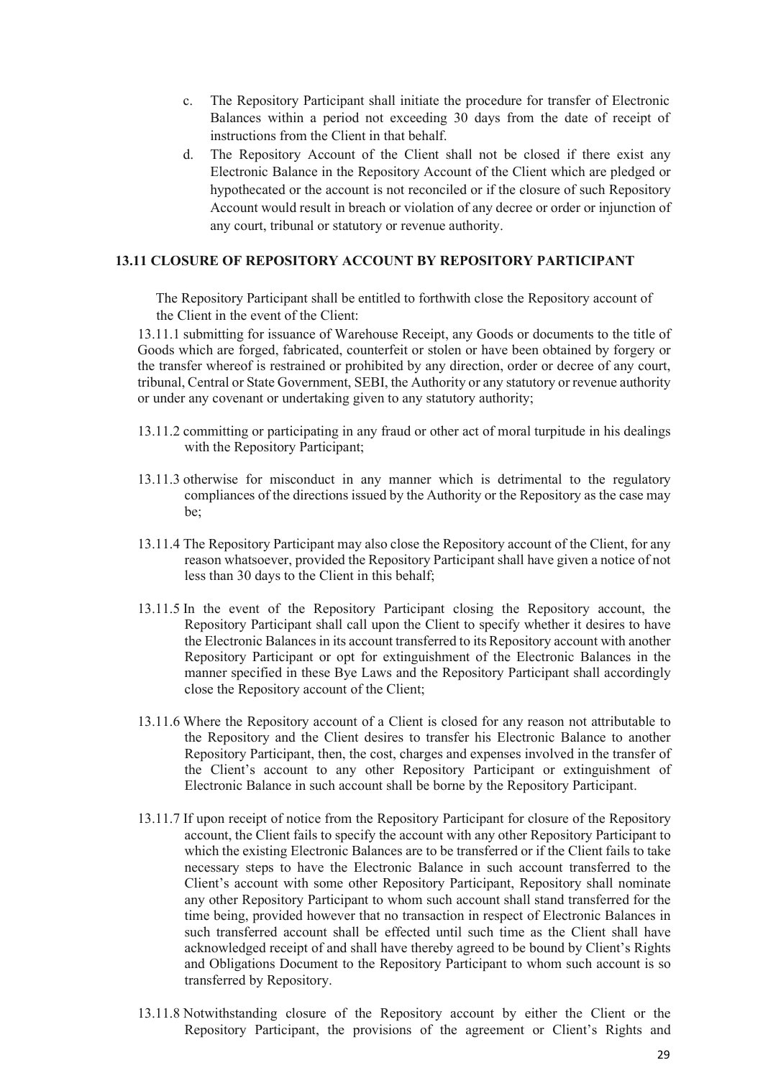- c. The Repository Participant shall initiate the procedure for transfer of Electronic Balances within a period not exceeding 30 days from the date of receipt of instructions from the Client in that behalf.
- d. The Repository Account of the Client shall not be closed if there exist any Electronic Balance in the Repository Account of the Client which are pledged or hypothecated or the account is not reconciled or if the closure of such Repository Account would result in breach or violation of any decree or order or injunction of any court, tribunal or statutory or revenue authority.

## 13.11 CLOSURE OF REPOSITORY ACCOUNT BY REPOSITORY PARTICIPANT

The Repository Participant shall be entitled to forthwith close the Repository account of the Client in the event of the Client:

13.11.1 submitting for issuance of Warehouse Receipt, any Goods or documents to the title of Goods which are forged, fabricated, counterfeit or stolen or have been obtained by forgery or the transfer whereof is restrained or prohibited by any direction, order or decree of any court, tribunal, Central or State Government, SEBI, the Authority or any statutory or revenue authority or under any covenant or undertaking given to any statutory authority;

- 13.11.2 committing or participating in any fraud or other act of moral turpitude in his dealings with the Repository Participant;
- 13.11.3 otherwise for misconduct in any manner which is detrimental to the regulatory compliances of the directions issued by the Authority or the Repository as the case may be;
- 13.11.4 The Repository Participant may also close the Repository account of the Client, for any reason whatsoever, provided the Repository Participant shall have given a notice of not less than 30 days to the Client in this behalf;
- 13.11.5 In the event of the Repository Participant closing the Repository account, the Repository Participant shall call upon the Client to specify whether it desires to have the Electronic Balances in its account transferred to its Repository account with another Repository Participant or opt for extinguishment of the Electronic Balances in the manner specified in these Bye Laws and the Repository Participant shall accordingly close the Repository account of the Client;
- 13.11.6 Where the Repository account of a Client is closed for any reason not attributable to the Repository and the Client desires to transfer his Electronic Balance to another Repository Participant, then, the cost, charges and expenses involved in the transfer of the Client's account to any other Repository Participant or extinguishment of Electronic Balance in such account shall be borne by the Repository Participant.
- 13.11.7 If upon receipt of notice from the Repository Participant for closure of the Repository account, the Client fails to specify the account with any other Repository Participant to which the existing Electronic Balances are to be transferred or if the Client fails to take necessary steps to have the Electronic Balance in such account transferred to the Client's account with some other Repository Participant, Repository shall nominate any other Repository Participant to whom such account shall stand transferred for the time being, provided however that no transaction in respect of Electronic Balances in such transferred account shall be effected until such time as the Client shall have acknowledged receipt of and shall have thereby agreed to be bound by Client's Rights and Obligations Document to the Repository Participant to whom such account is so transferred by Repository.
- 13.11.8 Notwithstanding closure of the Repository account by either the Client or the Repository Participant, the provisions of the agreement or Client's Rights and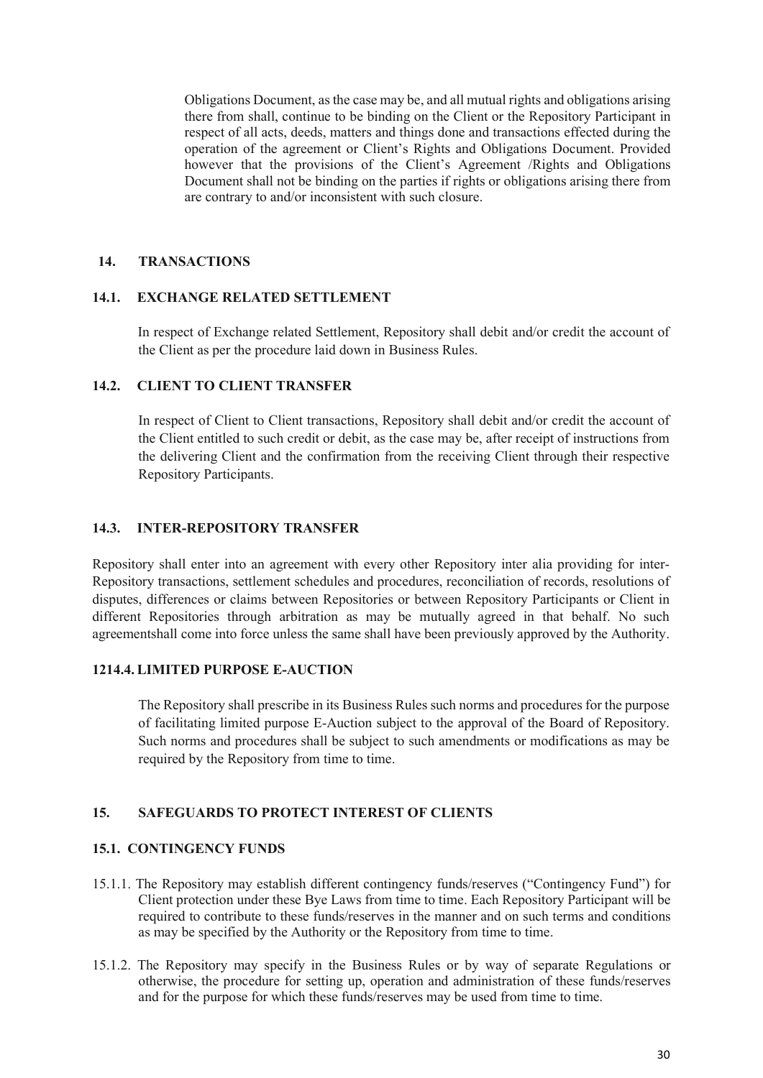Obligations Document, as the case may be, and all mutual rights and obligations arising there from shall, continue to be binding on the Client or the Repository Participant in respect of all acts, deeds, matters and things done and transactions effected during the operation of the agreement or Client's Rights and Obligations Document. Provided however that the provisions of the Client's Agreement /Rights and Obligations Document shall not be binding on the parties if rights or obligations arising there from are contrary to and/or inconsistent with such closure.

### 14. TRANSACTIONS

### 14.1. EXCHANGE RELATED SETTLEMENT

In respect of Exchange related Settlement, Repository shall debit and/or credit the account of the Client as per the procedure laid down in Business Rules.

## 14.2. CLIENT TO CLIENT TRANSFER

In respect of Client to Client transactions, Repository shall debit and/or credit the account of the Client entitled to such credit or debit, as the case may be, after receipt of instructions from the delivering Client and the confirmation from the receiving Client through their respective Repository Participants.

### 14.3. INTER-REPOSITORY TRANSFER

Repository shall enter into an agreement with every other Repository inter alia providing for inter-Repository transactions, settlement schedules and procedures, reconciliation of records, resolutions of disputes, differences or claims between Repositories or between Repository Participants or Client in different Repositories through arbitration as may be mutually agreed in that behalf. No such agreementshall come into force unless the same shall have been previously approved by the Authority.

#### 1214.4. LIMITED PURPOSE E-AUCTION

The Repository shall prescribe in its Business Rules such norms and procedures for the purpose of facilitating limited purpose E-Auction subject to the approval of the Board of Repository. Such norms and procedures shall be subject to such amendments or modifications as may be required by the Repository from time to time.

## 15. SAFEGUARDS TO PROTECT INTEREST OF CLIENTS

#### 15.1. CONTINGENCY FUNDS

- 15.1.1. The Repository may establish different contingency funds/reserves ("Contingency Fund") for Client protection under these Bye Laws from time to time. Each Repository Participant will be required to contribute to these funds/reserves in the manner and on such terms and conditions as may be specified by the Authority or the Repository from time to time.
- 15.1.2. The Repository may specify in the Business Rules or by way of separate Regulations or otherwise, the procedure for setting up, operation and administration of these funds/reserves and for the purpose for which these funds/reserves may be used from time to time.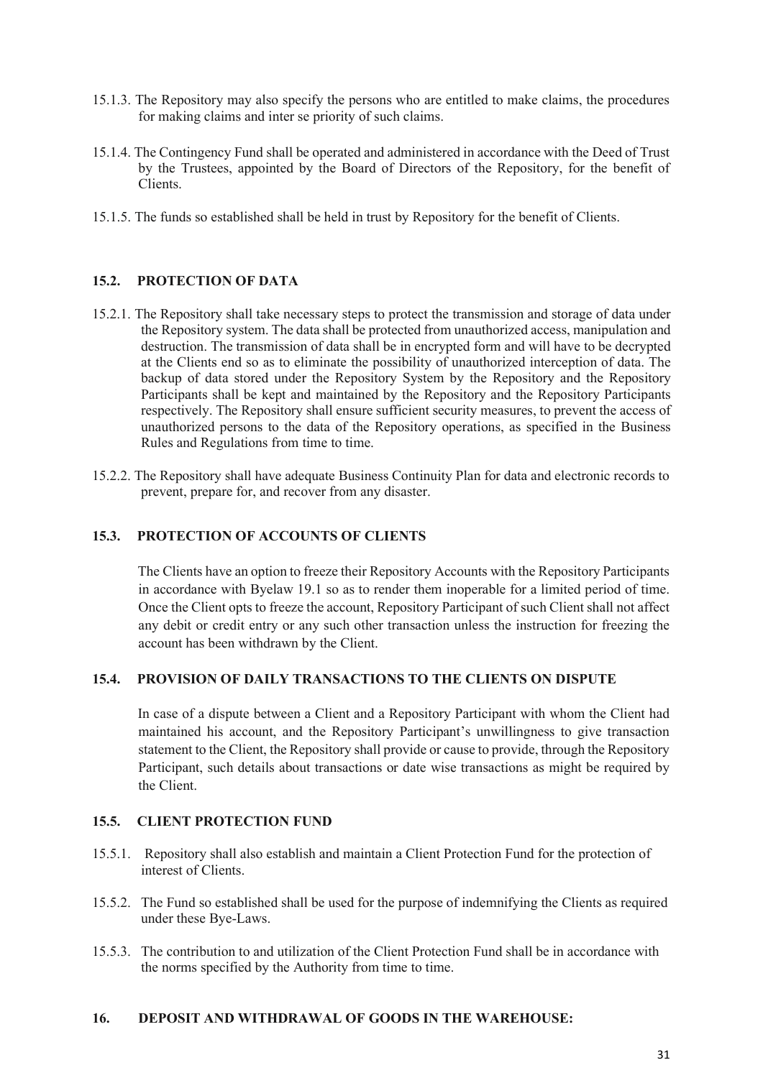- 15.1.3. The Repository may also specify the persons who are entitled to make claims, the procedures for making claims and inter se priority of such claims.
- 15.1.4. The Contingency Fund shall be operated and administered in accordance with the Deed of Trust by the Trustees, appointed by the Board of Directors of the Repository, for the benefit of Clients.
- 15.1.5. The funds so established shall be held in trust by Repository for the benefit of Clients.

## 15.2. PROTECTION OF DATA

- 15.2.1. The Repository shall take necessary steps to protect the transmission and storage of data under the Repository system. The data shall be protected from unauthorized access, manipulation and destruction. The transmission of data shall be in encrypted form and will have to be decrypted at the Clients end so as to eliminate the possibility of unauthorized interception of data. The backup of data stored under the Repository System by the Repository and the Repository Participants shall be kept and maintained by the Repository and the Repository Participants respectively. The Repository shall ensure sufficient security measures, to prevent the access of unauthorized persons to the data of the Repository operations, as specified in the Business Rules and Regulations from time to time.
- 15.2.2. The Repository shall have adequate Business Continuity Plan for data and electronic records to prevent, prepare for, and recover from any disaster.

### 15.3. PROTECTION OF ACCOUNTS OF CLIENTS

The Clients have an option to freeze their Repository Accounts with the Repository Participants in accordance with Byelaw 19.1 so as to render them inoperable for a limited period of time. Once the Client opts to freeze the account, Repository Participant of such Client shall not affect any debit or credit entry or any such other transaction unless the instruction for freezing the account has been withdrawn by the Client.

#### 15.4. PROVISION OF DAILY TRANSACTIONS TO THE CLIENTS ON DISPUTE

In case of a dispute between a Client and a Repository Participant with whom the Client had maintained his account, and the Repository Participant's unwillingness to give transaction statement to the Client, the Repository shall provide or cause to provide, through the Repository Participant, such details about transactions or date wise transactions as might be required by the Client.

## 15.5. CLIENT PROTECTION FUND

- 15.5.1. Repository shall also establish and maintain a Client Protection Fund for the protection of interest of Clients.
- 15.5.2. The Fund so established shall be used for the purpose of indemnifying the Clients as required under these Bye-Laws.
- 15.5.3. The contribution to and utilization of the Client Protection Fund shall be in accordance with the norms specified by the Authority from time to time.

### 16. DEPOSIT AND WITHDRAWAL OF GOODS IN THE WAREHOUSE: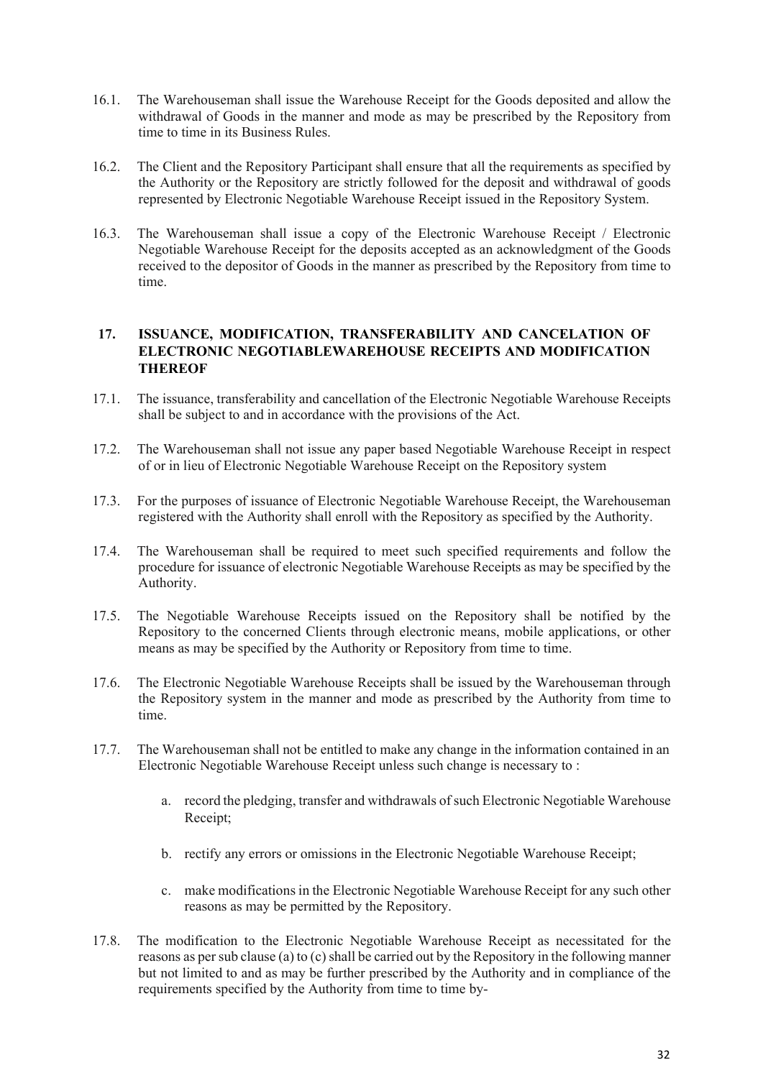- 16.1. The Warehouseman shall issue the Warehouse Receipt for the Goods deposited and allow the withdrawal of Goods in the manner and mode as may be prescribed by the Repository from time to time in its Business Rules.
- 16.2. The Client and the Repository Participant shall ensure that all the requirements as specified by the Authority or the Repository are strictly followed for the deposit and withdrawal of goods represented by Electronic Negotiable Warehouse Receipt issued in the Repository System.
- 16.3. The Warehouseman shall issue a copy of the Electronic Warehouse Receipt / Electronic Negotiable Warehouse Receipt for the deposits accepted as an acknowledgment of the Goods received to the depositor of Goods in the manner as prescribed by the Repository from time to time.

### 17. ISSUANCE, MODIFICATION, TRANSFERABILITY AND CANCELATION OF ELECTRONIC NEGOTIABLEWAREHOUSE RECEIPTS AND MODIFICATION **THEREOF**

- 17.1. The issuance, transferability and cancellation of the Electronic Negotiable Warehouse Receipts shall be subject to and in accordance with the provisions of the Act.
- 17.2. The Warehouseman shall not issue any paper based Negotiable Warehouse Receipt in respect of or in lieu of Electronic Negotiable Warehouse Receipt on the Repository system
- 17.3. For the purposes of issuance of Electronic Negotiable Warehouse Receipt, the Warehouseman registered with the Authority shall enroll with the Repository as specified by the Authority.
- 17.4. The Warehouseman shall be required to meet such specified requirements and follow the procedure for issuance of electronic Negotiable Warehouse Receipts as may be specified by the Authority.
- 17.5. The Negotiable Warehouse Receipts issued on the Repository shall be notified by the Repository to the concerned Clients through electronic means, mobile applications, or other means as may be specified by the Authority or Repository from time to time.
- 17.6. The Electronic Negotiable Warehouse Receipts shall be issued by the Warehouseman through the Repository system in the manner and mode as prescribed by the Authority from time to time.
- 17.7. The Warehouseman shall not be entitled to make any change in the information contained in an Electronic Negotiable Warehouse Receipt unless such change is necessary to :
	- a. record the pledging, transfer and withdrawals of such Electronic Negotiable Warehouse Receipt;
	- b. rectify any errors or omissions in the Electronic Negotiable Warehouse Receipt;
	- c. make modifications in the Electronic Negotiable Warehouse Receipt for any such other reasons as may be permitted by the Repository.
- 17.8. The modification to the Electronic Negotiable Warehouse Receipt as necessitated for the reasons as per sub clause (a) to (c) shall be carried out by the Repository in the following manner but not limited to and as may be further prescribed by the Authority and in compliance of the requirements specified by the Authority from time to time by-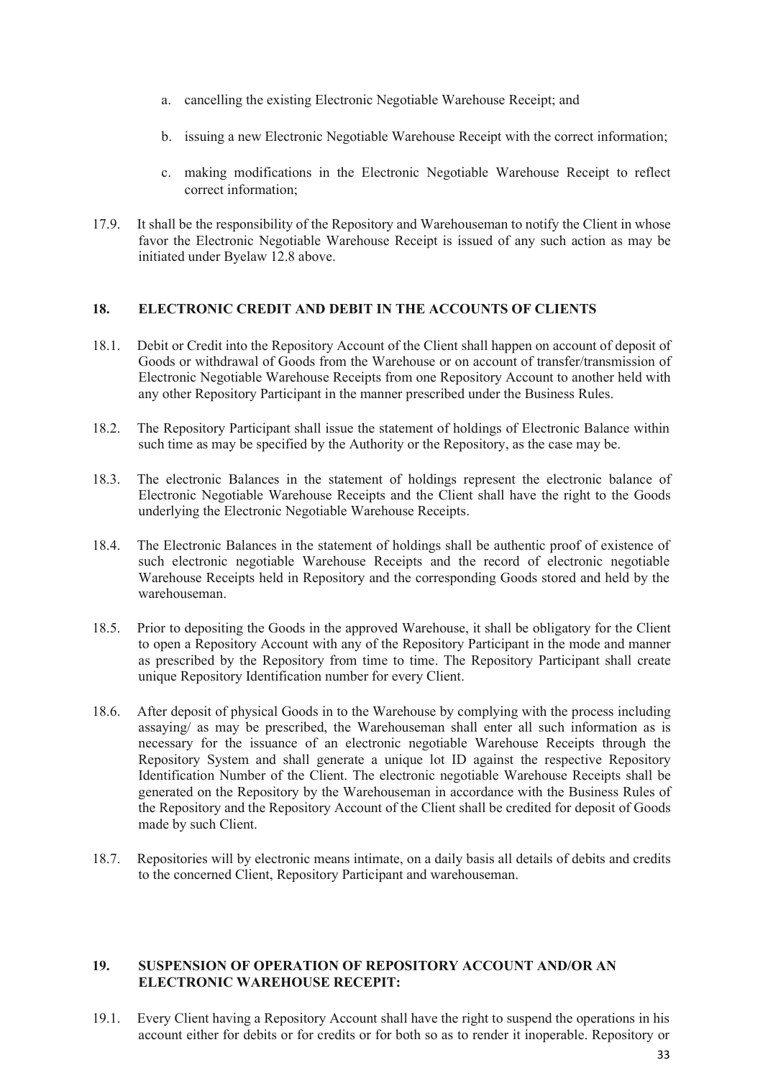- a. cancelling the existing Electronic Negotiable Warehouse Receipt; and
- b. issuing a new Electronic Negotiable Warehouse Receipt with the correct information;
- c. making modifications in the Electronic Negotiable Warehouse Receipt to reflect correct information;
- 17.9. It shall be the responsibility of the Repository and Warehouseman to notify the Client in whose favor the Electronic Negotiable Warehouse Receipt is issued of any such action as may be initiated under Byelaw 12.8 above.

### 18. ELECTRONIC CREDIT AND DEBIT IN THE ACCOUNTS OF CLIENTS

- 18.1. Debit or Credit into the Repository Account of the Client shall happen on account of deposit of Goods or withdrawal of Goods from the Warehouse or on account of transfer/transmission of Electronic Negotiable Warehouse Receipts from one Repository Account to another held with any other Repository Participant in the manner prescribed under the Business Rules.
- 18.2. The Repository Participant shall issue the statement of holdings of Electronic Balance within such time as may be specified by the Authority or the Repository, as the case may be.
- 18.3. The electronic Balances in the statement of holdings represent the electronic balance of Electronic Negotiable Warehouse Receipts and the Client shall have the right to the Goods underlying the Electronic Negotiable Warehouse Receipts.
- 18.4. The Electronic Balances in the statement of holdings shall be authentic proof of existence of such electronic negotiable Warehouse Receipts and the record of electronic negotiable Warehouse Receipts held in Repository and the corresponding Goods stored and held by the warehouseman.
- 18.5. Prior to depositing the Goods in the approved Warehouse, it shall be obligatory for the Client to open a Repository Account with any of the Repository Participant in the mode and manner as prescribed by the Repository from time to time. The Repository Participant shall create unique Repository Identification number for every Client.
- 18.6. After deposit of physical Goods in to the Warehouse by complying with the process including assaying/ as may be prescribed, the Warehouseman shall enter all such information as is necessary for the issuance of an electronic negotiable Warehouse Receipts through the Repository System and shall generate a unique lot ID against the respective Repository Identification Number of the Client. The electronic negotiable Warehouse Receipts shall be generated on the Repository by the Warehouseman in accordance with the Business Rules of the Repository and the Repository Account of the Client shall be credited for deposit of Goods made by such Client.
- 18.7. Repositories will by electronic means intimate, on a daily basis all details of debits and credits to the concerned Client, Repository Participant and warehouseman.

### 19. SUSPENSION OF OPERATION OF REPOSITORY ACCOUNT AND/OR AN ELECTRONIC WAREHOUSE RECEPIT:

19.1. Every Client having a Repository Account shall have the right to suspend the operations in his account either for debits or for credits or for both so as to render it inoperable. Repository or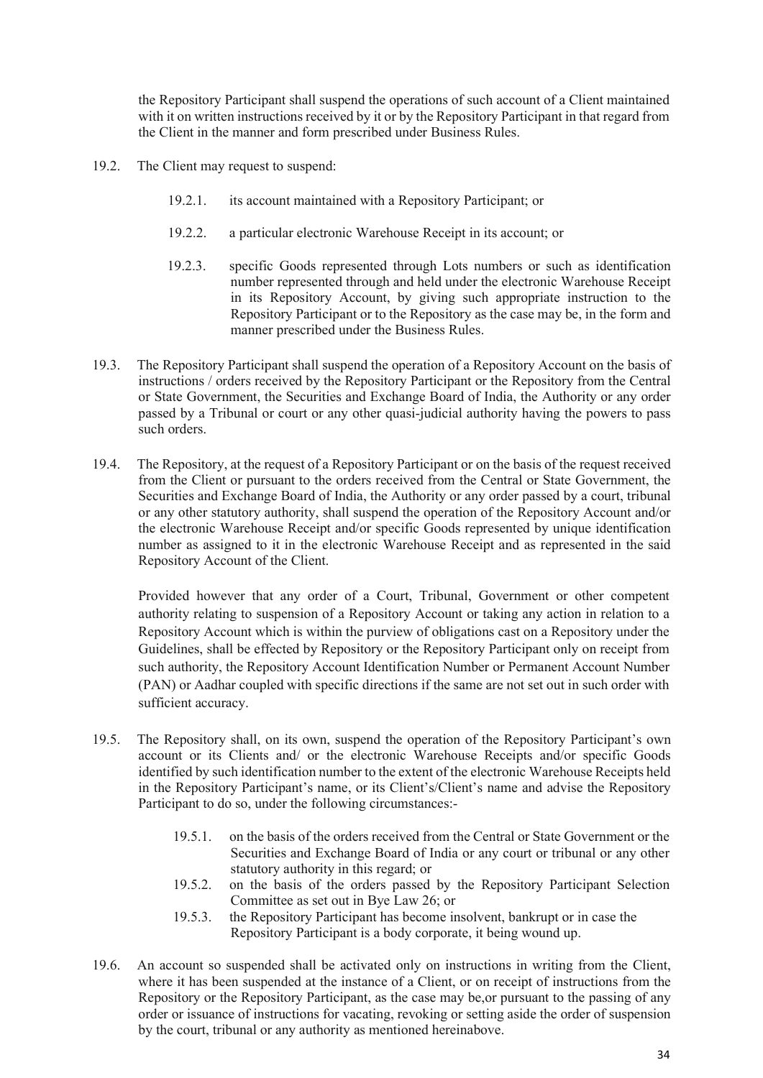the Repository Participant shall suspend the operations of such account of a Client maintained with it on written instructions received by it or by the Repository Participant in that regard from the Client in the manner and form prescribed under Business Rules.

- 19.2. The Client may request to suspend:
	- 19.2.1. its account maintained with a Repository Participant; or
	- 19.2.2. a particular electronic Warehouse Receipt in its account; or
	- 19.2.3. specific Goods represented through Lots numbers or such as identification number represented through and held under the electronic Warehouse Receipt in its Repository Account, by giving such appropriate instruction to the Repository Participant or to the Repository as the case may be, in the form and manner prescribed under the Business Rules.
- 19.3. The Repository Participant shall suspend the operation of a Repository Account on the basis of instructions / orders received by the Repository Participant or the Repository from the Central or State Government, the Securities and Exchange Board of India, the Authority or any order passed by a Tribunal or court or any other quasi-judicial authority having the powers to pass such orders.
- 19.4. The Repository, at the request of a Repository Participant or on the basis of the request received from the Client or pursuant to the orders received from the Central or State Government, the Securities and Exchange Board of India, the Authority or any order passed by a court, tribunal or any other statutory authority, shall suspend the operation of the Repository Account and/or the electronic Warehouse Receipt and/or specific Goods represented by unique identification number as assigned to it in the electronic Warehouse Receipt and as represented in the said Repository Account of the Client.

Provided however that any order of a Court, Tribunal, Government or other competent authority relating to suspension of a Repository Account or taking any action in relation to a Repository Account which is within the purview of obligations cast on a Repository under the Guidelines, shall be effected by Repository or the Repository Participant only on receipt from such authority, the Repository Account Identification Number or Permanent Account Number (PAN) or Aadhar coupled with specific directions if the same are not set out in such order with sufficient accuracy.

- 19.5. The Repository shall, on its own, suspend the operation of the Repository Participant's own account or its Clients and/ or the electronic Warehouse Receipts and/or specific Goods identified by such identification number to the extent of the electronic Warehouse Receipts held in the Repository Participant's name, or its Client's/Client's name and advise the Repository Participant to do so, under the following circumstances:-
	- 19.5.1. on the basis of the orders received from the Central or State Government or the Securities and Exchange Board of India or any court or tribunal or any other statutory authority in this regard; or
	- 19.5.2. on the basis of the orders passed by the Repository Participant Selection Committee as set out in Bye Law 26; or
	- 19.5.3. the Repository Participant has become insolvent, bankrupt or in case the Repository Participant is a body corporate, it being wound up.
- 19.6. An account so suspended shall be activated only on instructions in writing from the Client, where it has been suspended at the instance of a Client, or on receipt of instructions from the Repository or the Repository Participant, as the case may be,or pursuant to the passing of any order or issuance of instructions for vacating, revoking or setting aside the order of suspension by the court, tribunal or any authority as mentioned hereinabove.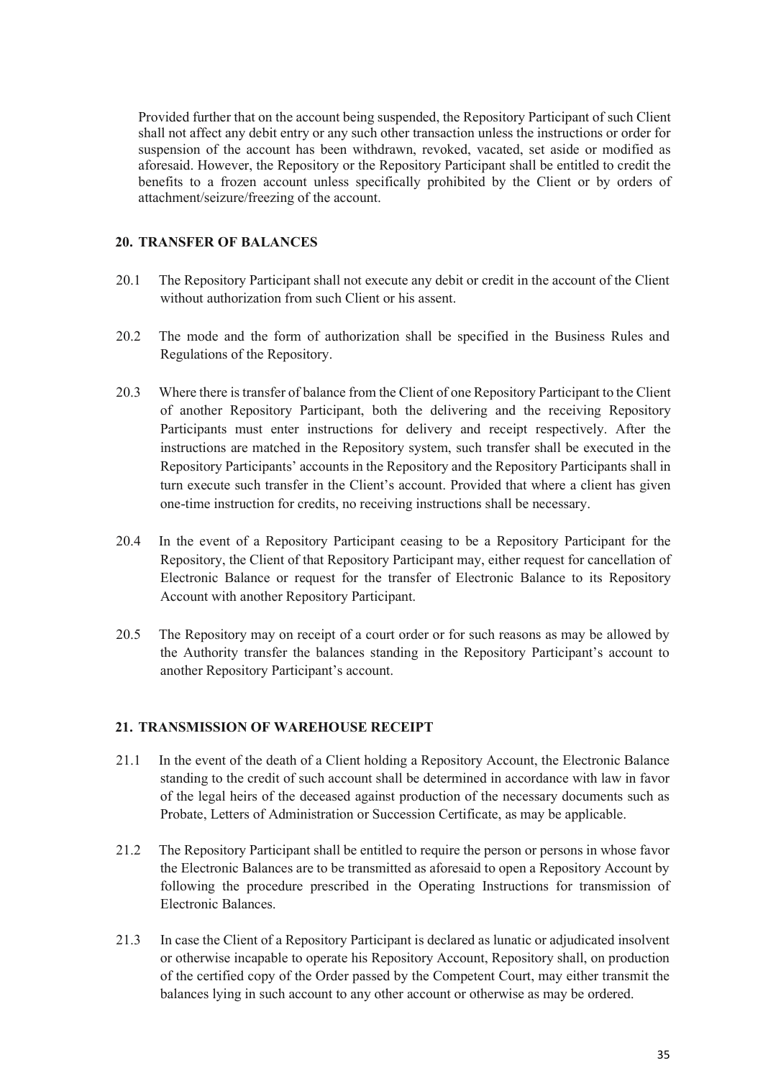Provided further that on the account being suspended, the Repository Participant of such Client shall not affect any debit entry or any such other transaction unless the instructions or order for suspension of the account has been withdrawn, revoked, vacated, set aside or modified as aforesaid. However, the Repository or the Repository Participant shall be entitled to credit the benefits to a frozen account unless specifically prohibited by the Client or by orders of attachment/seizure/freezing of the account.

### 20. TRANSFER OF BALANCES

- 20.1 The Repository Participant shall not execute any debit or credit in the account of the Client without authorization from such Client or his assent.
- 20.2 The mode and the form of authorization shall be specified in the Business Rules and Regulations of the Repository.
- 20.3 Where there is transfer of balance from the Client of one Repository Participant to the Client of another Repository Participant, both the delivering and the receiving Repository Participants must enter instructions for delivery and receipt respectively. After the instructions are matched in the Repository system, such transfer shall be executed in the Repository Participants' accounts in the Repository and the Repository Participants shall in turn execute such transfer in the Client's account. Provided that where a client has given one-time instruction for credits, no receiving instructions shall be necessary.
- 20.4 In the event of a Repository Participant ceasing to be a Repository Participant for the Repository, the Client of that Repository Participant may, either request for cancellation of Electronic Balance or request for the transfer of Electronic Balance to its Repository Account with another Repository Participant.
- 20.5 The Repository may on receipt of a court order or for such reasons as may be allowed by the Authority transfer the balances standing in the Repository Participant's account to another Repository Participant's account.

#### 21. TRANSMISSION OF WAREHOUSE RECEIPT

- 21.1 In the event of the death of a Client holding a Repository Account, the Electronic Balance standing to the credit of such account shall be determined in accordance with law in favor of the legal heirs of the deceased against production of the necessary documents such as Probate, Letters of Administration or Succession Certificate, as may be applicable.
- 21.2 The Repository Participant shall be entitled to require the person or persons in whose favor the Electronic Balances are to be transmitted as aforesaid to open a Repository Account by following the procedure prescribed in the Operating Instructions for transmission of Electronic Balances.
- 21.3 In case the Client of a Repository Participant is declared as lunatic or adjudicated insolvent or otherwise incapable to operate his Repository Account, Repository shall, on production of the certified copy of the Order passed by the Competent Court, may either transmit the balances lying in such account to any other account or otherwise as may be ordered.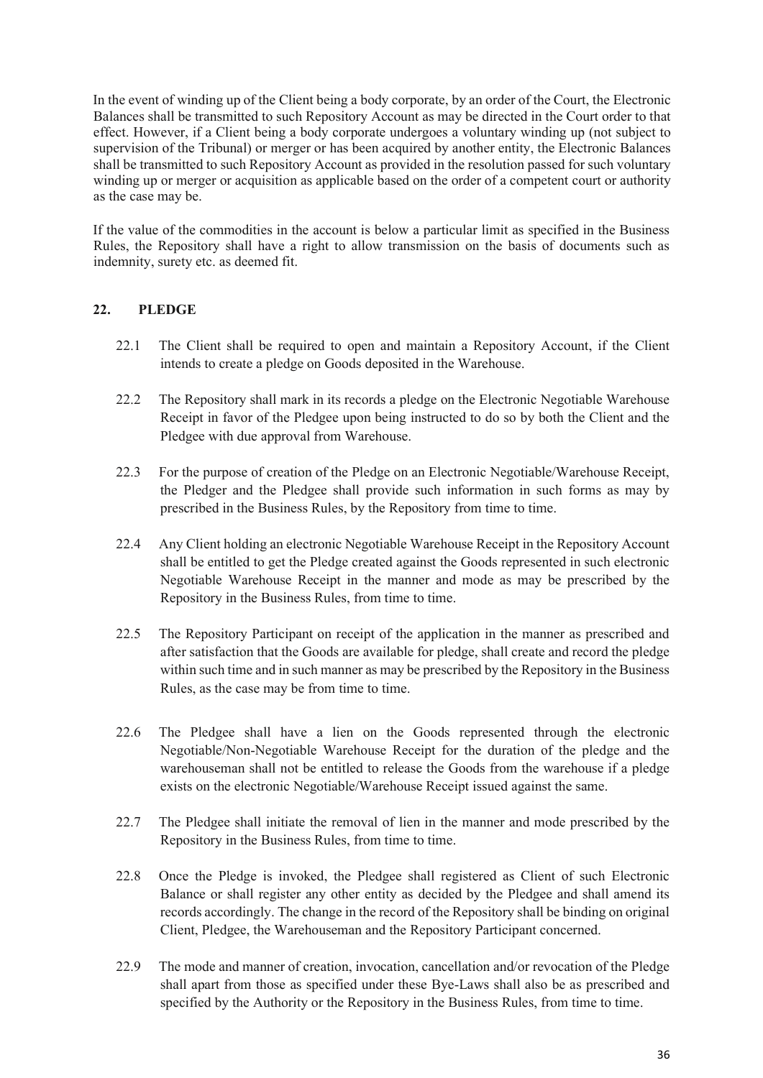In the event of winding up of the Client being a body corporate, by an order of the Court, the Electronic Balances shall be transmitted to such Repository Account as may be directed in the Court order to that effect. However, if a Client being a body corporate undergoes a voluntary winding up (not subject to supervision of the Tribunal) or merger or has been acquired by another entity, the Electronic Balances shall be transmitted to such Repository Account as provided in the resolution passed for such voluntary winding up or merger or acquisition as applicable based on the order of a competent court or authority as the case may be.

If the value of the commodities in the account is below a particular limit as specified in the Business Rules, the Repository shall have a right to allow transmission on the basis of documents such as indemnity, surety etc. as deemed fit.

## 22. PLEDGE

- 22.1 The Client shall be required to open and maintain a Repository Account, if the Client intends to create a pledge on Goods deposited in the Warehouse.
- 22.2 The Repository shall mark in its records a pledge on the Electronic Negotiable Warehouse Receipt in favor of the Pledgee upon being instructed to do so by both the Client and the Pledgee with due approval from Warehouse.
- 22.3 For the purpose of creation of the Pledge on an Electronic Negotiable/Warehouse Receipt, the Pledger and the Pledgee shall provide such information in such forms as may by prescribed in the Business Rules, by the Repository from time to time.
- 22.4 Any Client holding an electronic Negotiable Warehouse Receipt in the Repository Account shall be entitled to get the Pledge created against the Goods represented in such electronic Negotiable Warehouse Receipt in the manner and mode as may be prescribed by the Repository in the Business Rules, from time to time.
- 22.5 The Repository Participant on receipt of the application in the manner as prescribed and after satisfaction that the Goods are available for pledge, shall create and record the pledge within such time and in such manner as may be prescribed by the Repository in the Business Rules, as the case may be from time to time.
- 22.6 The Pledgee shall have a lien on the Goods represented through the electronic Negotiable/Non-Negotiable Warehouse Receipt for the duration of the pledge and the warehouseman shall not be entitled to release the Goods from the warehouse if a pledge exists on the electronic Negotiable/Warehouse Receipt issued against the same.
- 22.7 The Pledgee shall initiate the removal of lien in the manner and mode prescribed by the Repository in the Business Rules, from time to time.
- 22.8 Once the Pledge is invoked, the Pledgee shall registered as Client of such Electronic Balance or shall register any other entity as decided by the Pledgee and shall amend its records accordingly. The change in the record of the Repository shall be binding on original Client, Pledgee, the Warehouseman and the Repository Participant concerned.
- 22.9 The mode and manner of creation, invocation, cancellation and/or revocation of the Pledge shall apart from those as specified under these Bye-Laws shall also be as prescribed and specified by the Authority or the Repository in the Business Rules, from time to time.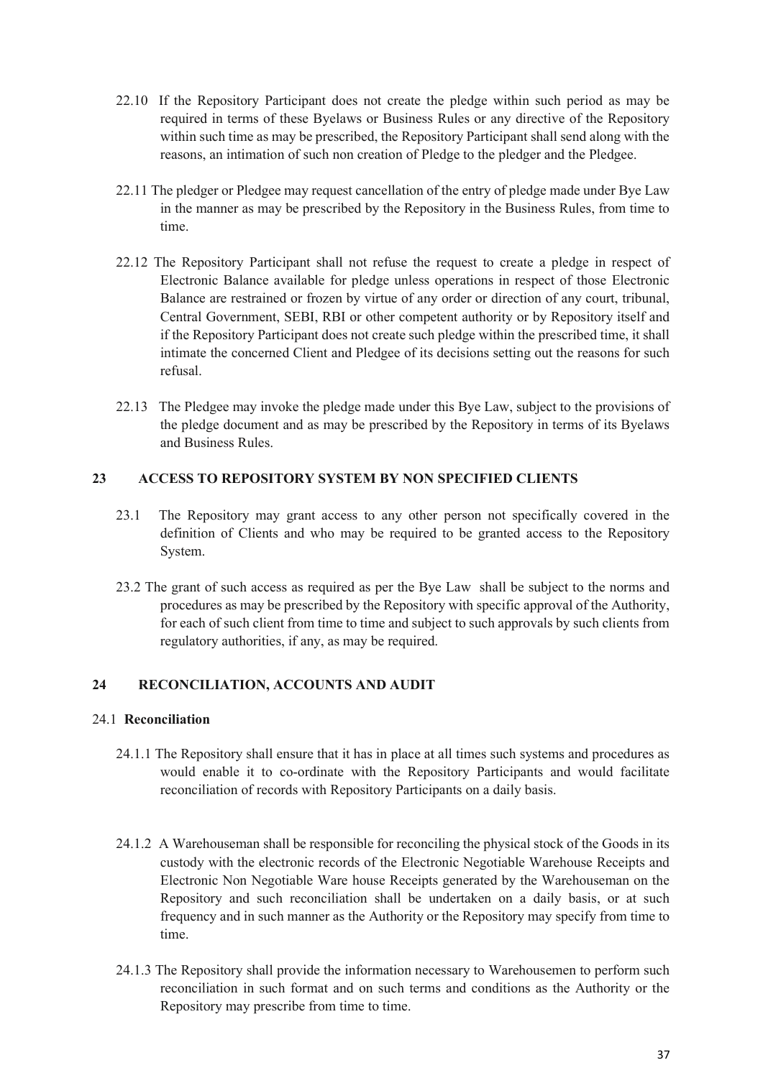- 22.10 If the Repository Participant does not create the pledge within such period as may be required in terms of these Byelaws or Business Rules or any directive of the Repository within such time as may be prescribed, the Repository Participant shall send along with the reasons, an intimation of such non creation of Pledge to the pledger and the Pledgee.
- 22.11 The pledger or Pledgee may request cancellation of the entry of pledge made under Bye Law in the manner as may be prescribed by the Repository in the Business Rules, from time to time.
- 22.12 The Repository Participant shall not refuse the request to create a pledge in respect of Electronic Balance available for pledge unless operations in respect of those Electronic Balance are restrained or frozen by virtue of any order or direction of any court, tribunal, Central Government, SEBI, RBI or other competent authority or by Repository itself and if the Repository Participant does not create such pledge within the prescribed time, it shall intimate the concerned Client and Pledgee of its decisions setting out the reasons for such refusal.
- 22.13 The Pledgee may invoke the pledge made under this Bye Law, subject to the provisions of the pledge document and as may be prescribed by the Repository in terms of its Byelaws and Business Rules.

## 23 ACCESS TO REPOSITORY SYSTEM BY NON SPECIFIED CLIENTS

- 23.1 The Repository may grant access to any other person not specifically covered in the definition of Clients and who may be required to be granted access to the Repository System.
- 23.2 The grant of such access as required as per the Bye Law shall be subject to the norms and procedures as may be prescribed by the Repository with specific approval of the Authority, for each of such client from time to time and subject to such approvals by such clients from regulatory authorities, if any, as may be required.

## 24 RECONCILIATION, ACCOUNTS AND AUDIT

#### 24.1 Reconciliation

- 24.1.1 The Repository shall ensure that it has in place at all times such systems and procedures as would enable it to co-ordinate with the Repository Participants and would facilitate reconciliation of records with Repository Participants on a daily basis.
- 24.1.2 A Warehouseman shall be responsible for reconciling the physical stock of the Goods in its custody with the electronic records of the Electronic Negotiable Warehouse Receipts and Electronic Non Negotiable Ware house Receipts generated by the Warehouseman on the Repository and such reconciliation shall be undertaken on a daily basis, or at such frequency and in such manner as the Authority or the Repository may specify from time to time.
- 24.1.3 The Repository shall provide the information necessary to Warehousemen to perform such reconciliation in such format and on such terms and conditions as the Authority or the Repository may prescribe from time to time.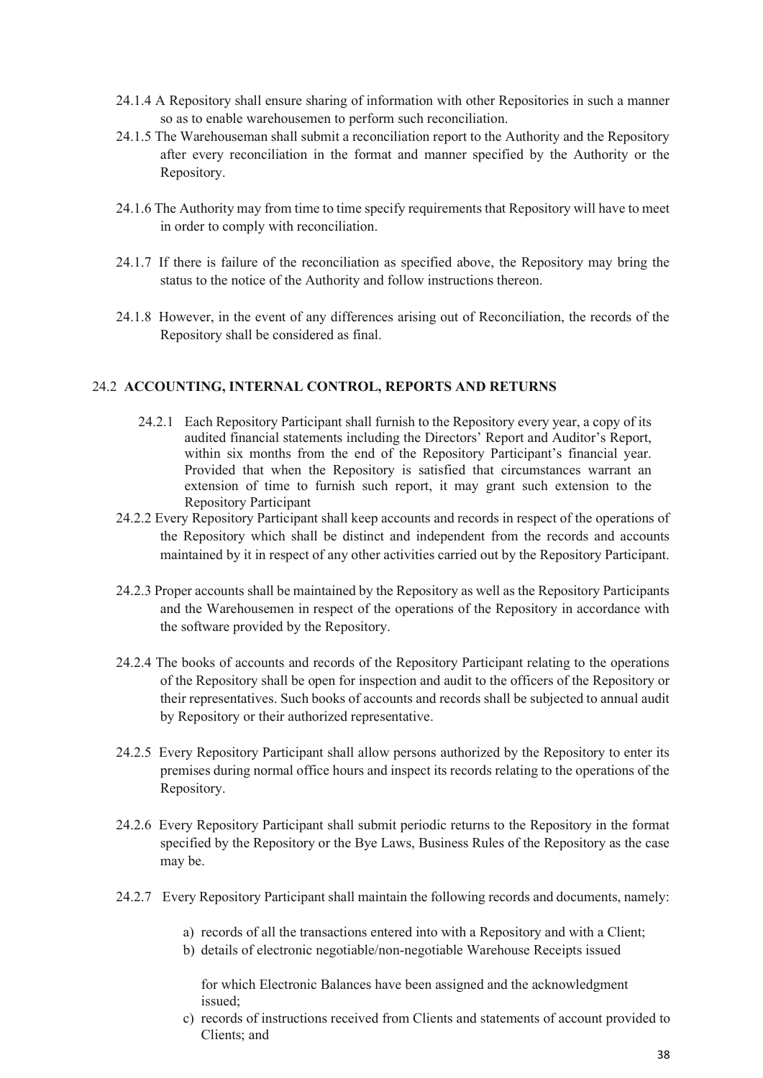- 24.1.4 A Repository shall ensure sharing of information with other Repositories in such a manner so as to enable warehousemen to perform such reconciliation.
- 24.1.5 The Warehouseman shall submit a reconciliation report to the Authority and the Repository after every reconciliation in the format and manner specified by the Authority or the Repository.
- 24.1.6 The Authority may from time to time specify requirements that Repository will have to meet in order to comply with reconciliation.
- 24.1.7 If there is failure of the reconciliation as specified above, the Repository may bring the status to the notice of the Authority and follow instructions thereon.
- 24.1.8 However, in the event of any differences arising out of Reconciliation, the records of the Repository shall be considered as final.

#### 24.2 ACCOUNTING, INTERNAL CONTROL, REPORTS AND RETURNS

- 24.2.1 Each Repository Participant shall furnish to the Repository every year, a copy of its audited financial statements including the Directors' Report and Auditor's Report, within six months from the end of the Repository Participant's financial year. Provided that when the Repository is satisfied that circumstances warrant an extension of time to furnish such report, it may grant such extension to the Repository Participant
- 24.2.2 Every Repository Participant shall keep accounts and records in respect of the operations of the Repository which shall be distinct and independent from the records and accounts maintained by it in respect of any other activities carried out by the Repository Participant.
- 24.2.3 Proper accounts shall be maintained by the Repository as well as the Repository Participants and the Warehousemen in respect of the operations of the Repository in accordance with the software provided by the Repository.
- 24.2.4 The books of accounts and records of the Repository Participant relating to the operations of the Repository shall be open for inspection and audit to the officers of the Repository or their representatives. Such books of accounts and records shall be subjected to annual audit by Repository or their authorized representative.
- 24.2.5 Every Repository Participant shall allow persons authorized by the Repository to enter its premises during normal office hours and inspect its records relating to the operations of the Repository.
- 24.2.6 Every Repository Participant shall submit periodic returns to the Repository in the format specified by the Repository or the Bye Laws, Business Rules of the Repository as the case may be.
- 24.2.7 Every Repository Participant shall maintain the following records and documents, namely:
	- a) records of all the transactions entered into with a Repository and with a Client;
	- b) details of electronic negotiable/non-negotiable Warehouse Receipts issued

for which Electronic Balances have been assigned and the acknowledgment issued;

c) records of instructions received from Clients and statements of account provided to Clients; and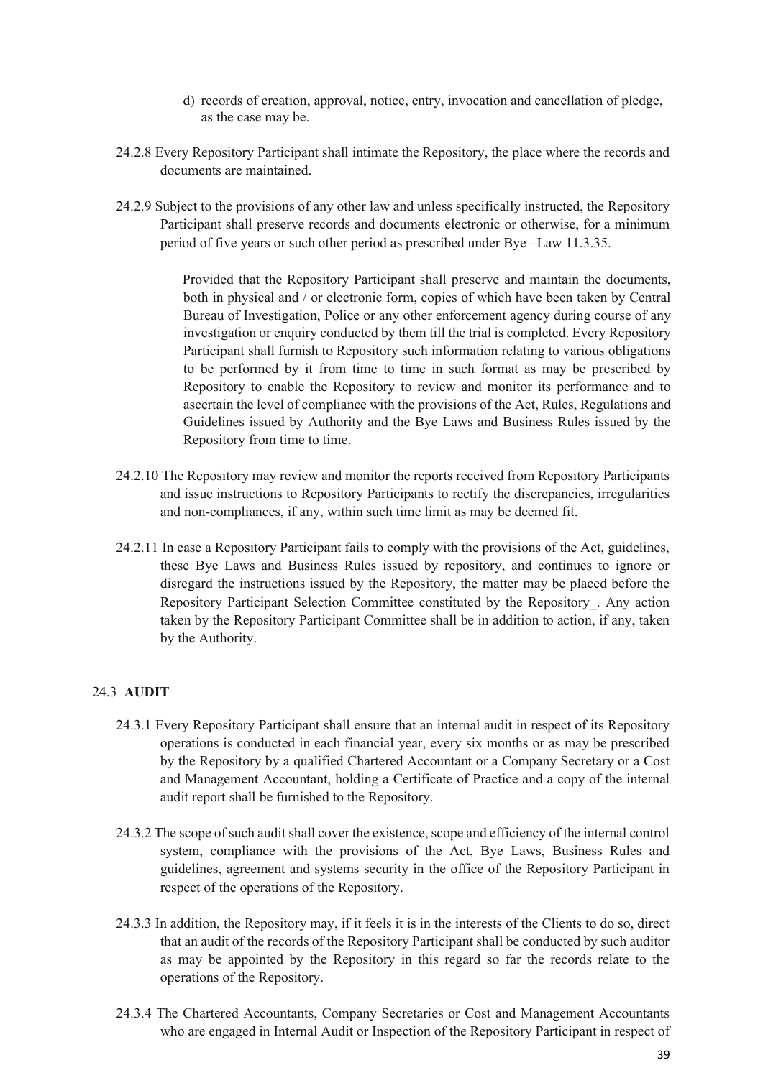- d) records of creation, approval, notice, entry, invocation and cancellation of pledge, as the case may be.
- 24.2.8 Every Repository Participant shall intimate the Repository, the place where the records and documents are maintained.
- 24.2.9 Subject to the provisions of any other law and unless specifically instructed, the Repository Participant shall preserve records and documents electronic or otherwise, for a minimum period of five years or such other period as prescribed under Bye –Law 11.3.35.

Provided that the Repository Participant shall preserve and maintain the documents, both in physical and / or electronic form, copies of which have been taken by Central Bureau of Investigation, Police or any other enforcement agency during course of any investigation or enquiry conducted by them till the trial is completed. Every Repository Participant shall furnish to Repository such information relating to various obligations to be performed by it from time to time in such format as may be prescribed by Repository to enable the Repository to review and monitor its performance and to ascertain the level of compliance with the provisions of the Act, Rules, Regulations and Guidelines issued by Authority and the Bye Laws and Business Rules issued by the Repository from time to time.

- 24.2.10 The Repository may review and monitor the reports received from Repository Participants and issue instructions to Repository Participants to rectify the discrepancies, irregularities and non-compliances, if any, within such time limit as may be deemed fit.
- 24.2.11 In case a Repository Participant fails to comply with the provisions of the Act, guidelines, these Bye Laws and Business Rules issued by repository, and continues to ignore or disregard the instructions issued by the Repository, the matter may be placed before the Repository Participant Selection Committee constituted by the Repository\_. Any action taken by the Repository Participant Committee shall be in addition to action, if any, taken by the Authority.

# 24.3 AUDIT

- 24.3.1 Every Repository Participant shall ensure that an internal audit in respect of its Repository operations is conducted in each financial year, every six months or as may be prescribed by the Repository by a qualified Chartered Accountant or a Company Secretary or a Cost and Management Accountant, holding a Certificate of Practice and a copy of the internal audit report shall be furnished to the Repository.
- 24.3.2 The scope of such audit shall cover the existence, scope and efficiency of the internal control system, compliance with the provisions of the Act, Bye Laws, Business Rules and guidelines, agreement and systems security in the office of the Repository Participant in respect of the operations of the Repository.
- 24.3.3 In addition, the Repository may, if it feels it is in the interests of the Clients to do so, direct that an audit of the records of the Repository Participant shall be conducted by such auditor as may be appointed by the Repository in this regard so far the records relate to the operations of the Repository.
- 24.3.4 The Chartered Accountants, Company Secretaries or Cost and Management Accountants who are engaged in Internal Audit or Inspection of the Repository Participant in respect of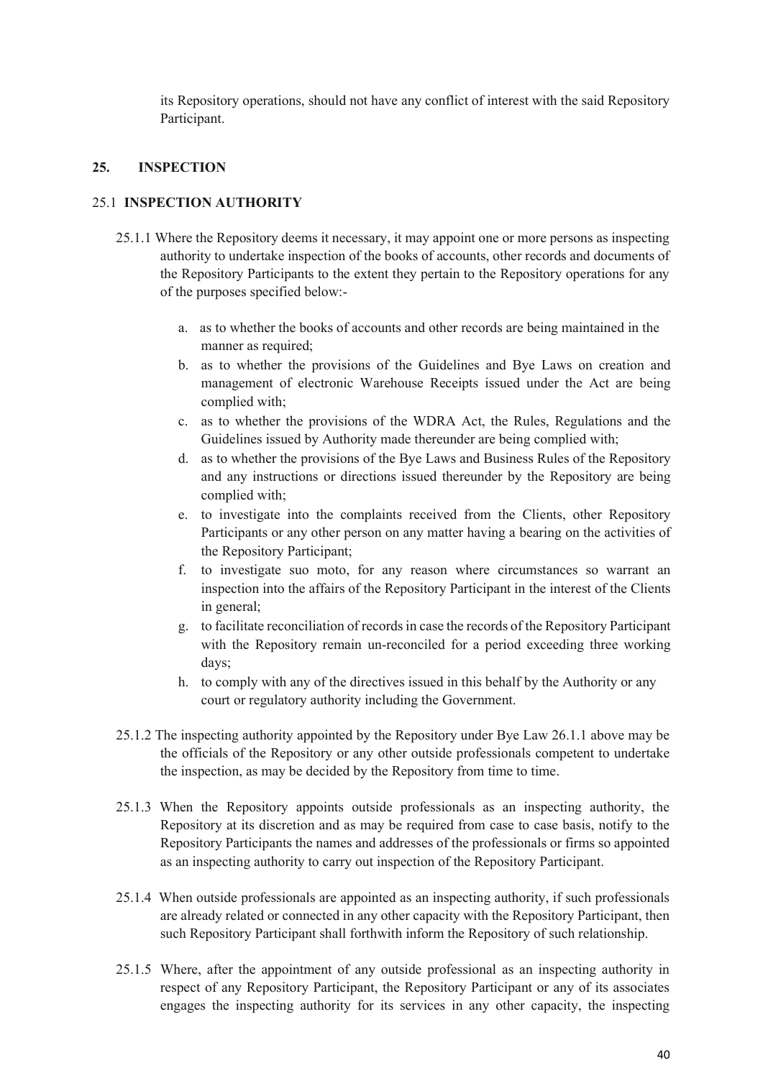its Repository operations, should not have any conflict of interest with the said Repository Participant.

## 25. INSPECTION

## 25.1 INSPECTION AUTHORITY

- 25.1.1 Where the Repository deems it necessary, it may appoint one or more persons as inspecting authority to undertake inspection of the books of accounts, other records and documents of the Repository Participants to the extent they pertain to the Repository operations for any of the purposes specified below:
	- a. as to whether the books of accounts and other records are being maintained in the manner as required;
	- b. as to whether the provisions of the Guidelines and Bye Laws on creation and management of electronic Warehouse Receipts issued under the Act are being complied with;
	- c. as to whether the provisions of the WDRA Act, the Rules, Regulations and the Guidelines issued by Authority made thereunder are being complied with;
	- d. as to whether the provisions of the Bye Laws and Business Rules of the Repository and any instructions or directions issued thereunder by the Repository are being complied with;
	- e. to investigate into the complaints received from the Clients, other Repository Participants or any other person on any matter having a bearing on the activities of the Repository Participant;
	- f. to investigate suo moto, for any reason where circumstances so warrant an inspection into the affairs of the Repository Participant in the interest of the Clients in general;
	- g. to facilitate reconciliation of records in case the records of the Repository Participant with the Repository remain un-reconciled for a period exceeding three working days;
	- h. to comply with any of the directives issued in this behalf by the Authority or any court or regulatory authority including the Government.
- 25.1.2 The inspecting authority appointed by the Repository under Bye Law 26.1.1 above may be the officials of the Repository or any other outside professionals competent to undertake the inspection, as may be decided by the Repository from time to time.
- 25.1.3 When the Repository appoints outside professionals as an inspecting authority, the Repository at its discretion and as may be required from case to case basis, notify to the Repository Participants the names and addresses of the professionals or firms so appointed as an inspecting authority to carry out inspection of the Repository Participant.
- 25.1.4 When outside professionals are appointed as an inspecting authority, if such professionals are already related or connected in any other capacity with the Repository Participant, then such Repository Participant shall forthwith inform the Repository of such relationship.
- 25.1.5 Where, after the appointment of any outside professional as an inspecting authority in respect of any Repository Participant, the Repository Participant or any of its associates engages the inspecting authority for its services in any other capacity, the inspecting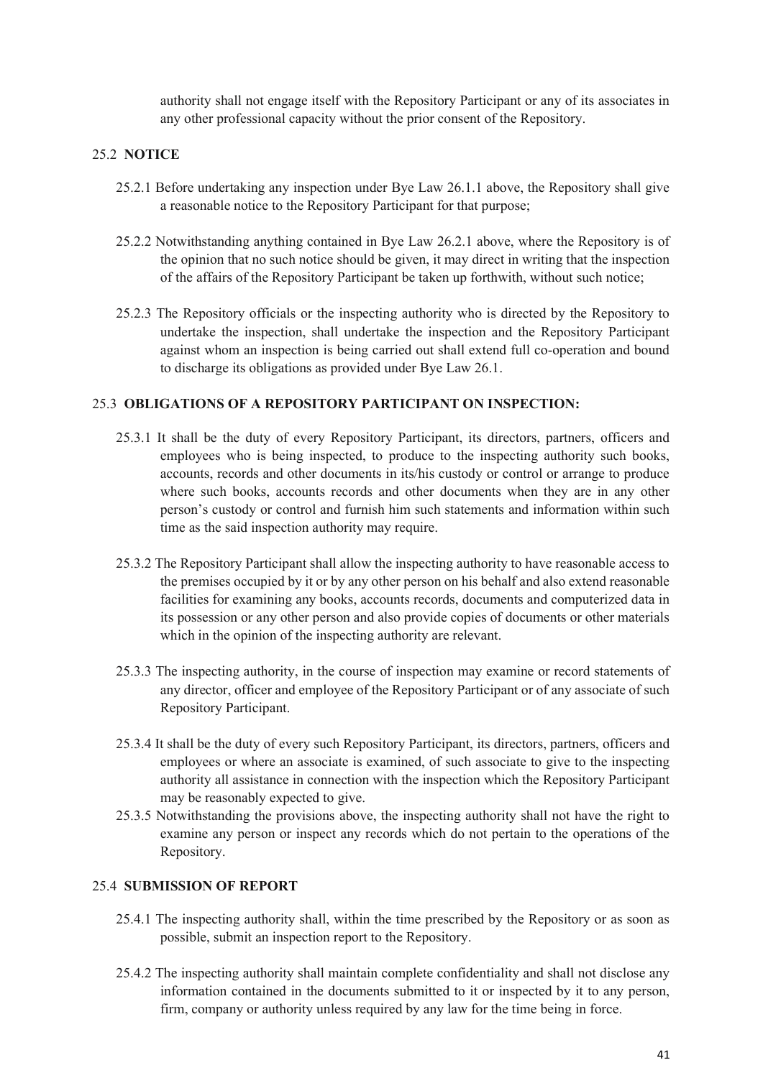authority shall not engage itself with the Repository Participant or any of its associates in any other professional capacity without the prior consent of the Repository.

### 25.2 NOTICE

- 25.2.1 Before undertaking any inspection under Bye Law 26.1.1 above, the Repository shall give a reasonable notice to the Repository Participant for that purpose;
- 25.2.2 Notwithstanding anything contained in Bye Law 26.2.1 above, where the Repository is of the opinion that no such notice should be given, it may direct in writing that the inspection of the affairs of the Repository Participant be taken up forthwith, without such notice;
- 25.2.3 The Repository officials or the inspecting authority who is directed by the Repository to undertake the inspection, shall undertake the inspection and the Repository Participant against whom an inspection is being carried out shall extend full co-operation and bound to discharge its obligations as provided under Bye Law 26.1.

### 25.3 OBLIGATIONS OF A REPOSITORY PARTICIPANT ON INSPECTION:

- 25.3.1 It shall be the duty of every Repository Participant, its directors, partners, officers and employees who is being inspected, to produce to the inspecting authority such books, accounts, records and other documents in its/his custody or control or arrange to produce where such books, accounts records and other documents when they are in any other person's custody or control and furnish him such statements and information within such time as the said inspection authority may require.
- 25.3.2 The Repository Participant shall allow the inspecting authority to have reasonable access to the premises occupied by it or by any other person on his behalf and also extend reasonable facilities for examining any books, accounts records, documents and computerized data in its possession or any other person and also provide copies of documents or other materials which in the opinion of the inspecting authority are relevant.
- 25.3.3 The inspecting authority, in the course of inspection may examine or record statements of any director, officer and employee of the Repository Participant or of any associate of such Repository Participant.
- 25.3.4 It shall be the duty of every such Repository Participant, its directors, partners, officers and employees or where an associate is examined, of such associate to give to the inspecting authority all assistance in connection with the inspection which the Repository Participant may be reasonably expected to give.
- 25.3.5 Notwithstanding the provisions above, the inspecting authority shall not have the right to examine any person or inspect any records which do not pertain to the operations of the Repository.

#### 25.4 SUBMISSION OF REPORT

- 25.4.1 The inspecting authority shall, within the time prescribed by the Repository or as soon as possible, submit an inspection report to the Repository.
- 25.4.2 The inspecting authority shall maintain complete confidentiality and shall not disclose any information contained in the documents submitted to it or inspected by it to any person, firm, company or authority unless required by any law for the time being in force.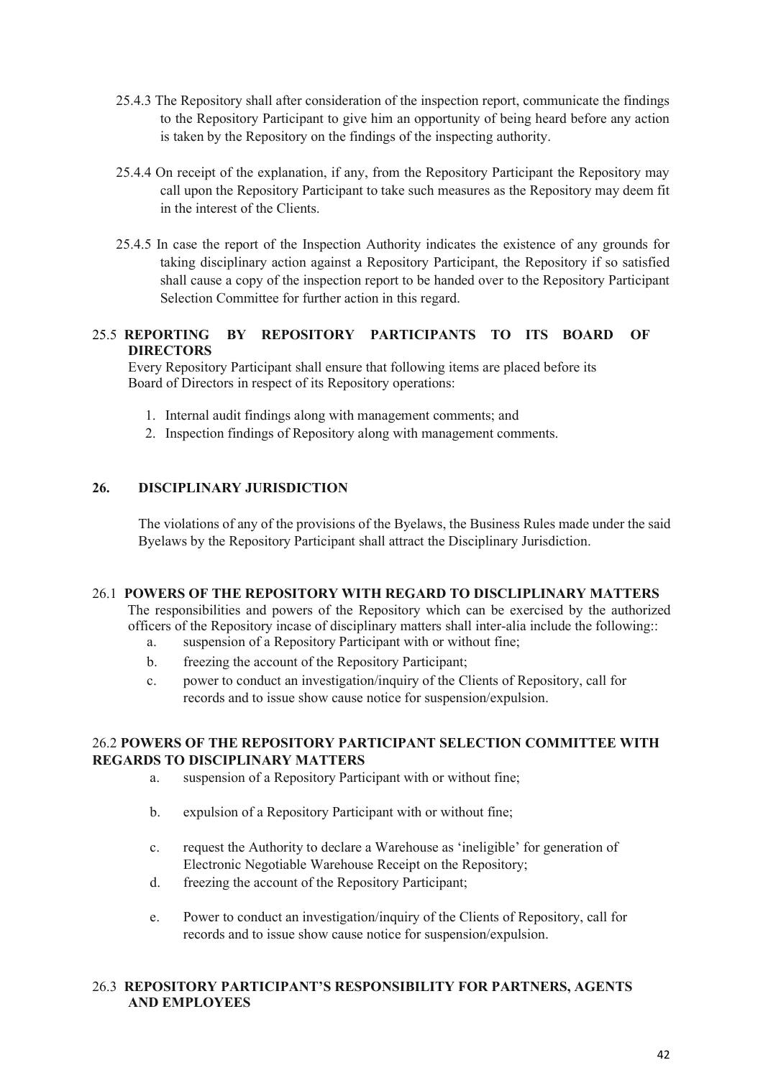- 25.4.3 The Repository shall after consideration of the inspection report, communicate the findings to the Repository Participant to give him an opportunity of being heard before any action is taken by the Repository on the findings of the inspecting authority.
- 25.4.4 On receipt of the explanation, if any, from the Repository Participant the Repository may call upon the Repository Participant to take such measures as the Repository may deem fit in the interest of the Clients.
- 25.4.5 In case the report of the Inspection Authority indicates the existence of any grounds for taking disciplinary action against a Repository Participant, the Repository if so satisfied shall cause a copy of the inspection report to be handed over to the Repository Participant Selection Committee for further action in this regard.

## 25.5 REPORTING BY REPOSITORY PARTICIPANTS TO ITS BOARD OF **DIRECTORS**

Every Repository Participant shall ensure that following items are placed before its Board of Directors in respect of its Repository operations:

- 1. Internal audit findings along with management comments; and
- 2. Inspection findings of Repository along with management comments.

# 26. DISCIPLINARY JURISDICTION

The violations of any of the provisions of the Byelaws, the Business Rules made under the said Byelaws by the Repository Participant shall attract the Disciplinary Jurisdiction.

#### 26.1 POWERS OF THE REPOSITORY WITH REGARD TO DISCLIPLINARY MATTERS

The responsibilities and powers of the Repository which can be exercised by the authorized officers of the Repository incase of disciplinary matters shall inter-alia include the following::

- a. suspension of a Repository Participant with or without fine;
- b. freezing the account of the Repository Participant;
- c. power to conduct an investigation/inquiry of the Clients of Repository, call for records and to issue show cause notice for suspension/expulsion.

#### 26.2 POWERS OF THE REPOSITORY PARTICIPANT SELECTION COMMITTEE WITH REGARDS TO DISCIPLINARY MATTERS

- a. suspension of a Repository Participant with or without fine;
- b. expulsion of a Repository Participant with or without fine;
- c. request the Authority to declare a Warehouse as 'ineligible' for generation of Electronic Negotiable Warehouse Receipt on the Repository;
- d. freezing the account of the Repository Participant;
- e. Power to conduct an investigation/inquiry of the Clients of Repository, call for records and to issue show cause notice for suspension/expulsion.

### 26.3 REPOSITORY PARTICIPANT'S RESPONSIBILITY FOR PARTNERS, AGENTS AND EMPLOYEES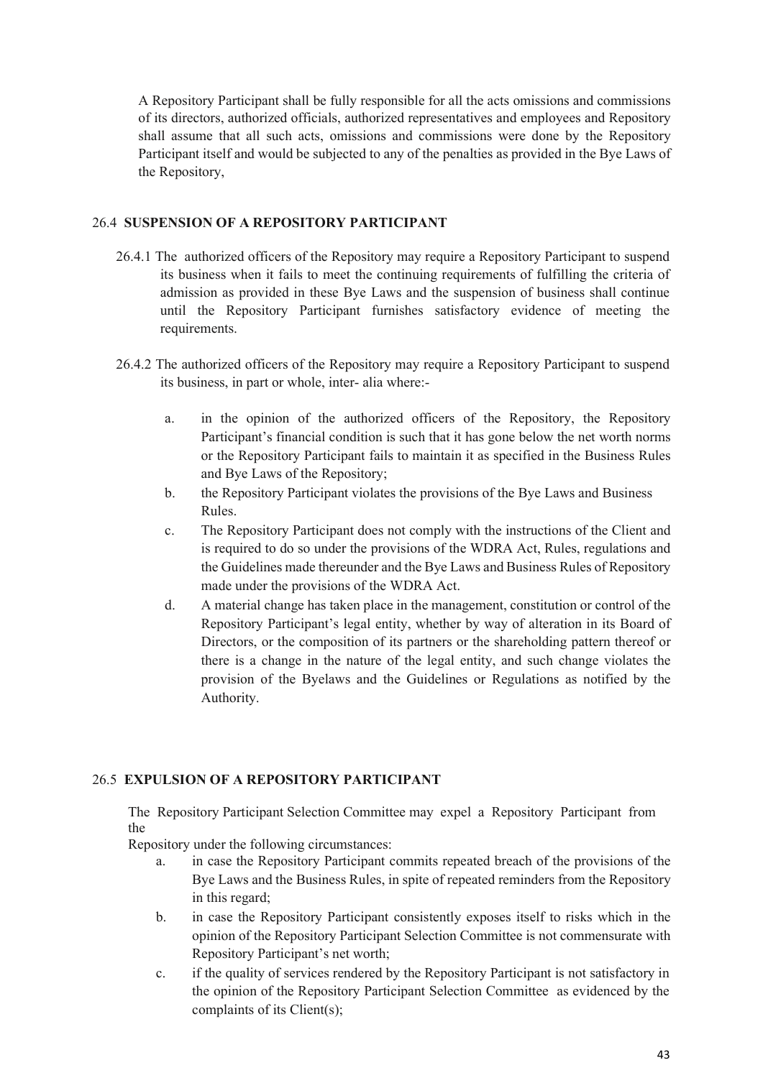A Repository Participant shall be fully responsible for all the acts omissions and commissions of its directors, authorized officials, authorized representatives and employees and Repository shall assume that all such acts, omissions and commissions were done by the Repository Participant itself and would be subjected to any of the penalties as provided in the Bye Laws of the Repository,

## 26.4 SUSPENSION OF A REPOSITORY PARTICIPANT

- 26.4.1 The authorized officers of the Repository may require a Repository Participant to suspend its business when it fails to meet the continuing requirements of fulfilling the criteria of admission as provided in these Bye Laws and the suspension of business shall continue until the Repository Participant furnishes satisfactory evidence of meeting the requirements.
- 26.4.2 The authorized officers of the Repository may require a Repository Participant to suspend its business, in part or whole, inter- alia where:
	- a. in the opinion of the authorized officers of the Repository, the Repository Participant's financial condition is such that it has gone below the net worth norms or the Repository Participant fails to maintain it as specified in the Business Rules and Bye Laws of the Repository;
	- b. the Repository Participant violates the provisions of the Bye Laws and Business Rules.
	- c. The Repository Participant does not comply with the instructions of the Client and is required to do so under the provisions of the WDRA Act, Rules, regulations and the Guidelines made thereunder and the Bye Laws and Business Rules of Repository made under the provisions of the WDRA Act.
	- d. A material change has taken place in the management, constitution or control of the Repository Participant's legal entity, whether by way of alteration in its Board of Directors, or the composition of its partners or the shareholding pattern thereof or there is a change in the nature of the legal entity, and such change violates the provision of the Byelaws and the Guidelines or Regulations as notified by the Authority.

## 26.5 EXPULSION OF A REPOSITORY PARTICIPANT

The Repository Participant Selection Committee may expel a Repository Participant from the

Repository under the following circumstances:

- a. in case the Repository Participant commits repeated breach of the provisions of the Bye Laws and the Business Rules, in spite of repeated reminders from the Repository in this regard;
- b. in case the Repository Participant consistently exposes itself to risks which in the opinion of the Repository Participant Selection Committee is not commensurate with Repository Participant's net worth;
- c. if the quality of services rendered by the Repository Participant is not satisfactory in the opinion of the Repository Participant Selection Committee as evidenced by the complaints of its Client(s);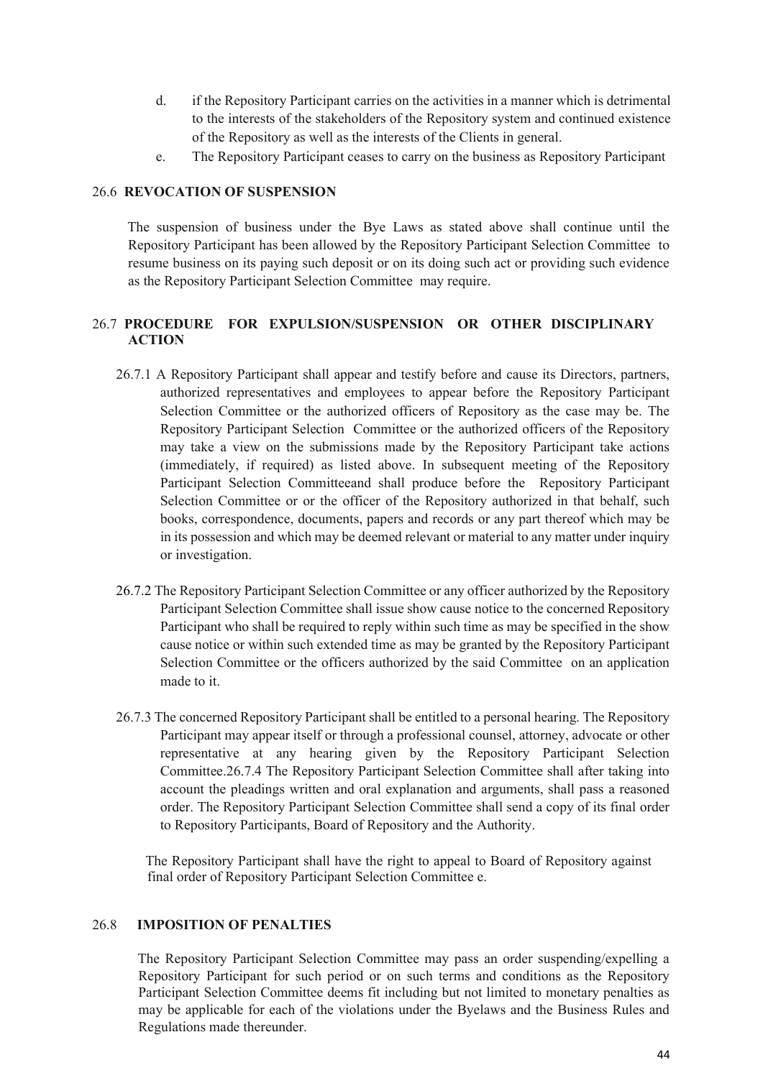- d. if the Repository Participant carries on the activities in a manner which is detrimental to the interests of the stakeholders of the Repository system and continued existence of the Repository as well as the interests of the Clients in general.
- e. The Repository Participant ceases to carry on the business as Repository Participant

## 26.6 REVOCATION OF SUSPENSION

The suspension of business under the Bye Laws as stated above shall continue until the Repository Participant has been allowed by the Repository Participant Selection Committee to resume business on its paying such deposit or on its doing such act or providing such evidence as the Repository Participant Selection Committee may require.

## 26.7 PROCEDURE FOR EXPULSION/SUSPENSION OR OTHER DISCIPLINARY **ACTION**

- 26.7.1 A Repository Participant shall appear and testify before and cause its Directors, partners, authorized representatives and employees to appear before the Repository Participant Selection Committee or the authorized officers of Repository as the case may be. The Repository Participant Selection Committee or the authorized officers of the Repository may take a view on the submissions made by the Repository Participant take actions (immediately, if required) as listed above. In subsequent meeting of the Repository Participant Selection Committeeand shall produce before the Repository Participant Selection Committee or or the officer of the Repository authorized in that behalf, such books, correspondence, documents, papers and records or any part thereof which may be in its possession and which may be deemed relevant or material to any matter under inquiry or investigation.
- 26.7.2 The Repository Participant Selection Committee or any officer authorized by the Repository Participant Selection Committee shall issue show cause notice to the concerned Repository Participant who shall be required to reply within such time as may be specified in the show cause notice or within such extended time as may be granted by the Repository Participant Selection Committee or the officers authorized by the said Committee on an application made to it.
- 26.7.3 The concerned Repository Participant shall be entitled to a personal hearing. The Repository Participant may appear itself or through a professional counsel, attorney, advocate or other representative at any hearing given by the Repository Participant Selection Committee.26.7.4 The Repository Participant Selection Committee shall after taking into account the pleadings written and oral explanation and arguments, shall pass a reasoned order. The Repository Participant Selection Committee shall send a copy of its final order to Repository Participants, Board of Repository and the Authority.

 The Repository Participant shall have the right to appeal to Board of Repository against final order of Repository Participant Selection Committee e.

#### 26.8 IMPOSITION OF PENALTIES

The Repository Participant Selection Committee may pass an order suspending/expelling a Repository Participant for such period or on such terms and conditions as the Repository Participant Selection Committee deems fit including but not limited to monetary penalties as may be applicable for each of the violations under the Byelaws and the Business Rules and Regulations made thereunder.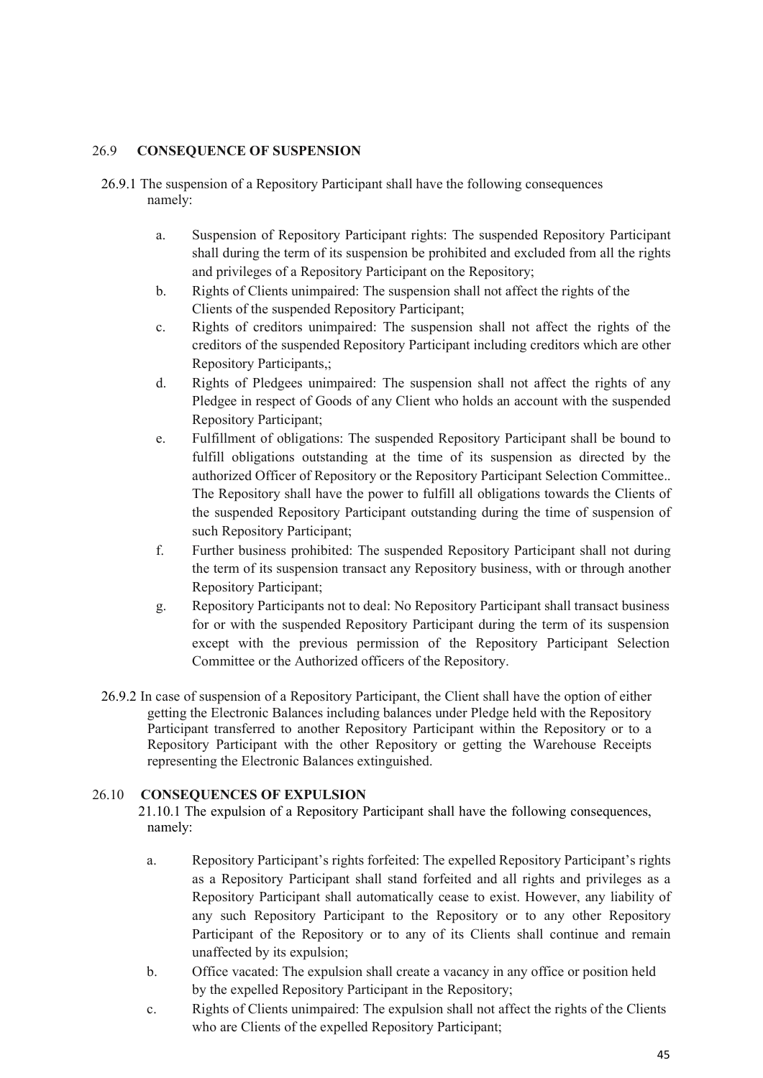## 26.9 CONSEQUENCE OF SUSPENSION

- 26.9.1 The suspension of a Repository Participant shall have the following consequences namely:
	- a. Suspension of Repository Participant rights: The suspended Repository Participant shall during the term of its suspension be prohibited and excluded from all the rights and privileges of a Repository Participant on the Repository;
	- b. Rights of Clients unimpaired: The suspension shall not affect the rights of the Clients of the suspended Repository Participant;
	- c. Rights of creditors unimpaired: The suspension shall not affect the rights of the creditors of the suspended Repository Participant including creditors which are other Repository Participants,;
	- d. Rights of Pledgees unimpaired: The suspension shall not affect the rights of any Pledgee in respect of Goods of any Client who holds an account with the suspended Repository Participant;
	- e. Fulfillment of obligations: The suspended Repository Participant shall be bound to fulfill obligations outstanding at the time of its suspension as directed by the authorized Officer of Repository or the Repository Participant Selection Committee.. The Repository shall have the power to fulfill all obligations towards the Clients of the suspended Repository Participant outstanding during the time of suspension of such Repository Participant;
	- f. Further business prohibited: The suspended Repository Participant shall not during the term of its suspension transact any Repository business, with or through another Repository Participant;
	- g. Repository Participants not to deal: No Repository Participant shall transact business for or with the suspended Repository Participant during the term of its suspension except with the previous permission of the Repository Participant Selection Committee or the Authorized officers of the Repository.
- 26.9.2 In case of suspension of a Repository Participant, the Client shall have the option of either getting the Electronic Balances including balances under Pledge held with the Repository Participant transferred to another Repository Participant within the Repository or to a Repository Participant with the other Repository or getting the Warehouse Receipts representing the Electronic Balances extinguished.

#### 26.10 CONSEQUENCES OF EXPULSION

21.10.1 The expulsion of a Repository Participant shall have the following consequences, namely:

- a. Repository Participant's rights forfeited: The expelled Repository Participant's rights as a Repository Participant shall stand forfeited and all rights and privileges as a Repository Participant shall automatically cease to exist. However, any liability of any such Repository Participant to the Repository or to any other Repository Participant of the Repository or to any of its Clients shall continue and remain unaffected by its expulsion;
- b. Office vacated: The expulsion shall create a vacancy in any office or position held by the expelled Repository Participant in the Repository;
- c. Rights of Clients unimpaired: The expulsion shall not affect the rights of the Clients who are Clients of the expelled Repository Participant;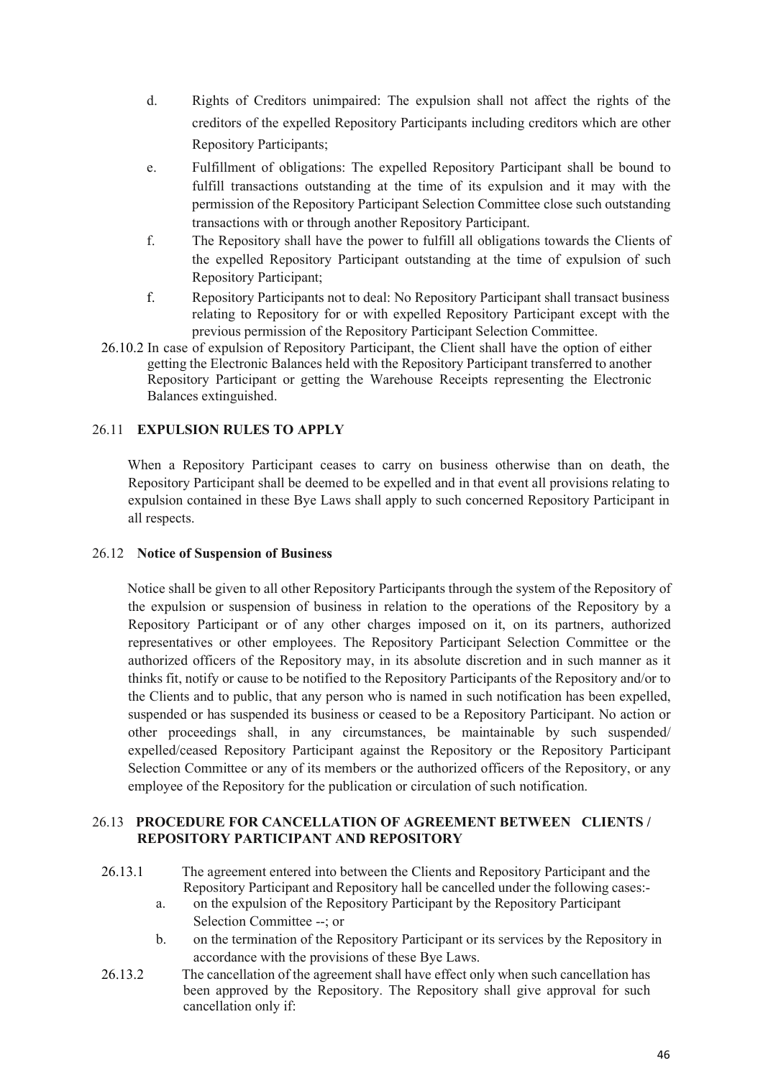- d. Rights of Creditors unimpaired: The expulsion shall not affect the rights of the creditors of the expelled Repository Participants including creditors which are other Repository Participants;
- e. Fulfillment of obligations: The expelled Repository Participant shall be bound to fulfill transactions outstanding at the time of its expulsion and it may with the permission of the Repository Participant Selection Committee close such outstanding transactions with or through another Repository Participant.
- f. The Repository shall have the power to fulfill all obligations towards the Clients of the expelled Repository Participant outstanding at the time of expulsion of such Repository Participant;
- f. Repository Participants not to deal: No Repository Participant shall transact business relating to Repository for or with expelled Repository Participant except with the previous permission of the Repository Participant Selection Committee.
- 26.10.2 In case of expulsion of Repository Participant, the Client shall have the option of either getting the Electronic Balances held with the Repository Participant transferred to another Repository Participant or getting the Warehouse Receipts representing the Electronic Balances extinguished.

# 26.11 EXPULSION RULES TO APPLY

When a Repository Participant ceases to carry on business otherwise than on death, the Repository Participant shall be deemed to be expelled and in that event all provisions relating to expulsion contained in these Bye Laws shall apply to such concerned Repository Participant in all respects.

## 26.12 Notice of Suspension of Business

Notice shall be given to all other Repository Participants through the system of the Repository of the expulsion or suspension of business in relation to the operations of the Repository by a Repository Participant or of any other charges imposed on it, on its partners, authorized representatives or other employees. The Repository Participant Selection Committee or the authorized officers of the Repository may, in its absolute discretion and in such manner as it thinks fit, notify or cause to be notified to the Repository Participants of the Repository and/or to the Clients and to public, that any person who is named in such notification has been expelled, suspended or has suspended its business or ceased to be a Repository Participant. No action or other proceedings shall, in any circumstances, be maintainable by such suspended/ expelled/ceased Repository Participant against the Repository or the Repository Participant Selection Committee or any of its members or the authorized officers of the Repository, or any employee of the Repository for the publication or circulation of such notification.

#### 26.13 PROCEDURE FOR CANCELLATION OF AGREEMENT BETWEEN CLIENTS / REPOSITORY PARTICIPANT AND REPOSITORY

- 26.13.1 The agreement entered into between the Clients and Repository Participant and the Repository Participant and Repository hall be cancelled under the following cases:
	- a. on the expulsion of the Repository Participant by the Repository Participant Selection Committee --; or
	- b. on the termination of the Repository Participant or its services by the Repository in accordance with the provisions of these Bye Laws.
- 26.13.2 The cancellation of the agreement shall have effect only when such cancellation has been approved by the Repository. The Repository shall give approval for such cancellation only if: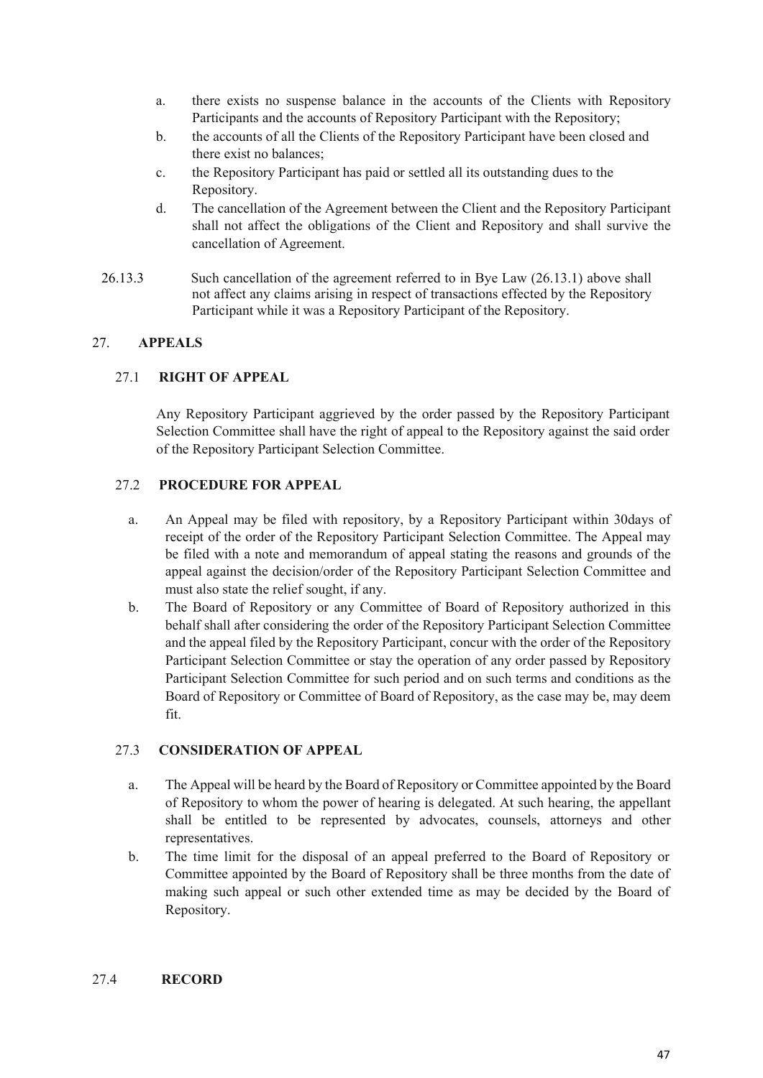- a. there exists no suspense balance in the accounts of the Clients with Repository Participants and the accounts of Repository Participant with the Repository;
- b. the accounts of all the Clients of the Repository Participant have been closed and there exist no balances;
- c. the Repository Participant has paid or settled all its outstanding dues to the Repository.
- d. The cancellation of the Agreement between the Client and the Repository Participant shall not affect the obligations of the Client and Repository and shall survive the cancellation of Agreement.
- 26.13.3 Such cancellation of the agreement referred to in Bye Law (26.13.1) above shall not affect any claims arising in respect of transactions effected by the Repository Participant while it was a Repository Participant of the Repository.

# 27. APPEALS

## 27.1 RIGHT OF APPEAL

Any Repository Participant aggrieved by the order passed by the Repository Participant Selection Committee shall have the right of appeal to the Repository against the said order of the Repository Participant Selection Committee.

## 27.2 PROCEDURE FOR APPEAL

- a. An Appeal may be filed with repository, by a Repository Participant within 30days of receipt of the order of the Repository Participant Selection Committee. The Appeal may be filed with a note and memorandum of appeal stating the reasons and grounds of the appeal against the decision/order of the Repository Participant Selection Committee and must also state the relief sought, if any.
- b. The Board of Repository or any Committee of Board of Repository authorized in this behalf shall after considering the order of the Repository Participant Selection Committee and the appeal filed by the Repository Participant, concur with the order of the Repository Participant Selection Committee or stay the operation of any order passed by Repository Participant Selection Committee for such period and on such terms and conditions as the Board of Repository or Committee of Board of Repository, as the case may be, may deem fit.

#### 27.3 CONSIDERATION OF APPEAL

- a. The Appeal will be heard by the Board of Repository or Committee appointed by the Board of Repository to whom the power of hearing is delegated. At such hearing, the appellant shall be entitled to be represented by advocates, counsels, attorneys and other representatives.
- b. The time limit for the disposal of an appeal preferred to the Board of Repository or Committee appointed by the Board of Repository shall be three months from the date of making such appeal or such other extended time as may be decided by the Board of Repository.

#### 27.4 RECORD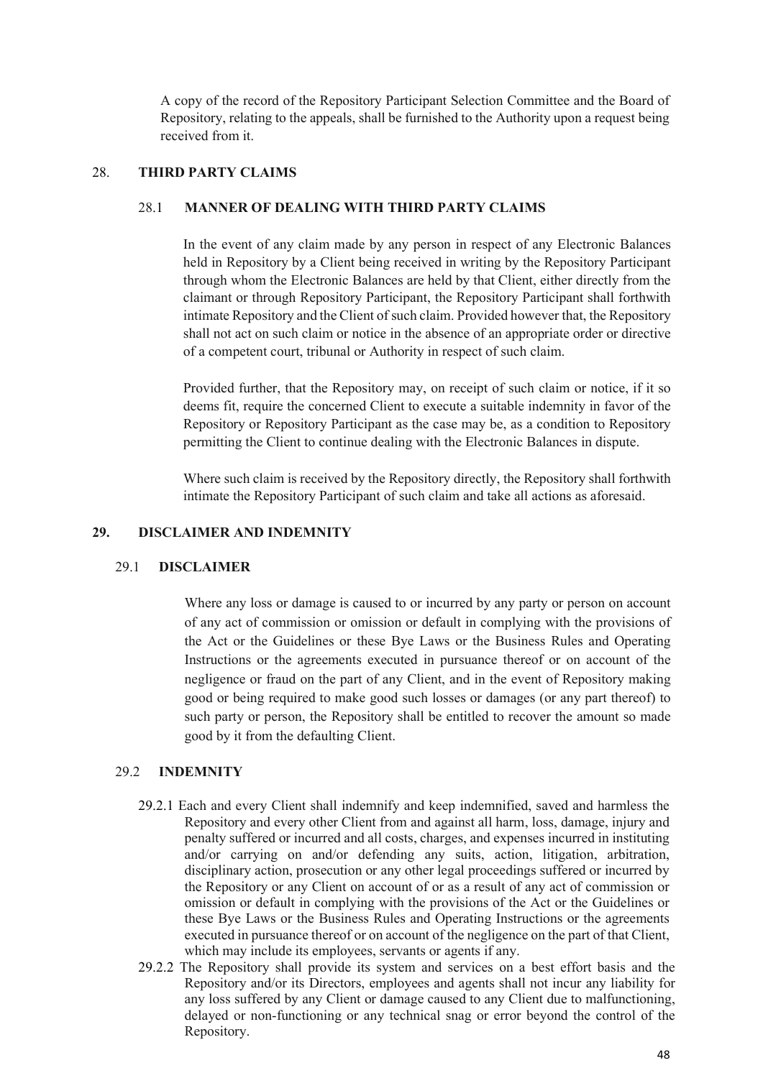A copy of the record of the Repository Participant Selection Committee and the Board of Repository, relating to the appeals, shall be furnished to the Authority upon a request being received from it.

### 28. THIRD PARTY CLAIMS

### 28.1 MANNER OF DEALING WITH THIRD PARTY CLAIMS

In the event of any claim made by any person in respect of any Electronic Balances held in Repository by a Client being received in writing by the Repository Participant through whom the Electronic Balances are held by that Client, either directly from the claimant or through Repository Participant, the Repository Participant shall forthwith intimate Repository and the Client of such claim. Provided however that, the Repository shall not act on such claim or notice in the absence of an appropriate order or directive of a competent court, tribunal or Authority in respect of such claim.

Provided further, that the Repository may, on receipt of such claim or notice, if it so deems fit, require the concerned Client to execute a suitable indemnity in favor of the Repository or Repository Participant as the case may be, as a condition to Repository permitting the Client to continue dealing with the Electronic Balances in dispute.

Where such claim is received by the Repository directly, the Repository shall forthwith intimate the Repository Participant of such claim and take all actions as aforesaid.

### 29. DISCLAIMER AND INDEMNITY

#### 29.1 DISCLAIMER

Where any loss or damage is caused to or incurred by any party or person on account of any act of commission or omission or default in complying with the provisions of the Act or the Guidelines or these Bye Laws or the Business Rules and Operating Instructions or the agreements executed in pursuance thereof or on account of the negligence or fraud on the part of any Client, and in the event of Repository making good or being required to make good such losses or damages (or any part thereof) to such party or person, the Repository shall be entitled to recover the amount so made good by it from the defaulting Client.

## 29.2 INDEMNITY

- 29.2.1 Each and every Client shall indemnify and keep indemnified, saved and harmless the Repository and every other Client from and against all harm, loss, damage, injury and penalty suffered or incurred and all costs, charges, and expenses incurred in instituting and/or carrying on and/or defending any suits, action, litigation, arbitration, disciplinary action, prosecution or any other legal proceedings suffered or incurred by the Repository or any Client on account of or as a result of any act of commission or omission or default in complying with the provisions of the Act or the Guidelines or these Bye Laws or the Business Rules and Operating Instructions or the agreements executed in pursuance thereof or on account of the negligence on the part of that Client, which may include its employees, servants or agents if any.
- 29.2.2 The Repository shall provide its system and services on a best effort basis and the Repository and/or its Directors, employees and agents shall not incur any liability for any loss suffered by any Client or damage caused to any Client due to malfunctioning, delayed or non-functioning or any technical snag or error beyond the control of the Repository.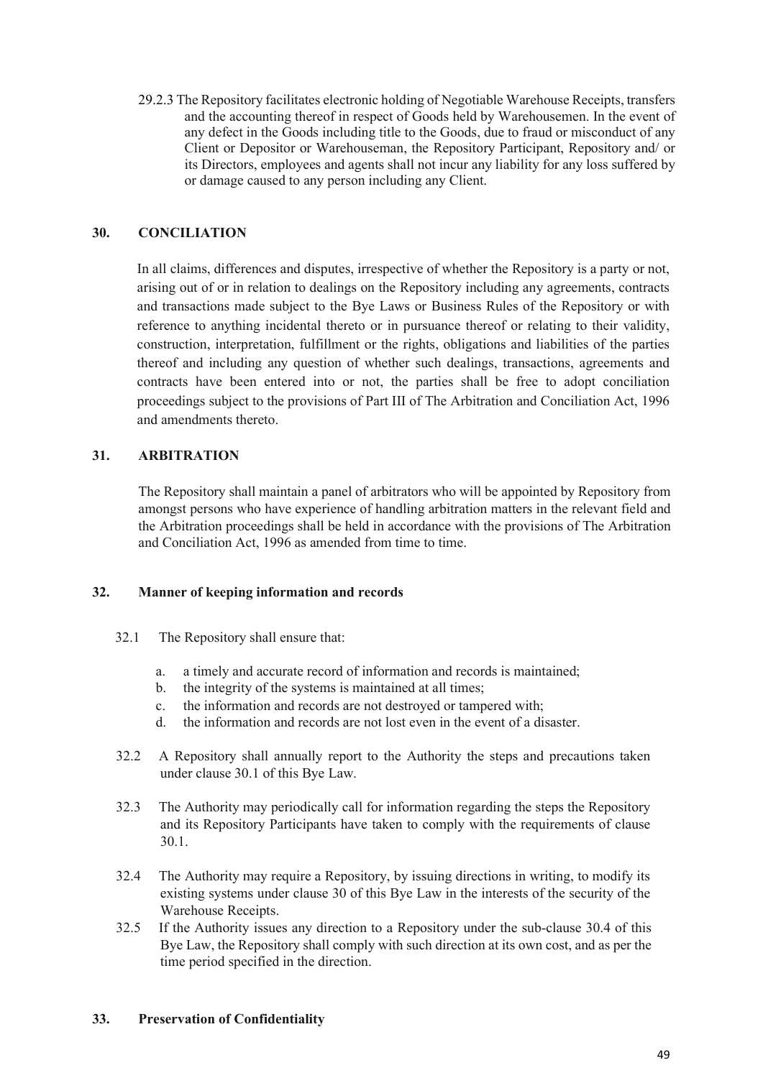29.2.3 The Repository facilitates electronic holding of Negotiable Warehouse Receipts, transfers and the accounting thereof in respect of Goods held by Warehousemen. In the event of any defect in the Goods including title to the Goods, due to fraud or misconduct of any Client or Depositor or Warehouseman, the Repository Participant, Repository and/ or its Directors, employees and agents shall not incur any liability for any loss suffered by or damage caused to any person including any Client.

## 30. CONCILIATION

In all claims, differences and disputes, irrespective of whether the Repository is a party or not, arising out of or in relation to dealings on the Repository including any agreements, contracts and transactions made subject to the Bye Laws or Business Rules of the Repository or with reference to anything incidental thereto or in pursuance thereof or relating to their validity, construction, interpretation, fulfillment or the rights, obligations and liabilities of the parties thereof and including any question of whether such dealings, transactions, agreements and contracts have been entered into or not, the parties shall be free to adopt conciliation proceedings subject to the provisions of Part III of The Arbitration and Conciliation Act, 1996 and amendments thereto.

#### 31. ARBITRATION

The Repository shall maintain a panel of arbitrators who will be appointed by Repository from amongst persons who have experience of handling arbitration matters in the relevant field and the Arbitration proceedings shall be held in accordance with the provisions of The Arbitration and Conciliation Act, 1996 as amended from time to time.

#### 32. Manner of keeping information and records

- 32.1 The Repository shall ensure that:
	- a. a timely and accurate record of information and records is maintained;
	- b. the integrity of the systems is maintained at all times;
	- c. the information and records are not destroyed or tampered with;
	- d. the information and records are not lost even in the event of a disaster.
- 32.2 A Repository shall annually report to the Authority the steps and precautions taken under clause 30.1 of this Bye Law.
- 32.3 The Authority may periodically call for information regarding the steps the Repository and its Repository Participants have taken to comply with the requirements of clause 30.1.
- 32.4 The Authority may require a Repository, by issuing directions in writing, to modify its existing systems under clause 30 of this Bye Law in the interests of the security of the Warehouse Receipts.
- 32.5 If the Authority issues any direction to a Repository under the sub-clause 30.4 of this Bye Law, the Repository shall comply with such direction at its own cost, and as per the time period specified in the direction.

### 33. Preservation of Confidentiality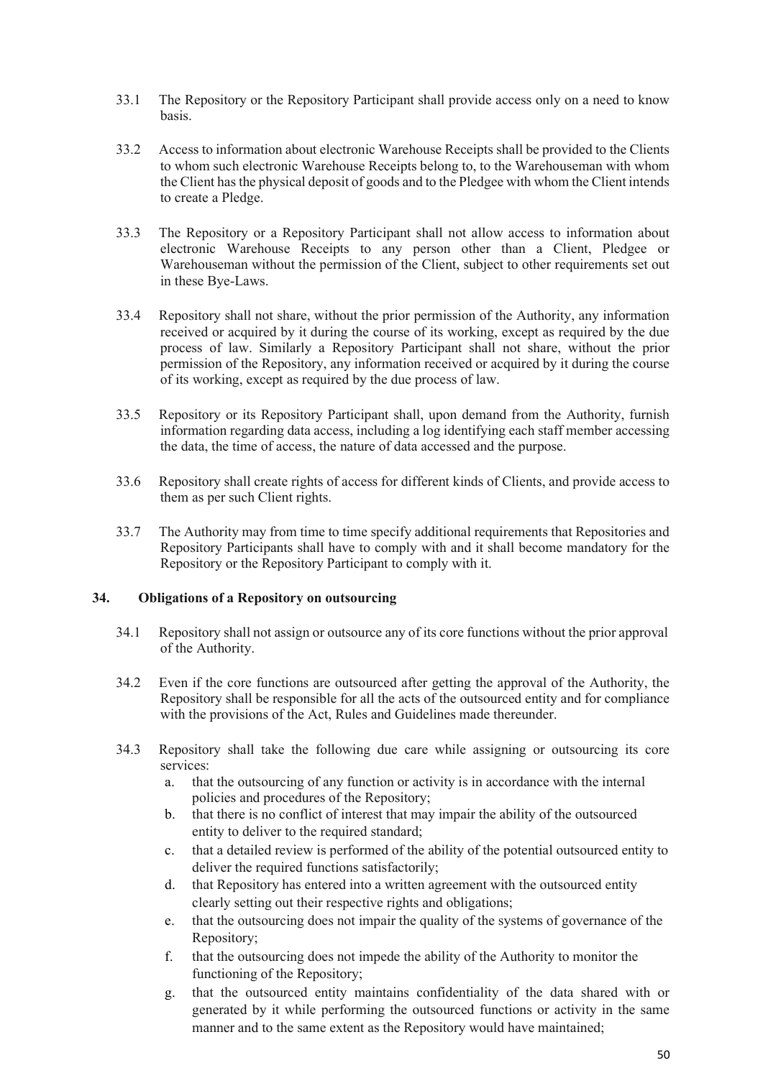- 33.1 The Repository or the Repository Participant shall provide access only on a need to know basis.
- 33.2 Access to information about electronic Warehouse Receipts shall be provided to the Clients to whom such electronic Warehouse Receipts belong to, to the Warehouseman with whom the Client has the physical deposit of goods and to the Pledgee with whom the Client intends to create a Pledge.
- 33.3 The Repository or a Repository Participant shall not allow access to information about electronic Warehouse Receipts to any person other than a Client, Pledgee or Warehouseman without the permission of the Client, subject to other requirements set out in these Bye-Laws.
- 33.4 Repository shall not share, without the prior permission of the Authority, any information received or acquired by it during the course of its working, except as required by the due process of law. Similarly a Repository Participant shall not share, without the prior permission of the Repository, any information received or acquired by it during the course of its working, except as required by the due process of law.
- 33.5 Repository or its Repository Participant shall, upon demand from the Authority, furnish information regarding data access, including a log identifying each staff member accessing the data, the time of access, the nature of data accessed and the purpose.
- 33.6 Repository shall create rights of access for different kinds of Clients, and provide access to them as per such Client rights.
- 33.7 The Authority may from time to time specify additional requirements that Repositories and Repository Participants shall have to comply with and it shall become mandatory for the Repository or the Repository Participant to comply with it.

#### 34. Obligations of a Repository on outsourcing

- 34.1 Repository shall not assign or outsource any of its core functions without the prior approval of the Authority.
- 34.2 Even if the core functions are outsourced after getting the approval of the Authority, the Repository shall be responsible for all the acts of the outsourced entity and for compliance with the provisions of the Act, Rules and Guidelines made thereunder.
- 34.3 Repository shall take the following due care while assigning or outsourcing its core services:
	- a. that the outsourcing of any function or activity is in accordance with the internal policies and procedures of the Repository;
	- b. that there is no conflict of interest that may impair the ability of the outsourced entity to deliver to the required standard;
	- c. that a detailed review is performed of the ability of the potential outsourced entity to deliver the required functions satisfactorily;
	- d. that Repository has entered into a written agreement with the outsourced entity clearly setting out their respective rights and obligations;
	- e. that the outsourcing does not impair the quality of the systems of governance of the Repository;
	- f. that the outsourcing does not impede the ability of the Authority to monitor the functioning of the Repository;
	- g. that the outsourced entity maintains confidentiality of the data shared with or generated by it while performing the outsourced functions or activity in the same manner and to the same extent as the Repository would have maintained;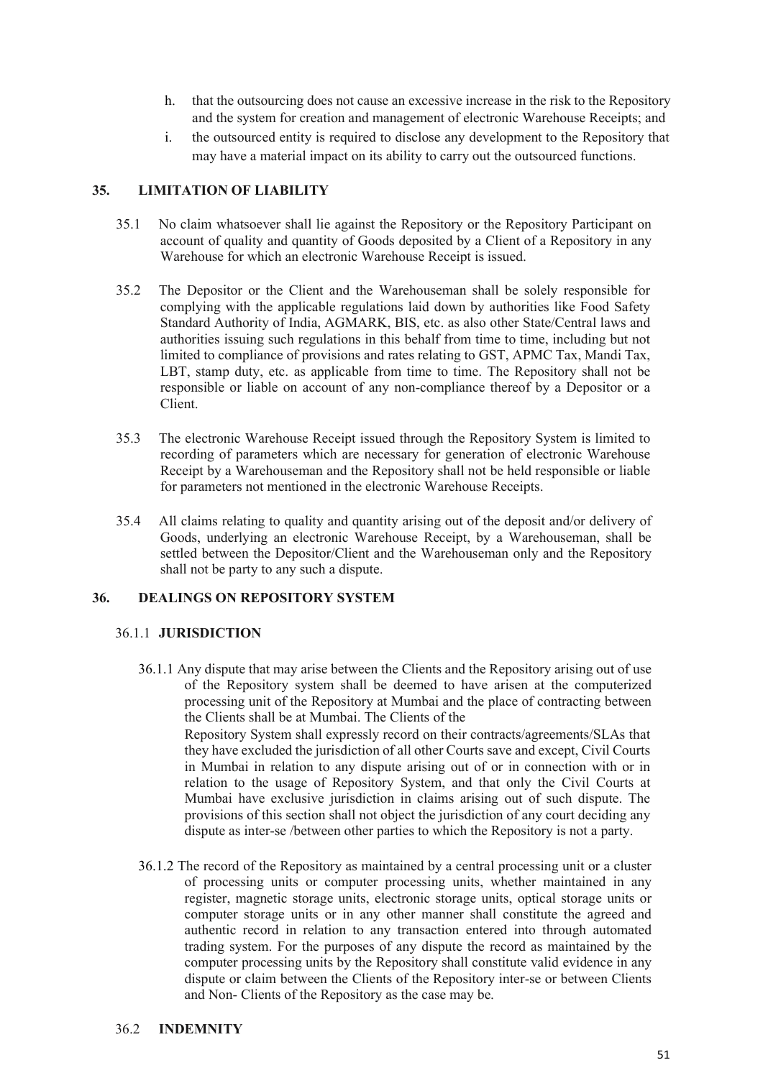- h. that the outsourcing does not cause an excessive increase in the risk to the Repository and the system for creation and management of electronic Warehouse Receipts; and
- i. the outsourced entity is required to disclose any development to the Repository that may have a material impact on its ability to carry out the outsourced functions.

### 35. LIMITATION OF LIABILITY

- 35.1 No claim whatsoever shall lie against the Repository or the Repository Participant on account of quality and quantity of Goods deposited by a Client of a Repository in any Warehouse for which an electronic Warehouse Receipt is issued.
- 35.2 The Depositor or the Client and the Warehouseman shall be solely responsible for complying with the applicable regulations laid down by authorities like Food Safety Standard Authority of India, AGMARK, BIS, etc. as also other State/Central laws and authorities issuing such regulations in this behalf from time to time, including but not limited to compliance of provisions and rates relating to GST, APMC Tax, Mandi Tax, LBT, stamp duty, etc. as applicable from time to time. The Repository shall not be responsible or liable on account of any non-compliance thereof by a Depositor or a Client.
- 35.3 The electronic Warehouse Receipt issued through the Repository System is limited to recording of parameters which are necessary for generation of electronic Warehouse Receipt by a Warehouseman and the Repository shall not be held responsible or liable for parameters not mentioned in the electronic Warehouse Receipts.
- 35.4 All claims relating to quality and quantity arising out of the deposit and/or delivery of Goods, underlying an electronic Warehouse Receipt, by a Warehouseman, shall be settled between the Depositor/Client and the Warehouseman only and the Repository shall not be party to any such a dispute.

### 36. DEALINGS ON REPOSITORY SYSTEM

#### 36.1.1 JURISDICTION

- 36.1.1 Any dispute that may arise between the Clients and the Repository arising out of use of the Repository system shall be deemed to have arisen at the computerized processing unit of the Repository at Mumbai and the place of contracting between the Clients shall be at Mumbai. The Clients of the Repository System shall expressly record on their contracts/agreements/SLAs that they have excluded the jurisdiction of all other Courts save and except, Civil Courts in Mumbai in relation to any dispute arising out of or in connection with or in relation to the usage of Repository System, and that only the Civil Courts at Mumbai have exclusive jurisdiction in claims arising out of such dispute. The provisions of this section shall not object the jurisdiction of any court deciding any dispute as inter-se /between other parties to which the Repository is not a party.
- 36.1.2 The record of the Repository as maintained by a central processing unit or a cluster of processing units or computer processing units, whether maintained in any register, magnetic storage units, electronic storage units, optical storage units or computer storage units or in any other manner shall constitute the agreed and authentic record in relation to any transaction entered into through automated trading system. For the purposes of any dispute the record as maintained by the computer processing units by the Repository shall constitute valid evidence in any dispute or claim between the Clients of the Repository inter-se or between Clients and Non- Clients of the Repository as the case may be.